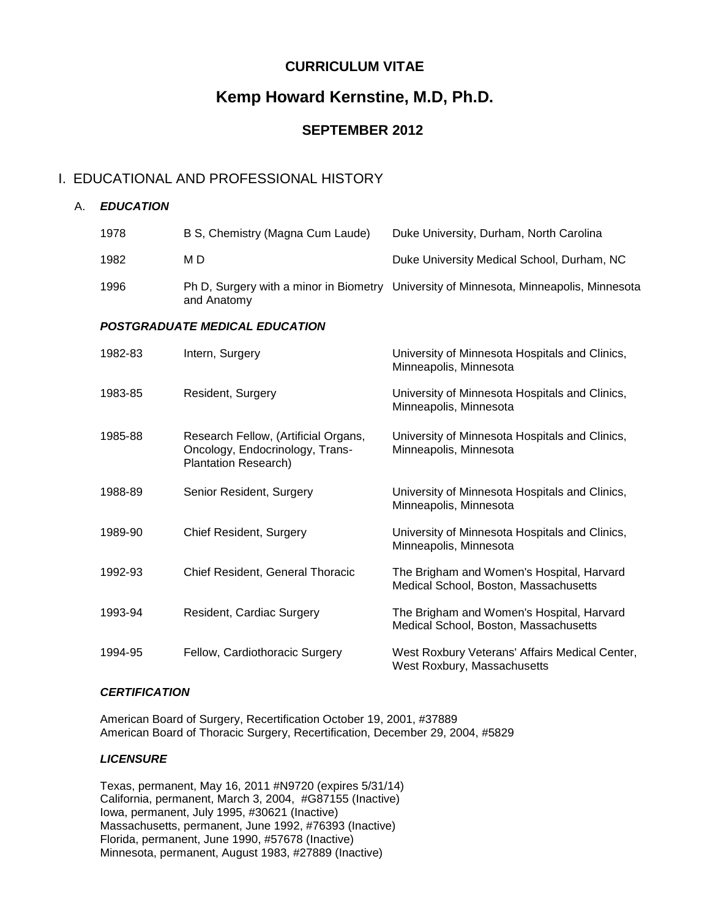## **CURRICULUM VITAE**

# **Kemp Howard Kernstine, M.D, Ph.D.**

## **SEPTEMBER 2012**

### I. EDUCATIONAL AND PROFESSIONAL HISTORY

| Α. | <b>EDUCATION</b> |                                                                                                        |                                                                                        |
|----|------------------|--------------------------------------------------------------------------------------------------------|----------------------------------------------------------------------------------------|
|    | 1978             | B S, Chemistry (Magna Cum Laude)                                                                       | Duke University, Durham, North Carolina                                                |
|    | 1982             | M D                                                                                                    | Duke University Medical School, Durham, NC                                             |
|    | 1996             | and Anatomy                                                                                            | Ph D, Surgery with a minor in Biometry University of Minnesota, Minneapolis, Minnesota |
|    |                  | <b>POSTGRADUATE MEDICAL EDUCATION</b>                                                                  |                                                                                        |
|    | 1982-83          | Intern, Surgery                                                                                        | University of Minnesota Hospitals and Clinics,<br>Minneapolis, Minnesota               |
|    | 1983-85          | Resident, Surgery                                                                                      | University of Minnesota Hospitals and Clinics,<br>Minneapolis, Minnesota               |
|    | 1985-88          | Research Fellow, (Artificial Organs,<br>Oncology, Endocrinology, Trans-<br><b>Plantation Research)</b> | University of Minnesota Hospitals and Clinics,<br>Minneapolis, Minnesota               |
|    | 1988-89          | Senior Resident, Surgery                                                                               | University of Minnesota Hospitals and Clinics,<br>Minneapolis, Minnesota               |
|    | 1989-90          | <b>Chief Resident, Surgery</b>                                                                         | University of Minnesota Hospitals and Clinics,<br>Minneapolis, Minnesota               |
|    | 1992-93          | Chief Resident, General Thoracic                                                                       | The Brigham and Women's Hospital, Harvard<br>Medical School, Boston, Massachusetts     |
|    | 1993-94          | Resident, Cardiac Surgery                                                                              | The Brigham and Women's Hospital, Harvard<br>Medical School, Boston, Massachusetts     |
|    | 1994-95          | Fellow, Cardiothoracic Surgery                                                                         | West Roxbury Veterans' Affairs Medical Center,<br>West Roxbury, Massachusetts          |

#### *CERTIFICATION*

American Board of Surgery, Recertification October 19, 2001, #37889 American Board of Thoracic Surgery, Recertification, December 29, 2004, #5829

#### *LICENSURE*

Texas, permanent, May 16, 2011 #N9720 (expires 5/31/14) California, permanent, March 3, 2004, #G87155 (Inactive) Iowa, permanent, July 1995, #30621 (Inactive) Massachusetts, permanent, June 1992, #76393 (Inactive) Florida, permanent, June 1990, #57678 (Inactive) Minnesota, permanent, August 1983, #27889 (Inactive)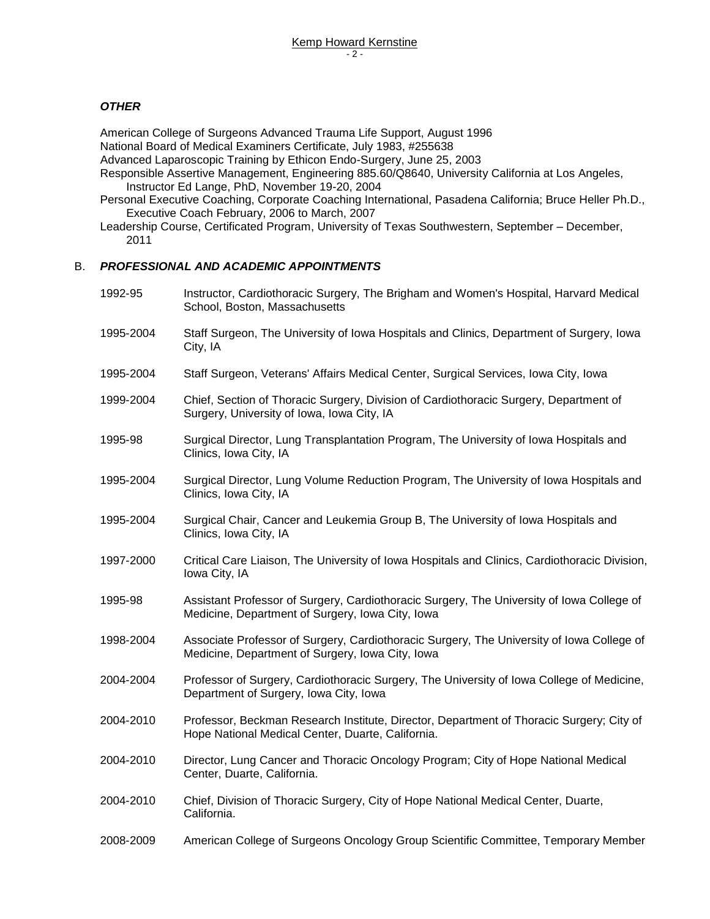#### *OTHER*

American College of Surgeons Advanced Trauma Life Support, August 1996 National Board of Medical Examiners Certificate, July 1983, #255638

Advanced Laparoscopic Training by Ethicon Endo-Surgery, June 25, 2003

Responsible Assertive Management, Engineering 885.60/Q8640, University California at Los Angeles, Instructor Ed Lange, PhD, November 19-20, 2004

Personal Executive Coaching, Corporate Coaching International, Pasadena California; Bruce Heller Ph.D., Executive Coach February, 2006 to March, 2007

Leadership Course, Certificated Program, University of Texas Southwestern, September – December, 2011

#### B. *PROFESSIONAL AND ACADEMIC APPOINTMENTS*

| 1992-95   | Instructor, Cardiothoracic Surgery, The Brigham and Women's Hospital, Harvard Medical<br>School, Boston, Massachusetts                        |
|-----------|-----------------------------------------------------------------------------------------------------------------------------------------------|
| 1995-2004 | Staff Surgeon, The University of Iowa Hospitals and Clinics, Department of Surgery, Iowa<br>City, IA                                          |
| 1995-2004 | Staff Surgeon, Veterans' Affairs Medical Center, Surgical Services, Iowa City, Iowa                                                           |
| 1999-2004 | Chief, Section of Thoracic Surgery, Division of Cardiothoracic Surgery, Department of<br>Surgery, University of Iowa, Iowa City, IA           |
| 1995-98   | Surgical Director, Lung Transplantation Program, The University of Iowa Hospitals and<br>Clinics, Iowa City, IA                               |
| 1995-2004 | Surgical Director, Lung Volume Reduction Program, The University of Iowa Hospitals and<br>Clinics, Iowa City, IA                              |
| 1995-2004 | Surgical Chair, Cancer and Leukemia Group B, The University of Iowa Hospitals and<br>Clinics, Iowa City, IA                                   |
| 1997-2000 | Critical Care Liaison, The University of Iowa Hospitals and Clinics, Cardiothoracic Division,<br>Iowa City, IA                                |
| 1995-98   | Assistant Professor of Surgery, Cardiothoracic Surgery, The University of Iowa College of<br>Medicine, Department of Surgery, Iowa City, Iowa |
| 1998-2004 | Associate Professor of Surgery, Cardiothoracic Surgery, The University of Iowa College of<br>Medicine, Department of Surgery, Iowa City, Iowa |
| 2004-2004 | Professor of Surgery, Cardiothoracic Surgery, The University of Iowa College of Medicine,<br>Department of Surgery, Iowa City, Iowa           |
| 2004-2010 | Professor, Beckman Research Institute, Director, Department of Thoracic Surgery; City of<br>Hope National Medical Center, Duarte, California. |
| 2004-2010 | Director, Lung Cancer and Thoracic Oncology Program; City of Hope National Medical<br>Center, Duarte, California.                             |
| 2004-2010 | Chief, Division of Thoracic Surgery, City of Hope National Medical Center, Duarte,<br>California.                                             |
| 2008-2009 | American College of Surgeons Oncology Group Scientific Committee, Temporary Member                                                            |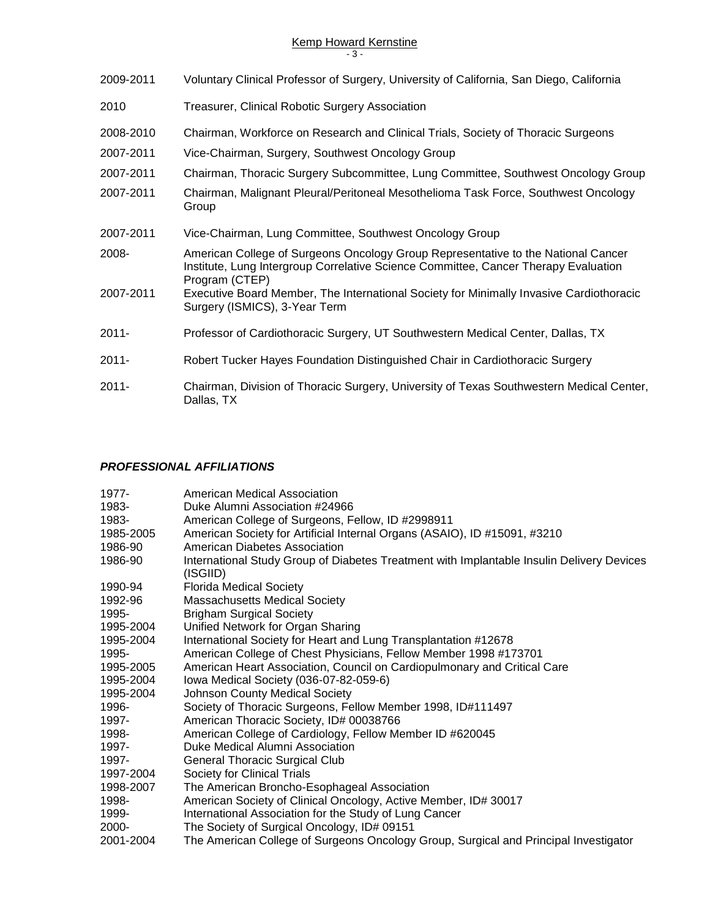# Kemp Howard Kernstine

|  | ×<br>۰.<br>×<br>۰, |  |
|--|--------------------|--|
|--|--------------------|--|

- 2009-2011 Voluntary Clinical Professor of Surgery, University of California, San Diego, California
- 2010 Treasurer, Clinical Robotic Surgery Association
- 2008-2010 Chairman, Workforce on Research and Clinical Trials, Society of Thoracic Surgeons
- 2007-2011 Vice-Chairman, Surgery, Southwest Oncology Group
- 2007-2011 Chairman, Thoracic Surgery Subcommittee, Lung Committee, Southwest Oncology Group
- 2007-2011 Chairman, Malignant Pleural/Peritoneal Mesothelioma Task Force, Southwest Oncology Group
- 2007-2011 Vice-Chairman, Lung Committee, Southwest Oncology Group
- 2008- American College of Surgeons Oncology Group Representative to the National Cancer Institute, Lung Intergroup Correlative Science Committee, Cancer Therapy Evaluation Program (CTEP)
- 2007-2011 Executive Board Member, The International Society for Minimally Invasive Cardiothoracic Surgery (ISMICS), 3-Year Term
- 2011- Professor of Cardiothoracic Surgery, UT Southwestern Medical Center, Dallas, TX
- 2011- Robert Tucker Hayes Foundation Distinguished Chair in Cardiothoracic Surgery
- 2011- Chairman, Division of Thoracic Surgery, University of Texas Southwestern Medical Center, Dallas, TX

#### *PROFESSIONAL AFFILIATIONS*

| 1977-     | American Medical Association                                                                          |
|-----------|-------------------------------------------------------------------------------------------------------|
| 1983-     | Duke Alumni Association #24966                                                                        |
| 1983-     | American College of Surgeons, Fellow, ID #2998911                                                     |
| 1985-2005 | American Society for Artificial Internal Organs (ASAIO), ID #15091, #3210                             |
| 1986-90   | American Diabetes Association                                                                         |
| 1986-90   | International Study Group of Diabetes Treatment with Implantable Insulin Delivery Devices<br>(ISGIID) |
| 1990-94   | <b>Florida Medical Society</b>                                                                        |
| 1992-96   | <b>Massachusetts Medical Society</b>                                                                  |
| 1995-     | <b>Brigham Surgical Society</b>                                                                       |
| 1995-2004 | Unified Network for Organ Sharing                                                                     |
| 1995-2004 | International Society for Heart and Lung Transplantation #12678                                       |
| 1995-     | American College of Chest Physicians, Fellow Member 1998 #173701                                      |
| 1995-2005 | American Heart Association, Council on Cardiopulmonary and Critical Care                              |
| 1995-2004 | Iowa Medical Society (036-07-82-059-6)                                                                |
| 1995-2004 | <b>Johnson County Medical Society</b>                                                                 |
| 1996-     | Society of Thoracic Surgeons, Fellow Member 1998, ID#111497                                           |
| 1997-     | American Thoracic Society, ID# 00038766                                                               |
| 1998-     | American College of Cardiology, Fellow Member ID #620045                                              |
| 1997-     | Duke Medical Alumni Association                                                                       |
| 1997-     | <b>General Thoracic Surgical Club</b>                                                                 |
| 1997-2004 | Society for Clinical Trials                                                                           |
| 1998-2007 | The American Broncho-Esophageal Association                                                           |
| 1998-     | American Society of Clinical Oncology, Active Member, ID# 30017                                       |
| 1999-     | International Association for the Study of Lung Cancer                                                |
| 2000-     | The Society of Surgical Oncology, ID# 09151                                                           |
| 2001-2004 | The American College of Surgeons Oncology Group, Surgical and Principal Investigator                  |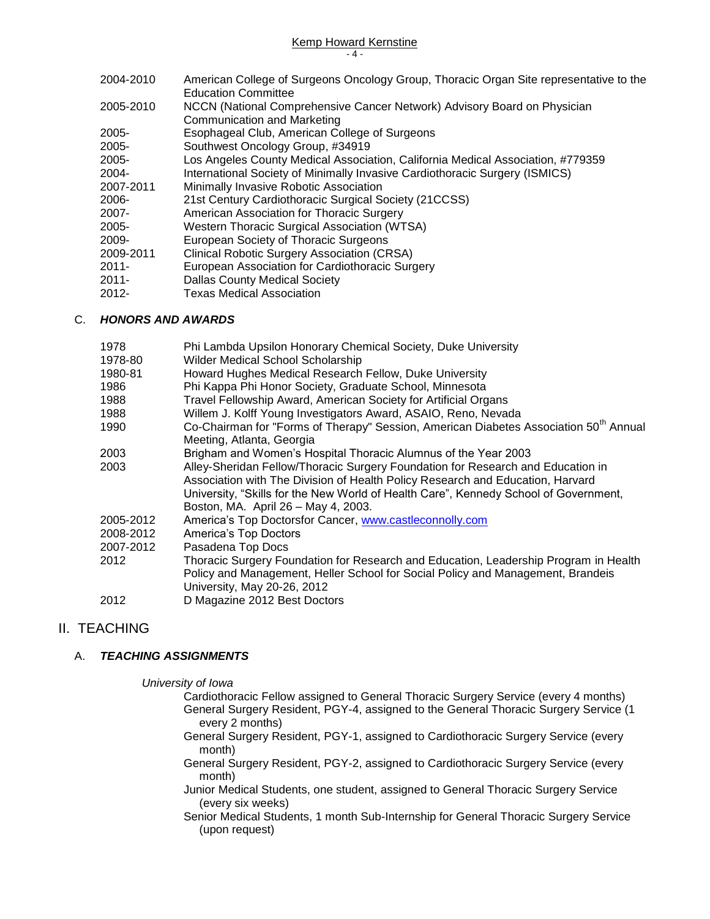2004-2010 American College of Surgeons Oncology Group, Thoracic Organ Site representative to the Education Committee 2005-2010 NCCN (National Comprehensive Cancer Network) Advisory Board on Physician Communication and Marketing 2005- Esophageal Club, American College of Surgeons 2005- Southwest Oncology Group, #34919 2005- Los Angeles County Medical Association, California Medical Association, #779359 2004- International Society of Minimally Invasive Cardiothoracic Surgery (ISMICS) 2007-2011 Minimally Invasive Robotic Association 2006- 21st Century Cardiothoracic Surgical Society (21CCSS) 2007- American Association for Thoracic Surgery 2005- Western Thoracic Surgical Association (WTSA) 2009- European Society of Thoracic Surgeons 2009-2011 Clinical Robotic Surgery Association (CRSA) 2011- European Association for Cardiothoracic Surgery 2011- Dallas County Medical Society

2012- Texas Medical Association

#### C. *HONORS AND AWARDS*

| 1978      | Phi Lambda Upsilon Honorary Chemical Society, Duke University                                     |
|-----------|---------------------------------------------------------------------------------------------------|
| 1978-80   | Wilder Medical School Scholarship                                                                 |
| 1980-81   | Howard Hughes Medical Research Fellow, Duke University                                            |
| 1986      | Phi Kappa Phi Honor Society, Graduate School, Minnesota                                           |
| 1988      | Travel Fellowship Award, American Society for Artificial Organs                                   |
| 1988      | Willem J. Kolff Young Investigators Award, ASAIO, Reno, Nevada                                    |
| 1990      | Co-Chairman for "Forms of Therapy" Session, American Diabetes Association 50 <sup>th</sup> Annual |
|           | Meeting, Atlanta, Georgia                                                                         |
| 2003      | Brigham and Women's Hospital Thoracic Alumnus of the Year 2003                                    |
| 2003      | Alley-Sheridan Fellow/Thoracic Surgery Foundation for Research and Education in                   |
|           | Association with The Division of Health Policy Research and Education, Harvard                    |
|           | University, "Skills for the New World of Health Care", Kennedy School of Government,              |
|           | Boston, MA. April 26 - May 4, 2003.                                                               |
| 2005-2012 | America's Top Doctorsfor Cancer, www.castleconnolly.com                                           |
| 2008-2012 | America's Top Doctors                                                                             |
| 2007-2012 | Pasadena Top Docs                                                                                 |
| 2012      | Thoracic Surgery Foundation for Research and Education, Leadership Program in Health              |
|           | Policy and Management, Heller School for Social Policy and Management, Brandeis                   |
|           | University, May 20-26, 2012                                                                       |
| 2012      | D Magazine 2012 Best Doctors                                                                      |

## II. TEACHING

#### A. *TEACHING ASSIGNMENTS*

*University of Iowa*

- Cardiothoracic Fellow assigned to General Thoracic Surgery Service (every 4 months) General Surgery Resident, PGY-4, assigned to the General Thoracic Surgery Service (1 every 2 months)
- General Surgery Resident, PGY-1, assigned to Cardiothoracic Surgery Service (every month)
- General Surgery Resident, PGY-2, assigned to Cardiothoracic Surgery Service (every month)
- Junior Medical Students, one student, assigned to General Thoracic Surgery Service (every six weeks)
- Senior Medical Students, 1 month Sub-Internship for General Thoracic Surgery Service (upon request)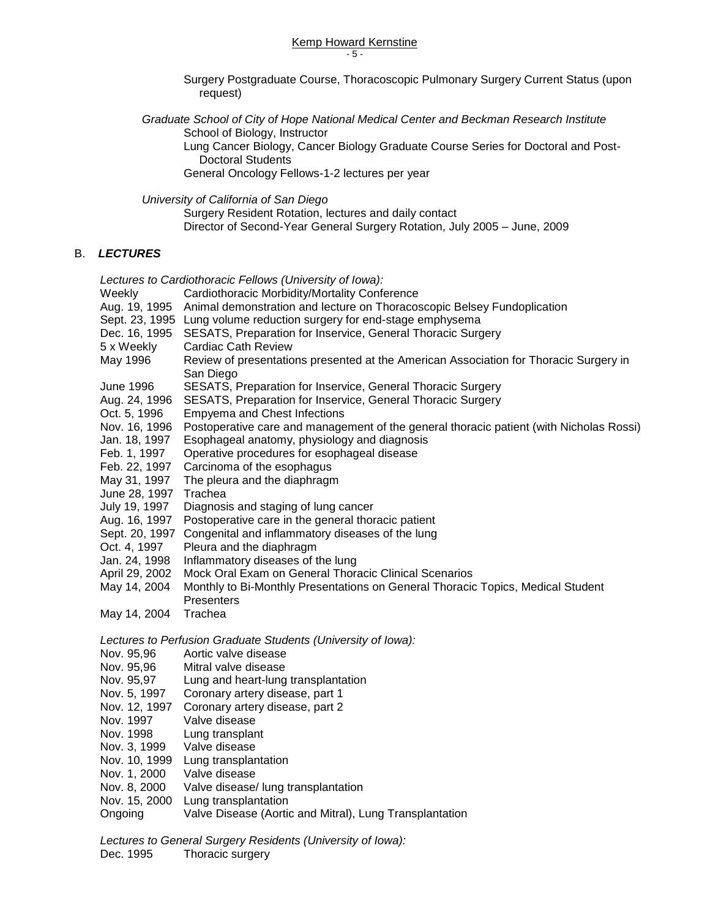#### Kemp Howard Kernstine - 5 -

Surgery Postgraduate Course, Thoracoscopic Pulmonary Surgery Current Status (upon request)

*Graduate School of City of Hope National Medical Center and Beckman Research Institute* School of Biology, Instructor

Lung Cancer Biology, Cancer Biology Graduate Course Series for Doctoral and Post-Doctoral Students

General Oncology Fellows-1-2 lectures per year

*University of California of San Diego* 

Surgery Resident Rotation, lectures and daily contact Director of Second-Year General Surgery Rotation, July 2005 – June, 2009

#### B. *LECTURES*

*Lectures to Cardiothoracic Fellows (University of Iowa):*

| Weekly           | Cardiothoracic Morbidity/Mortality Conference                                                      |
|------------------|----------------------------------------------------------------------------------------------------|
| Aug. 19, 1995    | Animal demonstration and lecture on Thoracoscopic Belsey Fundoplication                            |
| Sept. 23, 1995   | Lung volume reduction surgery for end-stage emphysema                                              |
| Dec. 16, 1995    | SESATS, Preparation for Inservice, General Thoracic Surgery                                        |
| 5 x Weekly       | Cardiac Cath Review                                                                                |
| May 1996         | Review of presentations presented at the American Association for Thoracic Surgery in<br>San Diego |
| <b>June 1996</b> | SESATS, Preparation for Inservice, General Thoracic Surgery                                        |
| Aug. 24, 1996    | SESATS, Preparation for Inservice, General Thoracic Surgery                                        |
| Oct. 5, 1996     | <b>Empyema and Chest Infections</b>                                                                |
| Nov. 16, 1996    | Postoperative care and management of the general thoracic patient (with Nicholas Rossi)            |
| Jan. 18, 1997    | Esophageal anatomy, physiology and diagnosis                                                       |
| Feb. 1, 1997     | Operative procedures for esophageal disease                                                        |
| Feb. 22, 1997    | Carcinoma of the esophagus                                                                         |
| May 31, 1997     | The pleura and the diaphragm                                                                       |
| June 28, 1997    | Trachea                                                                                            |
| July 19, 1997    | Diagnosis and staging of lung cancer                                                               |
| Aug. 16, 1997    | Postoperative care in the general thoracic patient                                                 |
| Sept. 20, 1997   | Congenital and inflammatory diseases of the lung                                                   |
| Oct. 4, 1997     | Pleura and the diaphragm                                                                           |
| Jan. 24, 1998    | Inflammatory diseases of the lung                                                                  |
| April 29, 2002   | Mock Oral Exam on General Thoracic Clinical Scenarios                                              |
| May 14, 2004     | Monthly to Bi-Monthly Presentations on General Thoracic Topics, Medical Student<br>Presenters      |
| May 14, 2004     | Trachea                                                                                            |
|                  |                                                                                                    |
|                  | Lectures to Perfusion Graduate Students (University of Iowa):                                      |
| Nov. 95,96       | Aortic valve disease                                                                               |
| Nov. 95,96       | Mitral valve disease                                                                               |
| Nov. 95,97       | Lung and heart-lung transplantation                                                                |
| Nov. 5, 1997     | Coronary artery disease, part 1                                                                    |
| Nov. 12, 1997    | Coronary artery disease, part 2                                                                    |
| Nov. 1997        | Valve disease                                                                                      |
| Nov. 1998        | Lung transplant                                                                                    |
| Nov. 3, 1999     | Valve disease                                                                                      |
| Nov. 10, 1999    | Lung transplantation                                                                               |
| Nov. 1, 2000     | Valve disease                                                                                      |
| Nov. 8, 2000     | Valve disease/ lung transplantation                                                                |
| Nov. 15, 2000    | Lung transplantation                                                                               |
| Ongoing          | Valve Disease (Aortic and Mitral), Lung Transplantation                                            |

*Lectures to General Surgery Residents (University of Iowa):* Dec. 1995 Thoracic surgery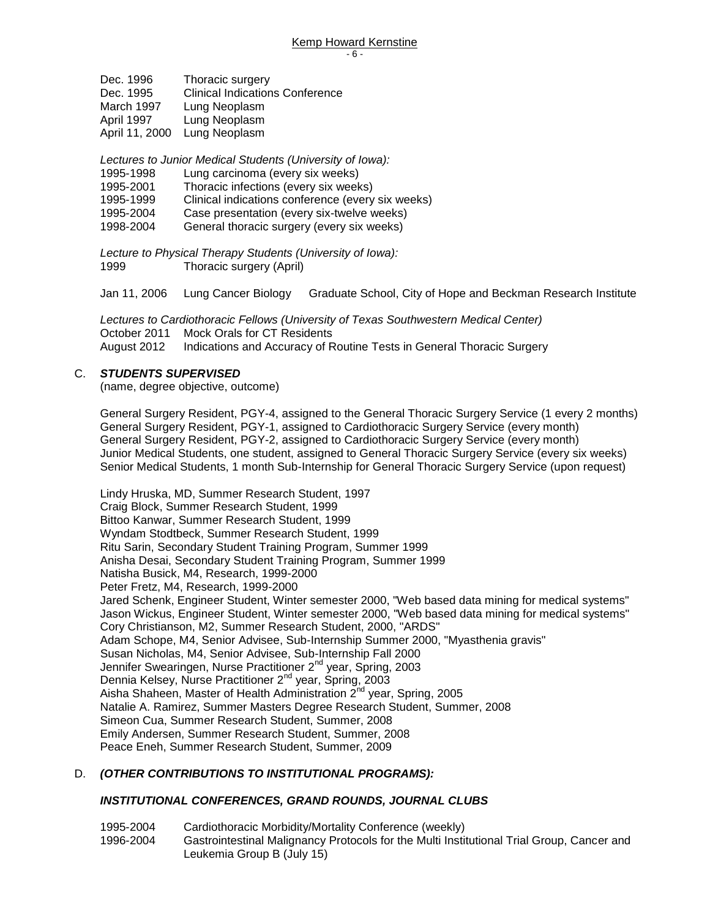| Dec. 1996      | Thoracic surgery                       |
|----------------|----------------------------------------|
| Dec. 1995      | <b>Clinical Indications Conference</b> |
| March 1997     | Lung Neoplasm                          |
| April 1997     | Lung Neoplasm                          |
| April 11, 2000 | Lung Neoplasm                          |

*Lectures to Junior Medical Students (University of Iowa):*

- 1995-1998 Lung carcinoma (every six weeks)
- 1995-2001 Thoracic infections (every six weeks)
- 1995-1999 Clinical indications conference (every six weeks)
- 1995-2004 Case presentation (every six-twelve weeks)
- 1998-2004 General thoracic surgery (every six weeks)

*Lecture to Physical Therapy Students (University of Iowa):* 1999 Thoracic surgery (April)

Jan 11, 2006 Lung Cancer Biology Graduate School, City of Hope and Beckman Research Institute

*Lectures to Cardiothoracic Fellows (University of Texas Southwestern Medical Center)* October 2011 Mock Orals for CT Residents August 2012 Indications and Accuracy of Routine Tests in General Thoracic Surgery

#### C. *STUDENTS SUPERVISED*

(name, degree objective, outcome)

General Surgery Resident, PGY-4, assigned to the General Thoracic Surgery Service (1 every 2 months) General Surgery Resident, PGY-1, assigned to Cardiothoracic Surgery Service (every month) General Surgery Resident, PGY-2, assigned to Cardiothoracic Surgery Service (every month) Junior Medical Students, one student, assigned to General Thoracic Surgery Service (every six weeks) Senior Medical Students, 1 month Sub-Internship for General Thoracic Surgery Service (upon request)

Lindy Hruska, MD, Summer Research Student, 1997 Craig Block, Summer Research Student, 1999 Bittoo Kanwar, Summer Research Student, 1999 Wyndam Stodtbeck, Summer Research Student, 1999 Ritu Sarin, Secondary Student Training Program, Summer 1999 Anisha Desai, Secondary Student Training Program, Summer 1999 Natisha Busick, M4, Research, 1999-2000 Peter Fretz, M4, Research, 1999-2000 Jared Schenk, Engineer Student, Winter semester 2000, "Web based data mining for medical systems" Jason Wickus, Engineer Student, Winter semester 2000, "Web based data mining for medical systems" Cory Christianson, M2, Summer Research Student, 2000, "ARDS" Adam Schope, M4, Senior Advisee, Sub-Internship Summer 2000, "Myasthenia gravis" Susan Nicholas, M4, Senior Advisee, Sub-Internship Fall 2000 Jennifer Swearingen, Nurse Practitioner 2<sup>nd</sup> year, Spring, 2003 Dennia Kelsey, Nurse Practitioner 2<sup>nd</sup> year, Spring, 2003 Aisha Shaheen, Master of Health Administration  $2^{nd}$  year, Spring, 2005 Natalie A. Ramirez, Summer Masters Degree Research Student, Summer, 2008 Simeon Cua, Summer Research Student, Summer, 2008 Emily Andersen, Summer Research Student, Summer, 2008 Peace Eneh, Summer Research Student, Summer, 2009

#### D. *(OTHER CONTRIBUTIONS TO INSTITUTIONAL PROGRAMS):*

#### *INSTITUTIONAL CONFERENCES, GRAND ROUNDS, JOURNAL CLUBS*

1995-2004 Cardiothoracic Morbidity/Mortality Conference (weekly) 1996-2004 Gastrointestinal Malignancy Protocols for the Multi Institutional Trial Group, Cancer and Leukemia Group B (July 15)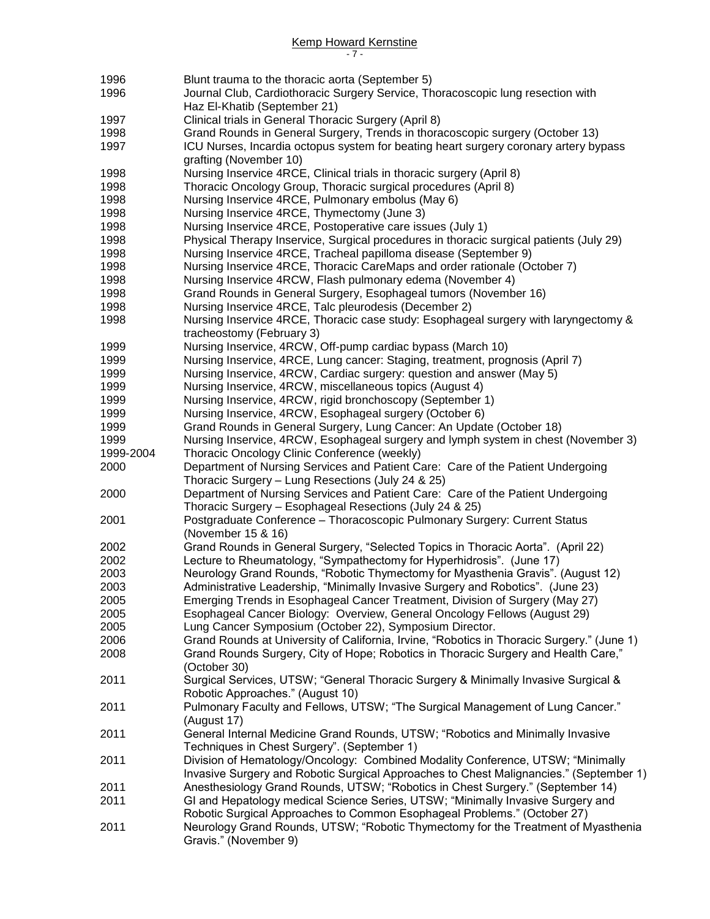#### Kemp Howard Kernstine - 7 -

 Blunt trauma to the thoracic aorta (September 5) Journal Club, Cardiothoracic Surgery Service, Thoracoscopic lung resection with Haz El-Khatib (September 21) Clinical trials in General Thoracic Surgery (April 8) Grand Rounds in General Surgery, Trends in thoracoscopic surgery (October 13) **ICU Nurses, Incardia octopus system for beating heart surgery coronary artery bypass** grafting (November 10) 1998 Nursing Inservice 4RCE, Clinical trials in thoracic surgery (April 8) Thoracic Oncology Group, Thoracic surgical procedures (April 8) Nursing Inservice 4RCE, Pulmonary embolus (May 6) Nursing Inservice 4RCE, Thymectomy (June 3) Nursing Inservice 4RCE, Postoperative care issues (July 1) Physical Therapy Inservice, Surgical procedures in thoracic surgical patients (July 29) Nursing Inservice 4RCE, Tracheal papilloma disease (September 9) Nursing Inservice 4RCE, Thoracic CareMaps and order rationale (October 7) Nursing Inservice 4RCW, Flash pulmonary edema (November 4) Grand Rounds in General Surgery, Esophageal tumors (November 16) 1998 Nursing Inservice 4RCE, Talc pleurodesis (December 2) Nursing Inservice 4RCE, Thoracic case study: Esophageal surgery with laryngectomy & tracheostomy (February 3) Nursing Inservice, 4RCW, Off-pump cardiac bypass (March 10) Nursing Inservice, 4RCE, Lung cancer: Staging, treatment, prognosis (April 7) Nursing Inservice, 4RCW, Cardiac surgery: question and answer (May 5) Nursing Inservice, 4RCW, miscellaneous topics (August 4) Nursing Inservice, 4RCW, rigid bronchoscopy (September 1) Nursing Inservice, 4RCW, Esophageal surgery (October 6) Grand Rounds in General Surgery, Lung Cancer: An Update (October 18) Nursing Inservice, 4RCW, Esophageal surgery and lymph system in chest (November 3) 1999-2004 Thoracic Oncology Clinic Conference (weekly) Department of Nursing Services and Patient Care: Care of the Patient Undergoing Thoracic Surgery – Lung Resections (July 24 & 25) 2000 Department of Nursing Services and Patient Care: Care of the Patient Undergoing Thoracic Surgery – Esophageal Resections (July 24 & 25) 2001 Postgraduate Conference – Thoracoscopic Pulmonary Surgery: Current Status (November 15 & 16) 2002 Grand Rounds in General Surgery, "Selected Topics in Thoracic Aorta". (April 22) 2002 Lecture to Rheumatology, "Sympathectomy for Hyperhidrosis". (June 17) 2003 Neurology Grand Rounds, "Robotic Thymectomy for Myasthenia Gravis". (August 12) Administrative Leadership, "Minimally Invasive Surgery and Robotics". (June 23) Emerging Trends in Esophageal Cancer Treatment, Division of Surgery (May 27) Esophageal Cancer Biology: Overview, General Oncology Fellows (August 29) Lung Cancer Symposium (October 22), Symposium Director. Grand Rounds at University of California, Irvine, "Robotics in Thoracic Surgery." (June 1) Grand Rounds Surgery, City of Hope; Robotics in Thoracic Surgery and Health Care," (October 30) Surgical Services, UTSW; "General Thoracic Surgery & Minimally Invasive Surgical & Robotic Approaches." (August 10) Pulmonary Faculty and Fellows, UTSW; "The Surgical Management of Lung Cancer." (August 17) General Internal Medicine Grand Rounds, UTSW; "Robotics and Minimally Invasive Techniques in Chest Surgery". (September 1) Division of Hematology/Oncology: Combined Modality Conference, UTSW; "Minimally Invasive Surgery and Robotic Surgical Approaches to Chest Malignancies." (September 1) Anesthesiology Grand Rounds, UTSW; "Robotics in Chest Surgery." (September 14) GI and Hepatology medical Science Series, UTSW; "Minimally Invasive Surgery and Robotic Surgical Approaches to Common Esophageal Problems." (October 27) Neurology Grand Rounds, UTSW; "Robotic Thymectomy for the Treatment of Myasthenia Gravis." (November 9)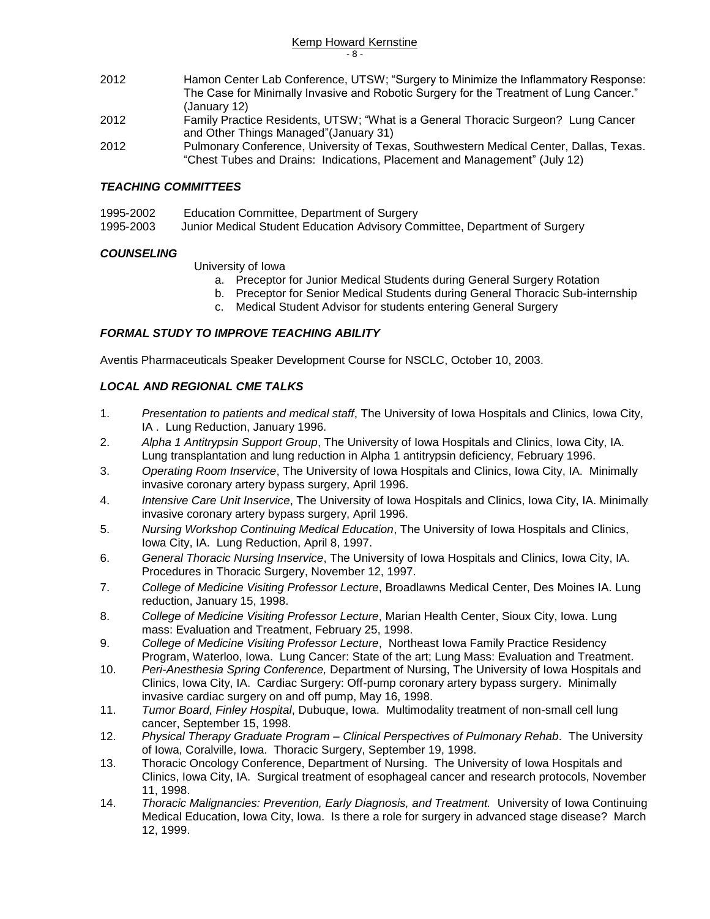Kemp Howard Kernstine - 8 -

- 2012 Hamon Center Lab Conference, UTSW; "Surgery to Minimize the Inflammatory Response: The Case for Minimally Invasive and Robotic Surgery for the Treatment of Lung Cancer." (January 12)
- 2012 Family Practice Residents, UTSW; "What is a General Thoracic Surgeon? Lung Cancer and Other Things Managed"(January 31)
- 2012 Pulmonary Conference, University of Texas, Southwestern Medical Center, Dallas, Texas. "Chest Tubes and Drains: Indications, Placement and Management" (July 12)

#### *TEACHING COMMITTEES*

- 1995-2002 Education Committee, Department of Surgery
- 1995-2003 Junior Medical Student Education Advisory Committee, Department of Surgery

#### *COUNSELING*

University of Iowa

- a. Preceptor for Junior Medical Students during General Surgery Rotation
- b. Preceptor for Senior Medical Students during General Thoracic Sub-internship
- c. Medical Student Advisor for students entering General Surgery

#### *FORMAL STUDY TO IMPROVE TEACHING ABILITY*

Aventis Pharmaceuticals Speaker Development Course for NSCLC, October 10, 2003.

#### *LOCAL AND REGIONAL CME TALKS*

- 1. *Presentation to patients and medical staff*, The University of Iowa Hospitals and Clinics, Iowa City, IA . Lung Reduction, January 1996.
- 2. *Alpha 1 Antitrypsin Support Group*, The University of Iowa Hospitals and Clinics, Iowa City, IA. Lung transplantation and lung reduction in Alpha 1 antitrypsin deficiency, February 1996.
- 3. *Operating Room Inservice*, The University of Iowa Hospitals and Clinics, Iowa City, IA. Minimally invasive coronary artery bypass surgery, April 1996.
- 4. *Intensive Care Unit Inservice*, The University of Iowa Hospitals and Clinics, Iowa City, IA. Minimally invasive coronary artery bypass surgery, April 1996.
- 5. *Nursing Workshop Continuing Medical Education*, The University of Iowa Hospitals and Clinics, Iowa City, IA. Lung Reduction, April 8, 1997.
- 6. *General Thoracic Nursing Inservice*, The University of Iowa Hospitals and Clinics, Iowa City, IA. Procedures in Thoracic Surgery, November 12, 1997.
- 7. *College of Medicine Visiting Professor Lecture*, Broadlawns Medical Center, Des Moines IA. Lung reduction, January 15, 1998.
- 8. *College of Medicine Visiting Professor Lecture*, Marian Health Center, Sioux City, Iowa. Lung mass: Evaluation and Treatment, February 25, 1998.
- 9. *College of Medicine Visiting Professor Lecture*, Northeast Iowa Family Practice Residency Program, Waterloo, Iowa. Lung Cancer: State of the art; Lung Mass: Evaluation and Treatment.
- 10. *Peri-Anesthesia Spring Conference,* Department of Nursing, The University of Iowa Hospitals and Clinics, Iowa City, IA. Cardiac Surgery: Off-pump coronary artery bypass surgery. Minimally invasive cardiac surgery on and off pump, May 16, 1998.
- 11. *Tumor Board, Finley Hospital*, Dubuque, Iowa. Multimodality treatment of non-small cell lung cancer, September 15, 1998.
- 12. *Physical Therapy Graduate Program – Clinical Perspectives of Pulmonary Rehab*. The University of Iowa, Coralville, Iowa. Thoracic Surgery, September 19, 1998.
- 13. Thoracic Oncology Conference, Department of Nursing. The University of Iowa Hospitals and Clinics, Iowa City, IA. Surgical treatment of esophageal cancer and research protocols, November 11, 1998.
- 14. *Thoracic Malignancies: Prevention, Early Diagnosis, and Treatment.* University of Iowa Continuing Medical Education, Iowa City, Iowa. Is there a role for surgery in advanced stage disease? March 12, 1999.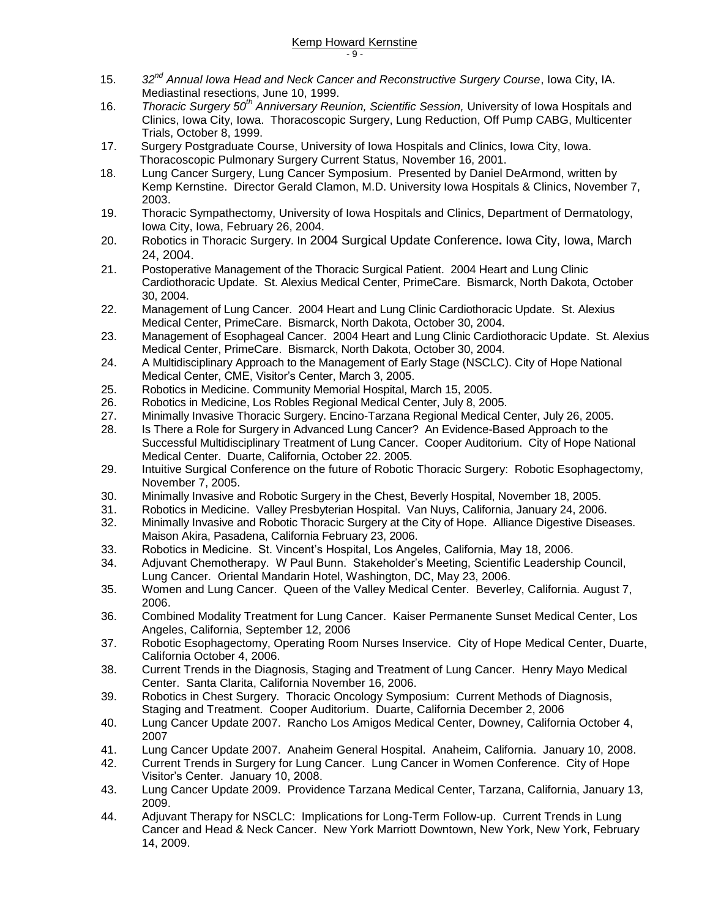- 15. *32nd Annual Iowa Head and Neck Cancer and Reconstructive Surgery Course*, Iowa City, IA. Mediastinal resections, June 10, 1999.
- 16. *Thoracic Surgery 50th Anniversary Reunion, Scientific Session,* University of Iowa Hospitals and Clinics, Iowa City, Iowa. Thoracoscopic Surgery, Lung Reduction, Off Pump CABG, Multicenter Trials, October 8, 1999.
- 17. Surgery Postgraduate Course, University of Iowa Hospitals and Clinics, Iowa City, Iowa. Thoracoscopic Pulmonary Surgery Current Status, November 16, 2001.
- 18. Lung Cancer Surgery, Lung Cancer Symposium. Presented by Daniel DeArmond, written by Kemp Kernstine. Director Gerald Clamon, M.D. University Iowa Hospitals & Clinics, November 7, 2003.
- 19. Thoracic Sympathectomy, University of Iowa Hospitals and Clinics, Department of Dermatology, Iowa City, Iowa, February 26, 2004.
- 20. Robotics in Thoracic Surgery. In 2004 Surgical Update Conference**.** Iowa City, Iowa, March 24, 2004.
- 21. Postoperative Management of the Thoracic Surgical Patient. 2004 Heart and Lung Clinic Cardiothoracic Update. St. Alexius Medical Center, PrimeCare. Bismarck, North Dakota, October 30, 2004.
- 22. Management of Lung Cancer. 2004 Heart and Lung Clinic Cardiothoracic Update. St. Alexius Medical Center, PrimeCare. Bismarck, North Dakota, October 30, 2004.
- 23. Management of Esophageal Cancer. 2004 Heart and Lung Clinic Cardiothoracic Update. St. Alexius Medical Center, PrimeCare. Bismarck, North Dakota, October 30, 2004.
- 24. A Multidisciplinary Approach to the Management of Early Stage (NSCLC). City of Hope National Medical Center, CME, Visitor's Center, March 3, 2005.
- 25. Robotics in Medicine. Community Memorial Hospital, March 15, 2005.
- 26. Robotics in Medicine, Los Robles Regional Medical Center, July 8, 2005.
- 27. Minimally Invasive Thoracic Surgery. Encino-Tarzana Regional Medical Center, July 26, 2005.
- 28. Is There a Role for Surgery in Advanced Lung Cancer? An Evidence-Based Approach to the Successful Multidisciplinary Treatment of Lung Cancer. Cooper Auditorium. City of Hope National Medical Center. Duarte, California, October 22. 2005.
- 29. Intuitive Surgical Conference on the future of Robotic Thoracic Surgery: Robotic Esophagectomy, November 7, 2005.
- 30. Minimally Invasive and Robotic Surgery in the Chest, Beverly Hospital, November 18, 2005.
- 31. Robotics in Medicine. Valley Presbyterian Hospital. Van Nuys, California, January 24, 2006.
- 32. Minimally Invasive and Robotic Thoracic Surgery at the City of Hope. Alliance Digestive Diseases. Maison Akira, Pasadena, California February 23, 2006.
- 33. Robotics in Medicine. St. Vincent's Hospital, Los Angeles, California, May 18, 2006.
- 34. Adjuvant Chemotherapy. W Paul Bunn. Stakeholder's Meeting, Scientific Leadership Council, Lung Cancer. Oriental Mandarin Hotel, Washington, DC, May 23, 2006.
- 35. Women and Lung Cancer. Queen of the Valley Medical Center. Beverley, California. August 7, 2006.
- 36. Combined Modality Treatment for Lung Cancer. Kaiser Permanente Sunset Medical Center, Los Angeles, California, September 12, 2006
- 37. Robotic Esophagectomy, Operating Room Nurses Inservice. City of Hope Medical Center, Duarte, California October 4, 2006.
- 38. Current Trends in the Diagnosis, Staging and Treatment of Lung Cancer. Henry Mayo Medical Center. Santa Clarita, California November 16, 2006.
- 39. Robotics in Chest Surgery. Thoracic Oncology Symposium: Current Methods of Diagnosis, Staging and Treatment. Cooper Auditorium. Duarte, California December 2, 2006
- 40. Lung Cancer Update 2007. Rancho Los Amigos Medical Center, Downey, California October 4, 2007
- 41. Lung Cancer Update 2007. Anaheim General Hospital. Anaheim, California. January 10, 2008.
- 42. Current Trends in Surgery for Lung Cancer. Lung Cancer in Women Conference. City of Hope Visitor's Center. January 10, 2008.
- 43. Lung Cancer Update 2009. Providence Tarzana Medical Center, Tarzana, California, January 13, 2009.
- 44. Adjuvant Therapy for NSCLC: Implications for Long-Term Follow-up. Current Trends in Lung Cancer and Head & Neck Cancer. New York Marriott Downtown, New York, New York, February 14, 2009.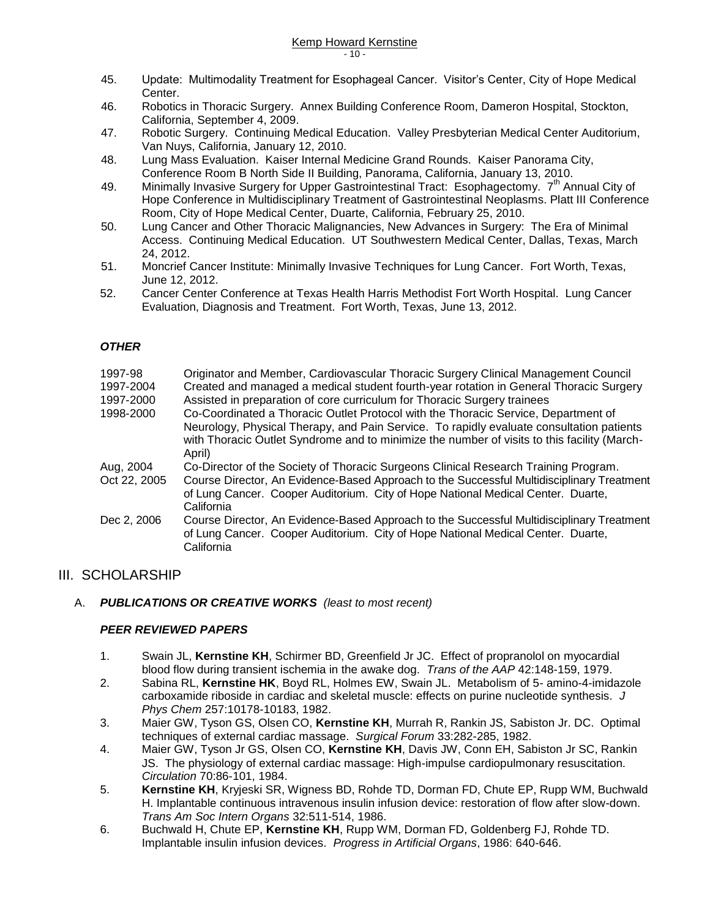- 45. Update: Multimodality Treatment for Esophageal Cancer. Visitor's Center, City of Hope Medical Center.
- 46. Robotics in Thoracic Surgery. Annex Building Conference Room, Dameron Hospital, Stockton, California, September 4, 2009.
- 47. Robotic Surgery. Continuing Medical Education. Valley Presbyterian Medical Center Auditorium, Van Nuys, California, January 12, 2010.
- 48. Lung Mass Evaluation. Kaiser Internal Medicine Grand Rounds. Kaiser Panorama City, Conference Room B North Side II Building, Panorama, California, January 13, 2010.
- 49. Minimally Invasive Surgery for Upper Gastrointestinal Tract: Esophagectomy. 7<sup>th</sup> Annual City of Hope Conference in Multidisciplinary Treatment of Gastrointestinal Neoplasms. Platt III Conference Room, City of Hope Medical Center, Duarte, California, February 25, 2010.
- 50. Lung Cancer and Other Thoracic Malignancies, New Advances in Surgery: The Era of Minimal Access. Continuing Medical Education. UT Southwestern Medical Center, Dallas, Texas, March 24, 2012.
- 51. Moncrief Cancer Institute: Minimally Invasive Techniques for Lung Cancer. Fort Worth, Texas, June 12, 2012.
- 52. Cancer Center Conference at Texas Health Harris Methodist Fort Worth Hospital. Lung Cancer Evaluation, Diagnosis and Treatment. Fort Worth, Texas, June 13, 2012.

#### *OTHER*

| 1997-98      | Originator and Member, Cardiovascular Thoracic Surgery Clinical Management Council                                                                                                          |
|--------------|---------------------------------------------------------------------------------------------------------------------------------------------------------------------------------------------|
| 1997-2004    | Created and managed a medical student fourth-year rotation in General Thoracic Surgery                                                                                                      |
| 1997-2000    | Assisted in preparation of core curriculum for Thoracic Surgery trainees                                                                                                                    |
| 1998-2000    | Co-Coordinated a Thoracic Outlet Protocol with the Thoracic Service, Department of                                                                                                          |
|              | Neurology, Physical Therapy, and Pain Service. To rapidly evaluate consultation patients                                                                                                    |
|              | with Thoracic Outlet Syndrome and to minimize the number of visits to this facility (March-                                                                                                 |
|              | April)                                                                                                                                                                                      |
| Aug, 2004    | Co-Director of the Society of Thoracic Surgeons Clinical Research Training Program.                                                                                                         |
| Oct 22, 2005 | Course Director, An Evidence-Based Approach to the Successful Multidisciplinary Treatment                                                                                                   |
|              | of Lung Cancer. Cooper Auditorium. City of Hope National Medical Center. Duarte,                                                                                                            |
|              | California                                                                                                                                                                                  |
| Dec 2, 2006  | Course Director, An Evidence-Based Approach to the Successful Multidisciplinary Treatment<br>of Lung Cancer. Cooper Auditorium. City of Hope National Medical Center. Duarte,<br>California |
|              |                                                                                                                                                                                             |

### III. SCHOLARSHIP

#### A. *PUBLICATIONS OR CREATIVE WORKS (least to most recent)*

#### *PEER REVIEWED PAPERS*

- 1. Swain JL, **Kernstine KH**, Schirmer BD, Greenfield Jr JC. Effect of propranolol on myocardial blood flow during transient ischemia in the awake dog. *Trans of the AAP* 42:148-159, 1979.
- 2. Sabina RL, **Kernstine HK**, Boyd RL, Holmes EW, Swain JL. Metabolism of 5- amino-4-imidazole carboxamide riboside in cardiac and skeletal muscle: effects on purine nucleotide synthesis. *J Phys Chem* 257:10178-10183, 1982.
- 3. Maier GW, Tyson GS, Olsen CO, **Kernstine KH**, Murrah R, Rankin JS, Sabiston Jr. DC. Optimal techniques of external cardiac massage. *Surgical Forum* 33:282-285, 1982.
- 4. Maier GW, Tyson Jr GS, Olsen CO, **Kernstine KH**, Davis JW, Conn EH, Sabiston Jr SC, Rankin JS. The physiology of external cardiac massage: High-impulse cardiopulmonary resuscitation. *Circulation* 70:86-101, 1984.
- 5. **Kernstine KH**, Kryjeski SR, Wigness BD, Rohde TD, Dorman FD, Chute EP, Rupp WM, Buchwald H. Implantable continuous intravenous insulin infusion device: restoration of flow after slow-down. *Trans Am Soc Intern Organs* 32:511-514, 1986.
- 6. Buchwald H, Chute EP, **Kernstine KH**, Rupp WM, Dorman FD, Goldenberg FJ, Rohde TD. Implantable insulin infusion devices. *Progress in Artificial Organs*, 1986: 640-646.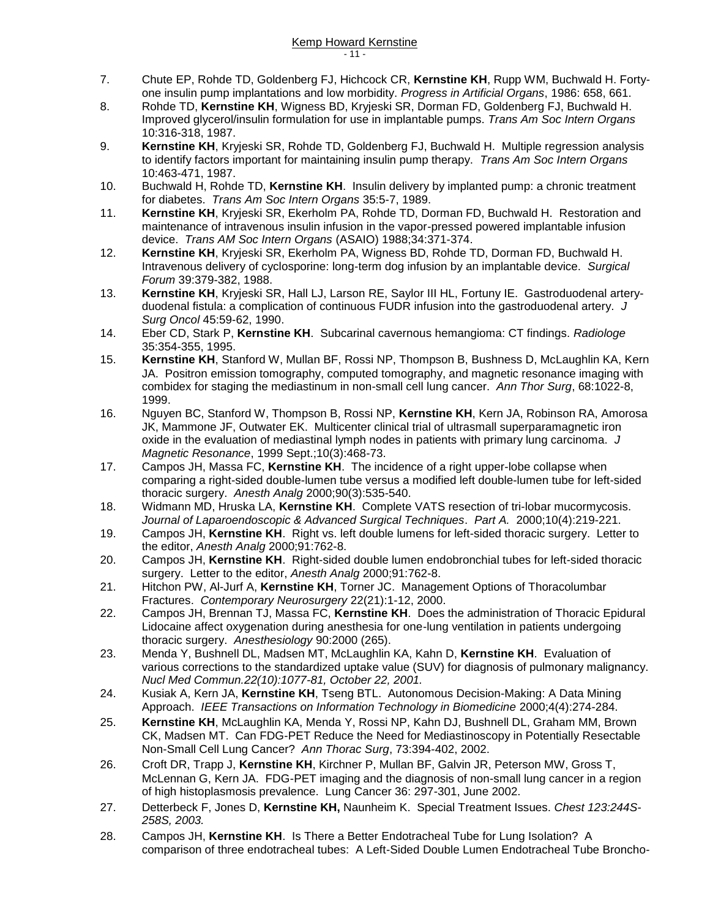- 7. Chute EP, Rohde TD, Goldenberg FJ, Hichcock CR, **Kernstine KH**, Rupp WM, Buchwald H. Fortyone insulin pump implantations and low morbidity. *Progress in Artificial Organs*, 1986: 658, 661.
- 8. Rohde TD, **Kernstine KH**, Wigness BD, Kryjeski SR, Dorman FD, Goldenberg FJ, Buchwald H. Improved glycerol/insulin formulation for use in implantable pumps. *Trans Am Soc Intern Organs* 10:316-318, 1987.
- 9. **Kernstine KH**, Kryjeski SR, Rohde TD, Goldenberg FJ, Buchwald H. Multiple regression analysis to identify factors important for maintaining insulin pump therapy. *Trans Am Soc Intern Organs* 10:463-471, 1987.
- 10. Buchwald H, Rohde TD, **Kernstine KH**. Insulin delivery by implanted pump: a chronic treatment for diabetes. *Trans Am Soc Intern Organs* 35:5-7, 1989.
- 11. **Kernstine KH**, Kryjeski SR, Ekerholm PA, Rohde TD, Dorman FD, Buchwald H. Restoration and maintenance of intravenous insulin infusion in the vapor-pressed powered implantable infusion device. *Trans AM Soc Intern Organs* (ASAIO) 1988;34:371-374.
- 12. **Kernstine KH**, Kryjeski SR, Ekerholm PA, Wigness BD, Rohde TD, Dorman FD, Buchwald H. Intravenous delivery of cyclosporine: long-term dog infusion by an implantable device. *Surgical Forum* 39:379-382, 1988.
- 13. **Kernstine KH**, Kryjeski SR, Hall LJ, Larson RE, Saylor III HL, Fortuny IE. Gastroduodenal arteryduodenal fistula: a complication of continuous FUDR infusion into the gastroduodenal artery. *J Surg Oncol* 45:59-62, 1990.
- 14. Eber CD, Stark P, **Kernstine KH**. Subcarinal cavernous hemangioma: CT findings. *Radiologe* 35:354-355, 1995.
- 15. **Kernstine KH**, Stanford W, Mullan BF, Rossi NP, Thompson B, Bushness D, McLaughlin KA, Kern JA. Positron emission tomography, computed tomography, and magnetic resonance imaging with combidex for staging the mediastinum in non-small cell lung cancer. *Ann Thor Surg*, 68:1022-8, 1999.
- 16. Nguyen BC, Stanford W, Thompson B, Rossi NP, **Kernstine KH**, Kern JA, Robinson RA, Amorosa JK, Mammone JF, Outwater EK. Multicenter clinical trial of ultrasmall superparamagnetic iron oxide in the evaluation of mediastinal lymph nodes in patients with primary lung carcinoma. *J Magnetic Resonance*, 1999 Sept.;10(3):468-73.
- 17. Campos JH, Massa FC, **Kernstine KH**. The incidence of a right upper-lobe collapse when comparing a right-sided double-lumen tube versus a modified left double-lumen tube for left-sided thoracic surgery. *Anesth Analg* 2000;90(3):535-540.
- 18. Widmann MD, Hruska LA, **Kernstine KH**. Complete VATS resection of tri-lobar mucormycosis. *Journal of Laparoendoscopic & Advanced Surgical Techniques*. *Part A.* 2000;10(4):219-221.
- 19. Campos JH, **Kernstine KH**. Right vs. left double lumens for left-sided thoracic surgery. Letter to the editor, *Anesth Analg* 2000;91:762-8.
- 20. Campos JH, **Kernstine KH**. Right-sided double lumen endobronchial tubes for left-sided thoracic surgery. Letter to the editor, *Anesth Analg* 2000;91:762-8.
- 21. Hitchon PW, Al-Jurf A, **Kernstine KH**, Torner JC. Management Options of Thoracolumbar Fractures. *Contemporary Neurosurgery* 22(21):1-12, 2000.
- 22. Campos JH, Brennan TJ, Massa FC, **Kernstine KH**. Does the administration of Thoracic Epidural Lidocaine affect oxygenation during anesthesia for one-lung ventilation in patients undergoing thoracic surgery. *Anesthesiology* 90:2000 (265).
- 23. Menda Y, Bushnell DL, Madsen MT, McLaughlin KA, Kahn D, **Kernstine KH**. Evaluation of various corrections to the standardized uptake value (SUV) for diagnosis of pulmonary malignancy. *Nucl Med Commun.22(10):1077-81, October 22, 2001.*
- 24. Kusiak A, Kern JA, **Kernstine KH**, Tseng BTL. Autonomous Decision-Making: A Data Mining Approach. *IEEE Transactions on Information Technology in Biomedicine* 2000;4(4):274-284.
- 25. **Kernstine KH**, McLaughlin KA, Menda Y, Rossi NP, Kahn DJ, Bushnell DL, Graham MM, Brown CK, Madsen MT. Can FDG-PET Reduce the Need for Mediastinoscopy in Potentially Resectable Non-Small Cell Lung Cancer? *Ann Thorac Surg*, 73:394-402, 2002.
- 26. Croft DR, Trapp J, **Kernstine KH**, Kirchner P, Mullan BF, Galvin JR, Peterson MW, Gross T, McLennan G, Kern JA. FDG-PET imaging and the diagnosis of non-small lung cancer in a region of high histoplasmosis prevalence. Lung Cancer 36: 297-301, June 2002.
- 27. Detterbeck F, Jones D, **Kernstine KH,** Naunheim K. Special Treatment Issues. *Chest 123:244S-258S, 2003.*
- 28. Campos JH, **Kernstine KH**. Is There a Better Endotracheal Tube for Lung Isolation? A comparison of three endotracheal tubes: A Left-Sided Double Lumen Endotracheal Tube Broncho-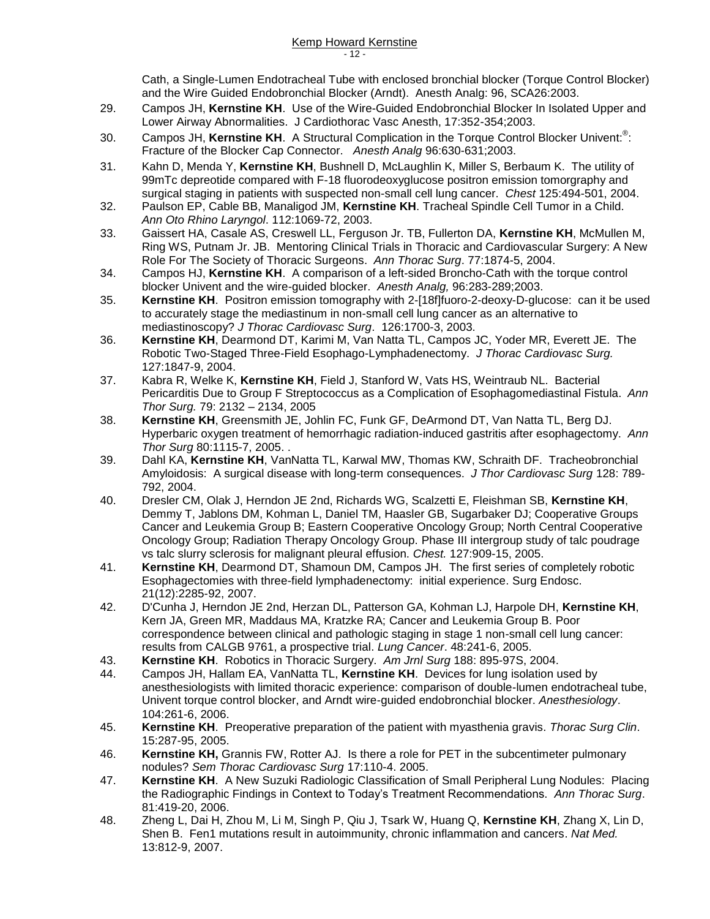Cath, a Single-Lumen Endotracheal Tube with enclosed bronchial blocker (Torque Control Blocker) and the Wire Guided Endobronchial Blocker (Arndt). Anesth Analg: 96, SCA26:2003.

- 29. Campos JH, **Kernstine KH**. Use of the Wire-Guided Endobronchial Blocker In Isolated Upper and Lower Airway Abnormalities. J Cardiothorac Vasc Anesth, 17:352-354;2003.
- 30. Campos JH, Kernstine KH. A Structural Complication in the Torque Control Blocker Univent:<sup>®</sup>: Fracture of the Blocker Cap Connector. *Anesth Analg* 96:630-631;2003.
- 31. Kahn D, Menda Y, **Kernstine KH**, Bushnell D, McLaughlin K, Miller S, Berbaum K. The utility of 99mTc depreotide compared with F-18 fluorodeoxyglucose positron emission tomorgraphy and surgical staging in patients with suspected non-small cell lung cancer. *Chest* 125:494-501, 2004.
- 32. Paulson EP, Cable BB, Manaligod JM, **Kernstine KH**. Tracheal Spindle Cell Tumor in a Child. *Ann Oto Rhino Laryngol*. 112:1069-72, 2003.
- 33. Gaissert HA, Casale AS, Creswell LL, Ferguson Jr. TB, Fullerton DA, **Kernstine KH**, McMullen M, Ring WS, Putnam Jr. JB. Mentoring Clinical Trials in Thoracic and Cardiovascular Surgery: A New Role For The Society of Thoracic Surgeons. *Ann Thorac Surg*. 77:1874-5, 2004.
- 34. Campos HJ, **Kernstine KH**. A comparison of a left-sided Broncho-Cath with the torque control blocker Univent and the wire-guided blocker. *Anesth Analg,* 96:283-289;2003.
- 35. **Kernstine KH**. Positron emission tomography with 2-[18f]fuoro-2-deoxy-D-glucose: can it be used to accurately stage the mediastinum in non-small cell lung cancer as an alternative to mediastinoscopy? *J Thorac Cardiovasc Surg*. 126:1700-3, 2003.
- 36. **Kernstine KH**, Dearmond DT, Karimi M, Van Natta TL, Campos JC, Yoder MR, Everett JE. The Robotic Two-Staged Three-Field Esophago-Lymphadenectomy. *J Thorac Cardiovasc Surg.* 127:1847-9, 2004.
- 37. Kabra R, Welke K, **Kernstine KH**, Field J, Stanford W, Vats HS, Weintraub NL. Bacterial Pericarditis Due to Group F Streptococcus as a Complication of Esophagomediastinal Fistula. *Ann Thor Surg.* 79: 2132 – 2134, 2005
- 38. **Kernstine KH**, Greensmith JE, Johlin FC, Funk GF, DeArmond DT, Van Natta TL, Berg DJ. Hyperbaric oxygen treatment of hemorrhagic radiation-induced gastritis after esophagectomy. *Ann Thor Surg* 80:1115-7, 2005. .
- 39. Dahl KA, **Kernstine KH**, VanNatta TL, Karwal MW, Thomas KW, Schraith DF. Tracheobronchial Amyloidosis: A surgical disease with long-term consequences. *J Thor Cardiovasc Surg* 128: 789- 792, 2004.
- 40. Dresler CM, Olak J, Herndon JE 2nd, Richards WG, Scalzetti E, Fleishman SB, **Kernstine KH**, Demmy T, Jablons DM, Kohman L, Daniel TM, Haasler GB, Sugarbaker DJ; Cooperative Groups Cancer and Leukemia Group B; Eastern Cooperative Oncology Group; North Central Cooperative Oncology Group; Radiation Therapy Oncology Group. Phase III intergroup study of talc poudrage vs talc slurry sclerosis for malignant pleural effusion. *Chest.* 127:909-15, 2005.
- 41. **Kernstine KH**, Dearmond DT, Shamoun DM, Campos JH. The first series of completely robotic Esophagectomies with three-field lymphadenectomy: initial experience. Surg Endosc. 21(12):2285-92, 2007.
- 42. D'Cunha J, Herndon JE 2nd, Herzan DL, Patterson GA, Kohman LJ, Harpole DH, **Kernstine KH**, Kern JA, Green MR, Maddaus MA, Kratzke RA; Cancer and Leukemia Group B. Poor correspondence between clinical and pathologic staging in stage 1 non-small cell lung cancer: results from CALGB 9761, a prospective trial. *Lung Cancer*. 48:241-6, 2005.
- 43. **Kernstine KH**. Robotics in Thoracic Surgery. *Am Jrnl Surg* 188: 895-97S, 2004.
- 44. Campos JH, Hallam EA, VanNatta TL, **Kernstine KH**. Devices for lung isolation used by anesthesiologists with limited thoracic experience: comparison of double-lumen endotracheal tube, Univent torque control blocker, and Arndt wire-guided endobronchial blocker. *Anesthesiology*. 104:261-6, 2006.
- 45. **Kernstine KH**. Preoperative preparation of the patient with myasthenia gravis. *Thorac Surg Clin*. 15:287-95, 2005.
- 46. **Kernstine KH,** Grannis FW, Rotter AJ. Is there a role for PET in the subcentimeter pulmonary nodules? *Sem Thorac Cardiovasc Surg* 17:110-4. 2005.
- 47. **Kernstine KH**. A New Suzuki Radiologic Classification of Small Peripheral Lung Nodules: Placing the Radiographic Findings in Context to Today's Treatment Recommendations. *Ann Thorac Surg*. 81:419-20, 2006.
- 48. Zheng L, Dai H, Zhou M, Li M, Singh P, Qiu J, Tsark W, Huang Q, **Kernstine KH**, Zhang X, Lin D, Shen B. Fen1 mutations result in autoimmunity, chronic inflammation and cancers. *Nat Med.* 13:812-9, 2007.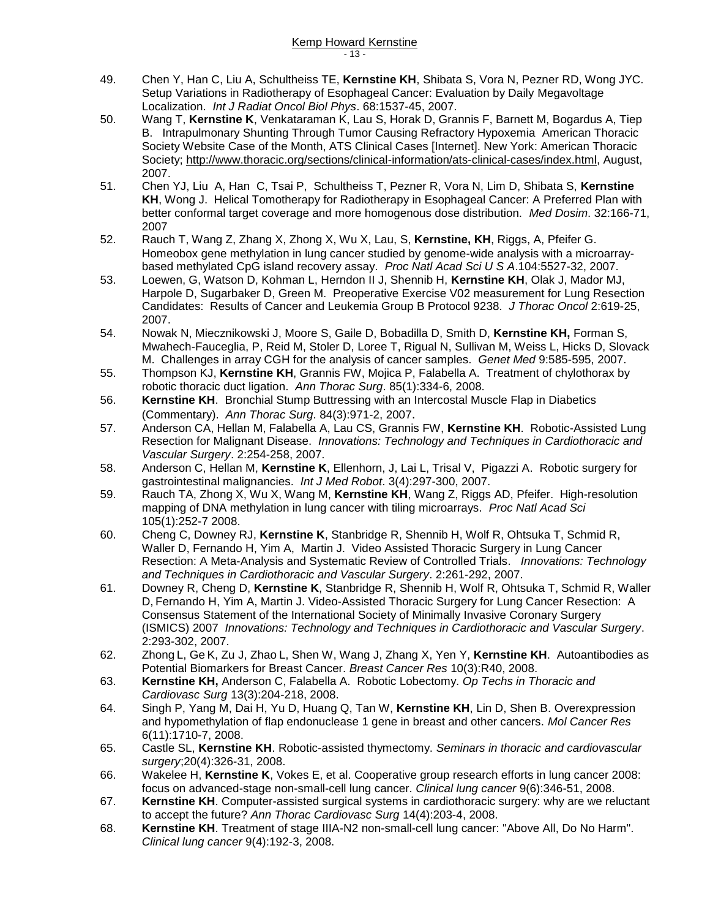- 49. Chen Y, Han C, Liu A, Schultheiss TE, **Kernstine KH**, Shibata S, Vora N, Pezner RD, Wong JYC. Setup Variations in Radiotherapy of Esophageal Cancer: Evaluation by Daily Megavoltage Localization. *Int J Radiat Oncol Biol Phys*. 68:1537-45, 2007.
- 50. Wang T, **Kernstine K**, Venkataraman K, Lau S, Horak D, Grannis F, Barnett M, Bogardus A, Tiep B. Intrapulmonary Shunting Through Tumor Causing Refractory Hypoxemia American Thoracic Society Website Case of the Month, ATS Clinical Cases [Internet]. New York: American Thoracic Society; [http://www.thoracic.org/sections/clinical-information/ats-clinical-cases/index.html,](http://www.thoracic.org/sections/clinical-information/ats-clinical-cases/index.html) August, 2007.
- 51. Chen YJ, Liu A, Han C, Tsai P, Schultheiss T, Pezner R, Vora N, Lim D, Shibata S, **Kernstine KH**, Wong J. Helical Tomotherapy for Radiotherapy in Esophageal Cancer: A Preferred Plan with better conformal target coverage and more homogenous dose distribution. *Med Dosim*. 32:166-71, 2007
- 52. Rauch T, Wang Z, Zhang X, Zhong X, Wu X, Lau, S, **Kernstine, KH**, Riggs, A, Pfeifer G. Homeobox gene methylation in lung cancer studied by genome-wide analysis with a microarraybased methylated CpG island recovery assay. *Proc Natl Acad Sci U S A*.104:5527-32, 2007.
- 53. Loewen, G, Watson D, Kohman L, Herndon II J, Shennib H, **Kernstine KH**, Olak J, Mador MJ, Harpole D, Sugarbaker D, Green M. Preoperative Exercise V02 measurement for Lung Resection Candidates: Results of Cancer and Leukemia Group B Protocol 9238. *J Thorac Oncol* 2:619-25, 2007.
- 54. Nowak N, Miecznikowski J, Moore S, Gaile D, Bobadilla D, Smith D, **Kernstine KH,** Forman S, Mwahech-Fauceglia, P, Reid M, Stoler D, Loree T, Rigual N, Sullivan M, Weiss L, Hicks D, Slovack M. Challenges in array CGH for the analysis of cancer samples. *Genet Med* 9:585-595, 2007.
- 55. Thompson KJ, **Kernstine KH**, Grannis FW, Mojica P, Falabella A. Treatment of chylothorax by robotic thoracic duct ligation. *Ann Thorac Surg*. 85(1):334-6, 2008.
- 56. **Kernstine KH**. Bronchial Stump Buttressing with an Intercostal Muscle Flap in Diabetics (Commentary). *Ann Thorac Surg*. 84(3):971-2, 2007.
- 57. Anderson CA, Hellan M, Falabella A, Lau CS, Grannis FW, **Kernstine KH**. Robotic-Assisted Lung Resection for Malignant Disease. *Innovations: Technology and Techniques in Cardiothoracic and Vascular Surgery*. 2:254-258, 2007.
- 58. Anderson C, Hellan M, **Kernstine K**, Ellenhorn, J, Lai L, Trisal V, Pigazzi A. Robotic surgery for gastrointestinal malignancies. *Int J Med Robot*. 3(4):297-300, 2007.
- 59. Rauch TA, Zhong X, Wu X, Wang M, **Kernstine KH**, Wang Z, Riggs AD, Pfeifer. High-resolution mapping of DNA methylation in lung cancer with tiling microarrays. *Proc Natl Acad Sci* 105(1):252-7 2008.
- 60. Cheng C, Downey RJ, **Kernstine K**, Stanbridge R, Shennib H, Wolf R, Ohtsuka T, Schmid R, Waller D, Fernando H, Yim A, Martin J. Video Assisted Thoracic Surgery in Lung Cancer Resection: A Meta-Analysis and Systematic Review of Controlled Trials. *Innovations: Technology and Techniques in Cardiothoracic and Vascular Surgery*. 2:261-292, 2007.
- 61. Downey R, Cheng D, **Kernstine K**, Stanbridge R, Shennib H, Wolf R, Ohtsuka T, Schmid R, Waller D, Fernando H, Yim A, Martin J. Video-Assisted Thoracic Surgery for Lung Cancer Resection: A Consensus Statement of the International Society of Minimally Invasive Coronary Surgery (ISMICS) 2007 *Innovations: Technology and Techniques in Cardiothoracic and Vascular Surgery*. 2:293-302, 2007.
- 62. Zhong L, Ge K, Zu J, Zhao L, Shen W, Wang J, Zhang X, Yen Y, **Kernstine KH**. Autoantibodies as Potential Biomarkers for Breast Cancer. *Breast Cancer Res* 10(3):R40, 2008.
- 63. **Kernstine KH,** Anderson C, Falabella A. Robotic Lobectomy. *Op Techs in Thoracic and Cardiovasc Surg* 13(3):204-218, 2008.
- 64. Singh P, Yang M, Dai H, Yu D, Huang Q, Tan W, **Kernstine KH**, Lin D, Shen B. Overexpression and hypomethylation of flap endonuclease 1 gene in breast and other cancers. *Mol Cancer Res* 6(11):1710-7, 2008.
- 65. Castle SL, **Kernstine KH**. Robotic-assisted thymectomy. *Seminars in thoracic and cardiovascular surgery*;20(4):326-31, 2008.
- 66. Wakelee H, **Kernstine K**, Vokes E, et al. Cooperative group research efforts in lung cancer 2008: focus on advanced-stage non-small-cell lung cancer. *Clinical lung cancer* 9(6):346-51, 2008.
- 67. **Kernstine KH**. Computer-assisted surgical systems in cardiothoracic surgery: why are we reluctant to accept the future? *Ann Thorac Cardiovasc Surg* 14(4):203-4, 2008.
- 68. **Kernstine KH**. Treatment of stage IIIA-N2 non-small-cell lung cancer: "Above All, Do No Harm". *Clinical lung cancer* 9(4):192-3, 2008.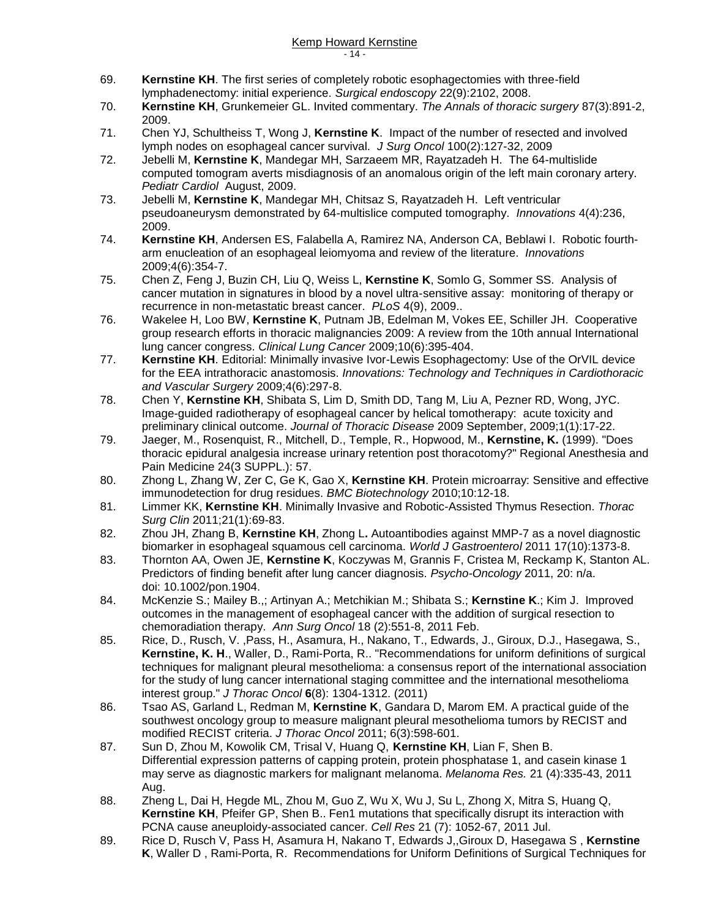- 69. **Kernstine KH**. The first series of completely robotic esophagectomies with three-field lymphadenectomy: initial experience. *Surgical endoscopy* 22(9):2102, 2008.
- 70. **Kernstine KH**, Grunkemeier GL. Invited commentary. *The Annals of thoracic surgery* 87(3):891-2, 2009.
- 71. Chen YJ, Schultheiss T, Wong J, **Kernstine K**. Impact of the number of resected and involved lymph nodes on esophageal cancer survival. *J Surg Oncol* 100(2):127-32, 2009
- 72. Jebelli M, **Kernstine K**, Mandegar MH, Sarzaeem MR, Rayatzadeh H. The 64-multislide computed tomogram averts misdiagnosis of an anomalous origin of the left main coronary artery. *Pediatr Cardiol* August, 2009.
- 73. Jebelli M, **Kernstine K**, Mandegar MH, Chitsaz S, Rayatzadeh H. Left ventricular pseudoaneurysm demonstrated by 64-multislice computed tomography. *Innovations* 4(4):236, 2009.
- 74. **Kernstine KH**, Andersen ES, Falabella A, Ramirez NA, Anderson CA, Beblawi I. Robotic fourtharm enucleation of an esophageal leiomyoma and review of the literature. *Innovations* 2009;4(6):354-7.
- 75. Chen Z, Feng J, Buzin CH, Liu Q, Weiss L, **Kernstine K**, Somlo G, Sommer SS. Analysis of cancer mutation in signatures in blood by a novel ultra-sensitive assay: monitoring of therapy or recurrence in non-metastatic breast cancer. *PLoS* 4(9), 2009..
- 76. Wakelee H, Loo BW, **Kernstine K**, Putnam JB, Edelman M, Vokes EE, Schiller JH. Cooperative group research efforts in thoracic malignancies 2009: A review from the 10th annual International lung cancer congress. *Clinical Lung Cancer* 2009;10(6):395-404.
- 77. **Kernstine KH**. Editorial: Minimally invasive Ivor-Lewis Esophagectomy: Use of the OrVIL device for the EEA intrathoracic anastomosis. *Innovations: Technology and Techniques in Cardiothoracic and Vascular Surgery* 2009;4(6):297-8.
- 78. Chen Y, **Kernstine KH**, Shibata S, Lim D, Smith DD, Tang M, Liu A, Pezner RD, Wong, JYC. Image-guided radiotherapy of esophageal cancer by helical tomotherapy: acute toxicity and preliminary clinical outcome. *Journal of Thoracic Disease* 2009 September, 2009;1(1):17-22.
- 79. Jaeger, M., Rosenquist, R., Mitchell, D., Temple, R., Hopwood, M., **Kernstine, K.** (1999). "Does thoracic epidural analgesia increase urinary retention post thoracotomy?" Regional Anesthesia and Pain Medicine 24(3 SUPPL.): 57.
- 80. Zhong L, Zhang W, Zer C, Ge K, Gao X, **Kernstine KH**. Protein microarray: Sensitive and effective immunodetection for drug residues. *BMC Biotechnology* 2010;10:12-18.
- 81. Limmer KK, **Kernstine KH**. Minimally Invasive and Robotic-Assisted Thymus Resection. *Thorac Surg Clin* 2011;21(1):69-83.
- 82. Zhou JH, Zhang B, **Kernstine KH**, Zhong L**.** Autoantibodies against MMP-7 as a novel diagnostic biomarker in esophageal squamous cell carcinoma. *World J Gastroenterol* 2011 17(10):1373-8.
- 83. Thornton AA, Owen JE, **Kernstine K**, Koczywas M, Grannis F, Cristea M, Reckamp K, Stanton AL. Predictors of finding benefit after lung cancer diagnosis. *Psycho-Oncology* 2011, 20: n/a. doi: 10.1002/pon.1904.
- 84. McKenzie S.; Mailey B.,; Artinyan A.; Metchikian M.; Shibata S.; **Kernstine K**.; Kim J. Improved outcomes in the management of esophageal cancer with the addition of surgical resection to chemoradiation therapy. *Ann Surg Oncol* 18 (2):551-8, 2011 Feb.
- 85. Rice, D., Rusch, V., Pass, H., Asamura, H., Nakano, T., Edwards, J., Giroux, D.J., Hasegawa, S., **Kernstine, K. H**., Waller, D., Rami-Porta, R.. "Recommendations for uniform definitions of surgical techniques for malignant pleural mesothelioma: a consensus report of the international association for the study of lung cancer international staging committee and the international mesothelioma interest group." *J Thorac Oncol* **6**(8): 1304-1312. (2011)
- 86. Tsao AS, Garland L, Redman M, **Kernstine K**, Gandara D, Marom EM. A practical guide of the southwest oncology group to measure malignant pleural mesothelioma tumors by RECIST and modified RECIST criteria. *J Thorac Oncol* 2011; 6(3):598-601.
- 87. Sun D, Zhou M, Kowolik CM, Trisal V, Huang Q, **Kernstine KH**, Lian F, Shen B. [Differential expression patterns of capping protein, protein phosphatase 1, and casein kinase 1](http://www.biomedexperts.com/Abstract/Abstract.aspx?recordid=21566537&login=kkernstine@coh.org&lid=20110718)  [may serve as diagnostic markers for malignant melanoma.](http://www.biomedexperts.com/Abstract/Abstract.aspx?recordid=21566537&login=kkernstine@coh.org&lid=20110718) *Melanoma Res.* 21 (4):335-43, 2011 Aug.
- 88. Zheng L, Dai H, Hegde ML, Zhou M, Guo Z, Wu X, Wu J, Su L, Zhong X, Mitra S, Huang Q, **Kernstine KH**, Pfeifer GP, Shen B.. [Fen1 mutations that specifically disrupt its interaction with](http://www.biomedexperts.com/Abstract/Abstract.aspx?recordid=21383776&login=kkernstine@coh.org&lid=20110718)  [PCNA cause aneuploidy-associated cancer.](http://www.biomedexperts.com/Abstract/Abstract.aspx?recordid=21383776&login=kkernstine@coh.org&lid=20110718) *Cell Res* 21 (7): 1052-67, 2011 Jul.
- 89. Rice D, Rusch V, Pass H, Asamura H, Nakano T, Edwards J,,Giroux D, Hasegawa S , **Kernstine K**, Waller D , Rami-Porta, R. Recommendations for Uniform Definitions of Surgical Techniques for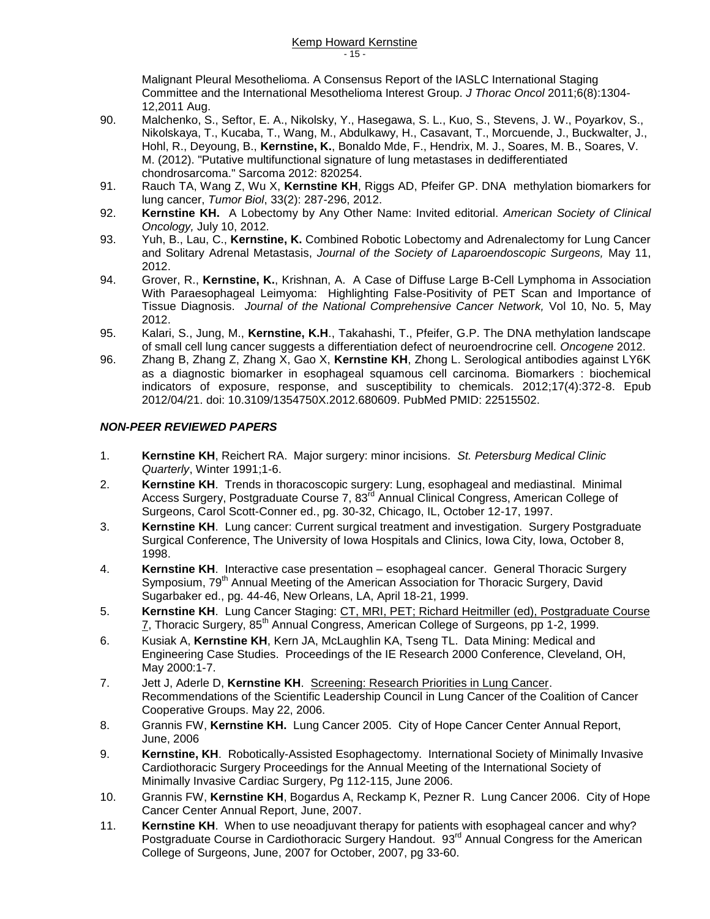Malignant Pleural Mesothelioma. A Consensus Report of the IASLC International Staging Committee and the International Mesothelioma Interest Group. *J Thorac Oncol* 2011;6(8):1304- 12,2011 Aug.

- 90. Malchenko, S., Seftor, E. A., Nikolsky, Y., Hasegawa, S. L., Kuo, S., Stevens, J. W., Poyarkov, S., Nikolskaya, T., Kucaba, T., Wang, M., Abdulkawy, H., Casavant, T., Morcuende, J., Buckwalter, J., Hohl, R., Deyoung, B., **Kernstine, K.**, Bonaldo Mde, F., Hendrix, M. J., Soares, M. B., Soares, V. M. (2012). "Putative multifunctional signature of lung metastases in dedifferentiated chondrosarcoma." Sarcoma 2012: 820254.
- 91. Rauch TA, Wang Z, Wu X, **Kernstine KH**, Riggs AD, Pfeifer GP. DNA methylation biomarkers for lung cancer, *Tumor Biol*, 33(2): 287-296, 2012.
- 92. **Kernstine KH.** A Lobectomy by Any Other Name: Invited editorial. *American Society of Clinical Oncology,* July 10, 2012.
- 93. Yuh, B., Lau, C., **Kernstine, K.** Combined Robotic Lobectomy and Adrenalectomy for Lung Cancer and Solitary Adrenal Metastasis, *Journal of the Society of Laparoendoscopic Surgeons,* May 11, 2012.
- 94. Grover, R., **Kernstine, K.**, Krishnan, A. A Case of Diffuse Large B-Cell Lymphoma in Association With Paraesophageal Leimyoma: Highlighting False-Positivity of PET Scan and Importance of Tissue Diagnosis. *Journal of the National Comprehensive Cancer Network,* Vol 10, No. 5, May 2012.
- 95. Kalari, S., Jung, M., **Kernstine, K.H**., Takahashi, T., Pfeifer, G.P. The DNA methylation landscape of small cell lung cancer suggests a differentiation defect of neuroendrocrine cell. *Oncogene* 2012.
- 96. Zhang B, Zhang Z, Zhang X, Gao X, **Kernstine KH**, Zhong L. Serological antibodies against LY6K as a diagnostic biomarker in esophageal squamous cell carcinoma. Biomarkers : biochemical indicators of exposure, response, and susceptibility to chemicals. 2012;17(4):372-8. Epub 2012/04/21. doi: 10.3109/1354750X.2012.680609. PubMed PMID: 22515502.

#### *NON-PEER REVIEWED PAPERS*

- 1. **Kernstine KH**, Reichert RA. Major surgery: minor incisions. *St. Petersburg Medical Clinic Quarterly*, Winter 1991;1-6.
- 2. **Kernstine KH**. Trends in thoracoscopic surgery: Lung, esophageal and mediastinal. Minimal Access Surgery, Postgraduate Course 7, 83<sup>rd</sup> Annual Clinical Congress, American College of Surgeons, Carol Scott-Conner ed., pg. 30-32, Chicago, IL, October 12-17, 1997.
- 3. **Kernstine KH**. Lung cancer: Current surgical treatment and investigation. Surgery Postgraduate Surgical Conference, The University of Iowa Hospitals and Clinics, Iowa City, Iowa, October 8, 1998.
- 4. **Kernstine KH**. Interactive case presentation esophageal cancer. General Thoracic Surgery Symposium, 79<sup>th</sup> Annual Meeting of the American Association for Thoracic Surgery, David Sugarbaker ed., pg. 44-46, New Orleans, LA, April 18-21, 1999.
- 5. **Kernstine KH**. Lung Cancer Staging: CT, MRI, PET; Richard Heitmiller (ed), Postgraduate Course 7, Thoracic Surgery, 85<sup>th</sup> Annual Congress, American College of Surgeons, pp 1-2, 1999.
- 6. Kusiak A, **Kernstine KH**, Kern JA, McLaughlin KA, Tseng TL. Data Mining: Medical and Engineering Case Studies. Proceedings of the IE Research 2000 Conference, Cleveland, OH, May 2000:1-7.
- 7. Jett J, Aderle D, **Kernstine KH**. Screening: Research Priorities in Lung Cancer. Recommendations of the Scientific Leadership Council in Lung Cancer of the Coalition of Cancer Cooperative Groups. May 22, 2006.
- 8. Grannis FW, **Kernstine KH.** Lung Cancer 2005. City of Hope Cancer Center Annual Report, June, 2006
- 9. **Kernstine, KH**. Robotically-Assisted Esophagectomy. International Society of Minimally Invasive Cardiothoracic Surgery Proceedings for the Annual Meeting of the International Society of Minimally Invasive Cardiac Surgery, Pg 112-115, June 2006.
- 10. Grannis FW, **Kernstine KH**, Bogardus A, Reckamp K, Pezner R. Lung Cancer 2006. City of Hope Cancer Center Annual Report, June, 2007.
- 11. **Kernstine KH**. When to use neoadjuvant therapy for patients with esophageal cancer and why? Postgraduate Course in Cardiothoracic Surgery Handout. 93rd Annual Congress for the American College of Surgeons, June, 2007 for October, 2007, pg 33-60.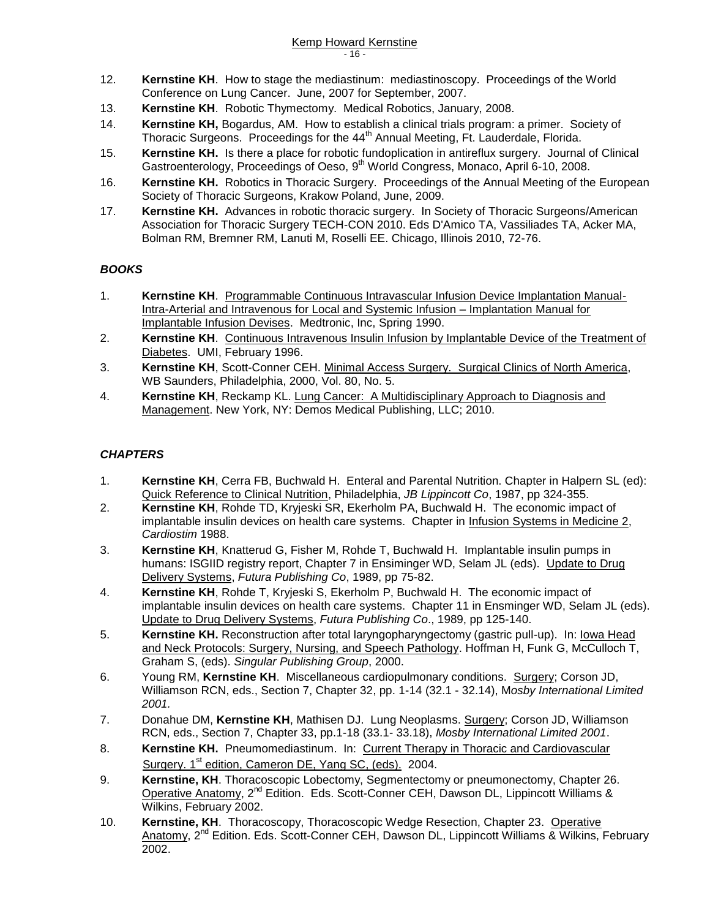- 12. **Kernstine KH**. How to stage the mediastinum: mediastinoscopy. Proceedings of the World Conference on Lung Cancer. June, 2007 for September, 2007.
- 13. **Kernstine KH**. Robotic Thymectomy. Medical Robotics, January, 2008.
- 14. **Kernstine KH,** Bogardus, AM. How to establish a clinical trials program: a primer. Society of Thoracic Surgeons. Proceedings for the 44<sup>th</sup> Annual Meeting, Ft. Lauderdale, Florida.
- 15. **Kernstine KH.** Is there a place for robotic fundoplication in antireflux surgery. Journal of Clinical Gastroenterology, Proceedings of Oeso, 9<sup>th</sup> World Congress, Monaco, April 6-10, 2008.
- 16. **Kernstine KH.** Robotics in Thoracic Surgery. Proceedings of the Annual Meeting of the European Society of Thoracic Surgeons, Krakow Poland, June, 2009.
- 17. **Kernstine KH.** Advances in robotic thoracic surgery. In Society of Thoracic Surgeons/American Association for Thoracic Surgery TECH-CON 2010. Eds D'Amico TA, Vassiliades TA, Acker MA, Bolman RM, Bremner RM, Lanuti M, Roselli EE. Chicago, Illinois 2010, 72-76.

### *BOOKS*

- 1. **Kernstine KH**. Programmable Continuous Intravascular Infusion Device Implantation Manual-Intra-Arterial and Intravenous for Local and Systemic Infusion – Implantation Manual for Implantable Infusion Devises. Medtronic, Inc, Spring 1990.
- 2. **Kernstine KH**. Continuous Intravenous Insulin Infusion by Implantable Device of the Treatment of Diabetes. UMI, February 1996.
- 3. **Kernstine KH**, Scott-Conner CEH. Minimal Access Surgery. Surgical Clinics of North America, WB Saunders, Philadelphia, 2000, Vol. 80, No. 5.
- 4. **Kernstine KH**, Reckamp KL. Lung Cancer: A Multidisciplinary Approach to Diagnosis and Management. New York, NY: Demos Medical Publishing, LLC; 2010.

### *CHAPTERS*

- 1. **Kernstine KH**, Cerra FB, Buchwald H. Enteral and Parental Nutrition. Chapter in Halpern SL (ed): Quick Reference to Clinical Nutrition, Philadelphia, *JB Lippincott Co*, 1987, pp 324-355.
- 2. **Kernstine KH**, Rohde TD, Kryjeski SR, Ekerholm PA, Buchwald H. The economic impact of implantable insulin devices on health care systems. Chapter in Infusion Systems in Medicine 2, *Cardiostim* 1988.
- 3. **Kernstine KH**, Knatterud G, Fisher M, Rohde T, Buchwald H. Implantable insulin pumps in humans: ISGIID registry report, Chapter 7 in Ensiminger WD, Selam JL (eds). Update to Drug Delivery Systems, *Futura Publishing Co*, 1989, pp 75-82.
- 4. **Kernstine KH**, Rohde T, Kryjeski S, Ekerholm P, Buchwald H. The economic impact of implantable insulin devices on health care systems. Chapter 11 in Ensminger WD, Selam JL (eds). Update to Drug Delivery Systems, *Futura Publishing Co*., 1989, pp 125-140.
- 5. **Kernstine KH.** Reconstruction after total laryngopharyngectomy (gastric pull-up). In: Iowa Head and Neck Protocols: Surgery, Nursing, and Speech Pathology. Hoffman H, Funk G, McCulloch T, Graham S, (eds). *Singular Publishing Group*, 2000.
- 6. Young RM, **Kernstine KH**. Miscellaneous cardiopulmonary conditions. Surgery; Corson JD, Williamson RCN, eds., Section 7, Chapter 32, pp. 1-14 (32.1 - 32.14), M*osby International Limited 2001.*
- 7. Donahue DM, **Kernstine KH**, Mathisen DJ. Lung Neoplasms. Surgery; Corson JD, Williamson RCN, eds., Section 7, Chapter 33, pp.1-18 (33.1- 33.18), *Mosby International Limited 2001*.
- 8. **Kernstine KH.** Pneumomediastinum. In: Current Therapy in Thoracic and Cardiovascular Surgery. 1<sup>st</sup> edition, Cameron DE, Yang SC, (eds). 2004.
- 9. **Kernstine, KH**. Thoracoscopic Lobectomy, Segmentectomy or pneumonectomy, Chapter 26. Operative Anatomy, 2nd Edition. Eds. Scott-Conner CEH, Dawson DL, Lippincott Williams & Wilkins, February 2002.
- 10. **Kernstine, KH.** Thoracoscopy, Thoracoscopic Wedge Resection, Chapter 23. Operative Anatomy, 2<sup>nd</sup> Edition. Eds. Scott-Conner CEH, Dawson DL, Lippincott Williams & Wilkins, February 2002.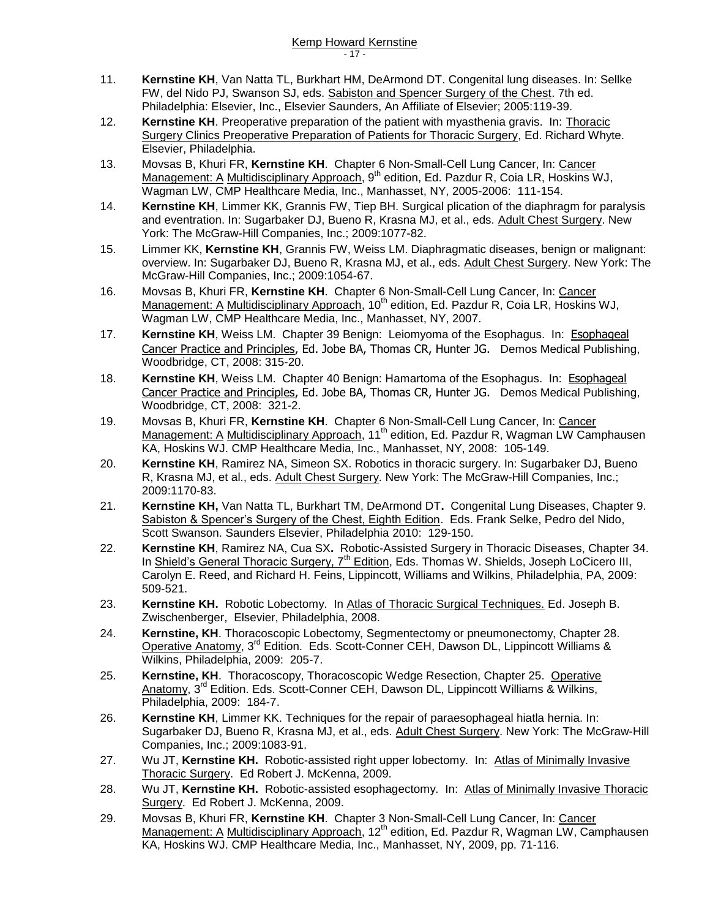- 11. **Kernstine KH**, Van Natta TL, Burkhart HM, DeArmond DT. Congenital lung diseases. In: Sellke FW, del Nido PJ, Swanson SJ, eds. Sabiston and Spencer Surgery of the Chest. 7th ed. Philadelphia: Elsevier, Inc., Elsevier Saunders, An Affiliate of Elsevier; 2005:119-39.
- 12. **Kernstine KH**. Preoperative preparation of the patient with myasthenia gravis. In: Thoracic Surgery Clinics Preoperative Preparation of Patients for Thoracic Surgery, Ed. Richard Whyte. Elsevier, Philadelphia.
- 13. Movsas B, Khuri FR, **Kernstine KH**. Chapter 6 Non-Small-Cell Lung Cancer, In: Cancer Management: A Multidisciplinary Approach, 9<sup>th</sup> edition, Ed. Pazdur R, Coia LR, Hoskins WJ, Wagman LW, CMP Healthcare Media, Inc., Manhasset, NY, 2005-2006: 111-154.
- 14. **Kernstine KH**, Limmer KK, Grannis FW, Tiep BH. Surgical plication of the diaphragm for paralysis and eventration. In: Sugarbaker DJ, Bueno R, Krasna MJ, et al., eds. Adult Chest Surgery. New York: The McGraw-Hill Companies, Inc.; 2009:1077-82.
- 15. Limmer KK, **Kernstine KH**, Grannis FW, Weiss LM. Diaphragmatic diseases, benign or malignant: overview. In: Sugarbaker DJ, Bueno R, Krasna MJ, et al., eds. Adult Chest Surgery. New York: The McGraw-Hill Companies, Inc.; 2009:1054-67.
- 16. Movsas B, Khuri FR, **Kernstine KH**. Chapter 6 Non-Small-Cell Lung Cancer, In: Cancer Management: A Multidisciplinary Approach, 10<sup>th</sup> edition, Ed. Pazdur R, Coia LR, Hoskins WJ, Wagman LW, CMP Healthcare Media, Inc., Manhasset, NY, 2007.
- 17. **Kernstine KH**, Weiss LM. Chapter 39 Benign: Leiomyoma of the Esophagus. In: Esophageal Cancer Practice and Principles, Ed. Jobe BA, Thomas CR, Hunter JG. Demos Medical Publishing, Woodbridge, CT, 2008: 315-20.
- 18. **Kernstine KH**, Weiss LM. Chapter 40 Benign: Hamartoma of the Esophagus. In: Esophageal Cancer Practice and Principles, Ed. Jobe BA, Thomas CR, Hunter JG. Demos Medical Publishing, Woodbridge, CT, 2008: 321-2.
- 19. Movsas B, Khuri FR, **Kernstine KH**. Chapter 6 Non-Small-Cell Lung Cancer, In: Cancer Management: A Multidisciplinary Approach, 11<sup>th</sup> edition, Ed. Pazdur R, Wagman LW Camphausen KA, Hoskins WJ. CMP Healthcare Media, Inc., Manhasset, NY, 2008: 105-149.
- 20. **Kernstine KH**, Ramirez NA, Simeon SX. Robotics in thoracic surgery. In: Sugarbaker DJ, Bueno R, Krasna MJ, et al., eds. Adult Chest Surgery. New York: The McGraw-Hill Companies, Inc.; 2009:1170-83.
- 21. **Kernstine KH,** Van Natta TL, Burkhart TM, DeArmond DT**.** Congenital Lung Diseases, Chapter 9. Sabiston & Spencer's Surgery of the Chest, Eighth Edition. Eds. Frank Selke, Pedro del Nido, Scott Swanson. Saunders Elsevier, Philadelphia 2010: 129-150.
- 22. **Kernstine KH**, Ramirez NA, Cua SX**.** Robotic-Assisted Surgery in Thoracic Diseases, Chapter 34. In Shield's General Thoracic Surgery,  $7<sup>th</sup>$  Edition, Eds. Thomas W. Shields, Joseph LoCicero III, Carolyn E. Reed, and Richard H. Feins, Lippincott, Williams and Wilkins, Philadelphia, PA, 2009: 509-521.
- 23. **Kernstine KH.** Robotic Lobectomy. In Atlas of Thoracic Surgical Techniques. Ed. Joseph B. Zwischenberger, Elsevier, Philadelphia, 2008.
- 24. **Kernstine, KH**. Thoracoscopic Lobectomy, Segmentectomy or pneumonectomy, Chapter 28. Operative Anatomy, 3rd Edition. Eds. Scott-Conner CEH, Dawson DL, Lippincott Williams & Wilkins, Philadelphia, 2009: 205-7.
- 25. **Kernstine, KH**. Thoracoscopy, Thoracoscopic Wedge Resection, Chapter 25. Operative Anatomy, 3<sup>rd</sup> Edition. Eds. Scott-Conner CEH, Dawson DL, Lippincott Williams & Wilkins, Philadelphia, 2009: 184-7.
- 26. **Kernstine KH**, Limmer KK. Techniques for the repair of paraesophageal hiatla hernia. In: Sugarbaker DJ, Bueno R, Krasna MJ, et al., eds. Adult Chest Surgery. New York: The McGraw-Hill Companies, Inc.; 2009:1083-91.
- 27. Wu JT, **Kernstine KH.** Robotic-assisted right upper lobectomy. In: Atlas of Minimally Invasive Thoracic Surgery. Ed Robert J. McKenna, 2009.
- 28. Wu JT, **Kernstine KH.** Robotic-assisted esophagectomy. In: Atlas of Minimally Invasive Thoracic Surgery. Ed Robert J. McKenna, 2009.
- 29. Movsas B, Khuri FR, **Kernstine KH**. Chapter 3 Non-Small-Cell Lung Cancer, In: Cancer Management: A Multidisciplinary Approach,  $12<sup>th</sup>$  edition, Ed. Pazdur R, Wagman LW, Camphausen KA, Hoskins WJ. CMP Healthcare Media, Inc., Manhasset, NY, 2009, pp. 71-116.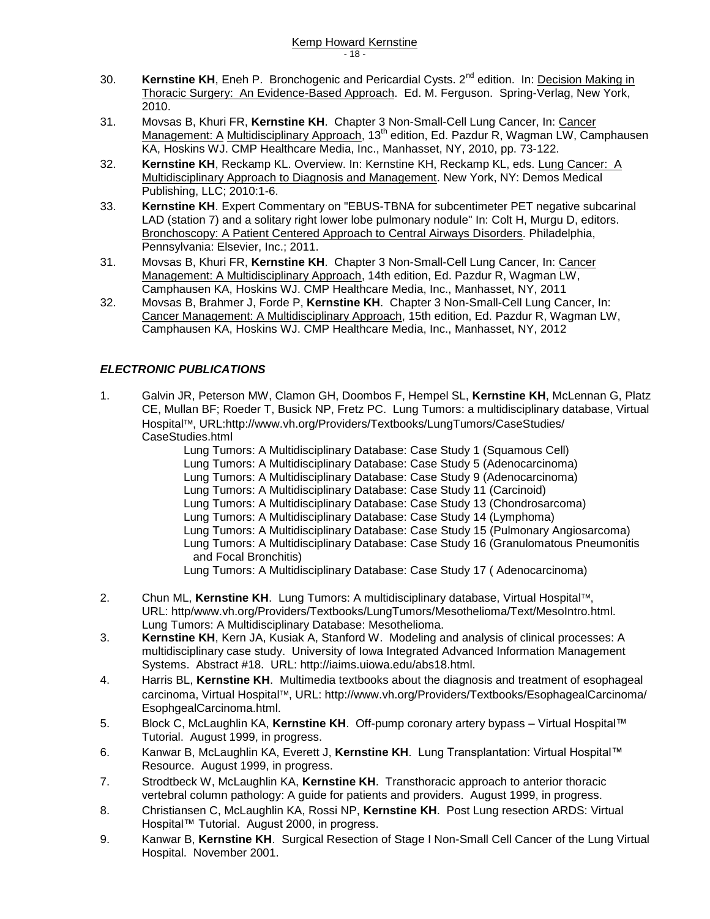- 30. **Kernstine KH**, Eneh P. Bronchogenic and Pericardial Cysts. 2<sup>nd</sup> edition. In: Decision Making in Thoracic Surgery: An Evidence-Based Approach. Ed. M. Ferguson. Spring-Verlag, New York, 2010.
- 31. Movsas B, Khuri FR, **Kernstine KH**. Chapter 3 Non-Small-Cell Lung Cancer, In: Cancer Management: A Multidisciplinary Approach, 13<sup>th</sup> edition, Ed. Pazdur R, Wagman LW, Camphausen KA, Hoskins WJ. CMP Healthcare Media, Inc., Manhasset, NY, 2010, pp. 73-122.
- 32. **Kernstine KH**, Reckamp KL. Overview. In: Kernstine KH, Reckamp KL, eds. Lung Cancer: A Multidisciplinary Approach to Diagnosis and Management. New York, NY: Demos Medical Publishing, LLC; 2010:1-6.
- 33. **Kernstine KH**. Expert Commentary on "EBUS-TBNA for subcentimeter PET negative subcarinal LAD (station 7) and a solitary right lower lobe pulmonary nodule" In: Colt H, Murgu D, editors. Bronchoscopy: A Patient Centered Approach to Central Airways Disorders. Philadelphia, Pennsylvania: Elsevier, Inc.; 2011.
- 31. Movsas B, Khuri FR, **Kernstine KH**. Chapter 3 Non-Small-Cell Lung Cancer, In: Cancer Management: A Multidisciplinary Approach, 14th edition, Ed. Pazdur R, Wagman LW, Camphausen KA, Hoskins WJ. CMP Healthcare Media, Inc., Manhasset, NY, 2011
- 32. Movsas B, Brahmer J, Forde P, **Kernstine KH**. Chapter 3 Non-Small-Cell Lung Cancer, In: Cancer Management: A Multidisciplinary Approach, 15th edition, Ed. Pazdur R, Wagman LW, Camphausen KA, Hoskins WJ. CMP Healthcare Media, Inc., Manhasset, NY, 2012

### *ELECTRONIC PUBLICATIONS*

- 1. Galvin JR, Peterson MW, Clamon GH, Doombos F, Hempel SL, **Kernstine KH**, McLennan G, Platz CE, Mullan BF; Roeder T, Busick NP, Fretz PC. Lung Tumors: a multidisciplinary database, Virtual Hospital™, URL:http://www.vh.org/Providers/Textbooks/LungTumors/CaseStudies/ CaseStudies.html
	- Lung Tumors: A Multidisciplinary Database: Case Study 1 (Squamous Cell)
	- Lung Tumors: A Multidisciplinary Database: Case Study 5 (Adenocarcinoma)
	- Lung Tumors: A Multidisciplinary Database: Case Study 9 (Adenocarcinoma)
		- Lung Tumors: A Multidisciplinary Database: Case Study 11 (Carcinoid)
	- Lung Tumors: A Multidisciplinary Database: Case Study 13 (Chondrosarcoma)
	- Lung Tumors: A Multidisciplinary Database: Case Study 14 (Lymphoma)
	- Lung Tumors: A Multidisciplinary Database: Case Study 15 (Pulmonary Angiosarcoma)
		- Lung Tumors: A Multidisciplinary Database: Case Study 16 (Granulomatous Pneumonitis and Focal Bronchitis)
		- Lung Tumors: A Multidisciplinary Database: Case Study 17 ( Adenocarcinoma)
- 2. Chun ML, **Kernstine KH**. Lung Tumors: A multidisciplinary database, Virtual Hospital, URL: http/www.vh.org/Providers/Textbooks/LungTumors/Mesothelioma/Text/MesoIntro.html. Lung Tumors: A Multidisciplinary Database: Mesothelioma.
- 3. **Kernstine KH**, Kern JA, Kusiak A, Stanford W. Modeling and analysis of clinical processes: A multidisciplinary case study. University of Iowa Integrated Advanced Information Management Systems. Abstract #18. URL: http://iaims.uiowa.edu/abs18.html.
- 4. Harris BL, **Kernstine KH**. Multimedia textbooks about the diagnosis and treatment of esophageal carcinoma, Virtual Hospital<sup>TM</sup>, URL: http://www.vh.org/Providers/Textbooks/EsophagealCarcinoma/ EsophgealCarcinoma.html.
- 5. Block C, McLaughlin KA, **Kernstine KH**. Off-pump coronary artery bypass Virtual Hospital™ Tutorial. August 1999, in progress.
- 6. Kanwar B, McLaughlin KA, Everett J, **Kernstine KH**. Lung Transplantation: Virtual Hospital™ Resource. August 1999, in progress.
- 7. Strodtbeck W, McLaughlin KA, **Kernstine KH**. Transthoracic approach to anterior thoracic vertebral column pathology: A guide for patients and providers. August 1999, in progress.
- 8. Christiansen C, McLaughlin KA, Rossi NP, **Kernstine KH**. Post Lung resection ARDS: Virtual Hospital™ Tutorial. August 2000, in progress.
- 9. Kanwar B, **Kernstine KH**. Surgical Resection of Stage I Non-Small Cell Cancer of the Lung Virtual Hospital. November 2001.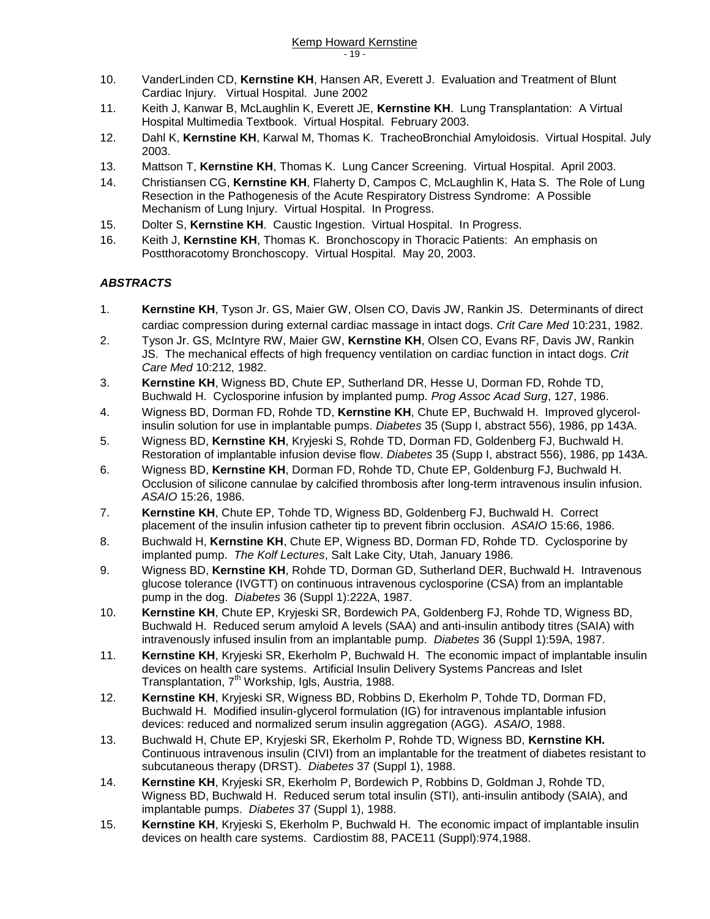- 10. VanderLinden CD, **Kernstine KH**, Hansen AR, Everett J. Evaluation and Treatment of Blunt Cardiac Injury. Virtual Hospital. June 2002
- 11. Keith J, Kanwar B, McLaughlin K, Everett JE, **Kernstine KH**. Lung Transplantation: A Virtual Hospital Multimedia Textbook. Virtual Hospital. February 2003.
- 12. Dahl K, **Kernstine KH**, Karwal M, Thomas K. TracheoBronchial Amyloidosis. Virtual Hospital. July 2003.
- 13. Mattson T, **Kernstine KH**, Thomas K. Lung Cancer Screening. Virtual Hospital. April 2003.
- 14. Christiansen CG, **Kernstine KH**, Flaherty D, Campos C, McLaughlin K, Hata S. The Role of Lung Resection in the Pathogenesis of the Acute Respiratory Distress Syndrome: A Possible Mechanism of Lung Injury. Virtual Hospital. In Progress.
- 15. Dolter S, **Kernstine KH**. Caustic Ingestion. Virtual Hospital. In Progress.
- 16. Keith J, **Kernstine KH**, Thomas K. Bronchoscopy in Thoracic Patients: An emphasis on Postthoracotomy Bronchoscopy. Virtual Hospital. May 20, 2003.

### *ABSTRACTS*

- 1. **Kernstine KH**, Tyson Jr. GS, Maier GW, Olsen CO, Davis JW, Rankin JS. Determinants of direct cardiac compression during external cardiac massage in intact dogs. *Crit Care Med* 10:231, 1982.
- 2. Tyson Jr. GS, McIntyre RW, Maier GW, **Kernstine KH**, Olsen CO, Evans RF, Davis JW, Rankin JS. The mechanical effects of high frequency ventilation on cardiac function in intact dogs. *Crit Care Med* 10:212, 1982.
- 3. **Kernstine KH**, Wigness BD, Chute EP, Sutherland DR, Hesse U, Dorman FD, Rohde TD, Buchwald H. Cyclosporine infusion by implanted pump. *Prog Assoc Acad Surg*, 127, 1986.
- 4. Wigness BD, Dorman FD, Rohde TD, **Kernstine KH**, Chute EP, Buchwald H. Improved glycerolinsulin solution for use in implantable pumps. *Diabetes* 35 (Supp I, abstract 556), 1986, pp 143A.
- 5. Wigness BD, **Kernstine KH**, Kryjeski S, Rohde TD, Dorman FD, Goldenberg FJ, Buchwald H. Restoration of implantable infusion devise flow. *Diabetes* 35 (Supp I, abstract 556), 1986, pp 143A.
- 6. Wigness BD, **Kernstine KH**, Dorman FD, Rohde TD, Chute EP, Goldenburg FJ, Buchwald H. Occlusion of silicone cannulae by calcified thrombosis after long-term intravenous insulin infusion. *ASAIO* 15:26, 1986.
- 7. **Kernstine KH**, Chute EP, Tohde TD, Wigness BD, Goldenberg FJ, Buchwald H. Correct placement of the insulin infusion catheter tip to prevent fibrin occlusion. *ASAIO* 15:66, 1986.
- 8. Buchwald H, **Kernstine KH**, Chute EP, Wigness BD, Dorman FD, Rohde TD. Cyclosporine by implanted pump. *The Kolf Lectures*, Salt Lake City, Utah, January 1986.
- 9. Wigness BD, **Kernstine KH**, Rohde TD, Dorman GD, Sutherland DER, Buchwald H. Intravenous glucose tolerance (IVGTT) on continuous intravenous cyclosporine (CSA) from an implantable pump in the dog. *Diabetes* 36 (Suppl 1):222A, 1987.
- 10. **Kernstine KH**, Chute EP, Kryjeski SR, Bordewich PA, Goldenberg FJ, Rohde TD, Wigness BD, Buchwald H. Reduced serum amyloid A levels (SAA) and anti-insulin antibody titres (SAIA) with intravenously infused insulin from an implantable pump. *Diabetes* 36 (Suppl 1):59A, 1987.
- 11. **Kernstine KH**, Kryjeski SR, Ekerholm P, Buchwald H. The economic impact of implantable insulin devices on health care systems. Artificial Insulin Delivery Systems Pancreas and Islet Transplantation, 7<sup>th</sup> Workship, Igls, Austria, 1988.
- 12. **Kernstine KH**, Kryjeski SR, Wigness BD, Robbins D, Ekerholm P, Tohde TD, Dorman FD, Buchwald H. Modified insulin-glycerol formulation (IG) for intravenous implantable infusion devices: reduced and normalized serum insulin aggregation (AGG). *ASAIO*, 1988.
- 13. Buchwald H, Chute EP, Kryjeski SR, Ekerholm P, Rohde TD, Wigness BD, **Kernstine KH.** Continuous intravenous insulin (CIVI) from an implantable for the treatment of diabetes resistant to subcutaneous therapy (DRST). *Diabetes* 37 (Suppl 1), 1988.
- 14. **Kernstine KH**, Kryjeski SR, Ekerholm P, Bordewich P, Robbins D, Goldman J, Rohde TD, Wigness BD, Buchwald H. Reduced serum total insulin (STI), anti-insulin antibody (SAIA), and implantable pumps. *Diabetes* 37 (Suppl 1), 1988.
- 15. **Kernstine KH**, Kryjeski S, Ekerholm P, Buchwald H. The economic impact of implantable insulin devices on health care systems. Cardiostim 88, PACE11 (Suppl):974,1988.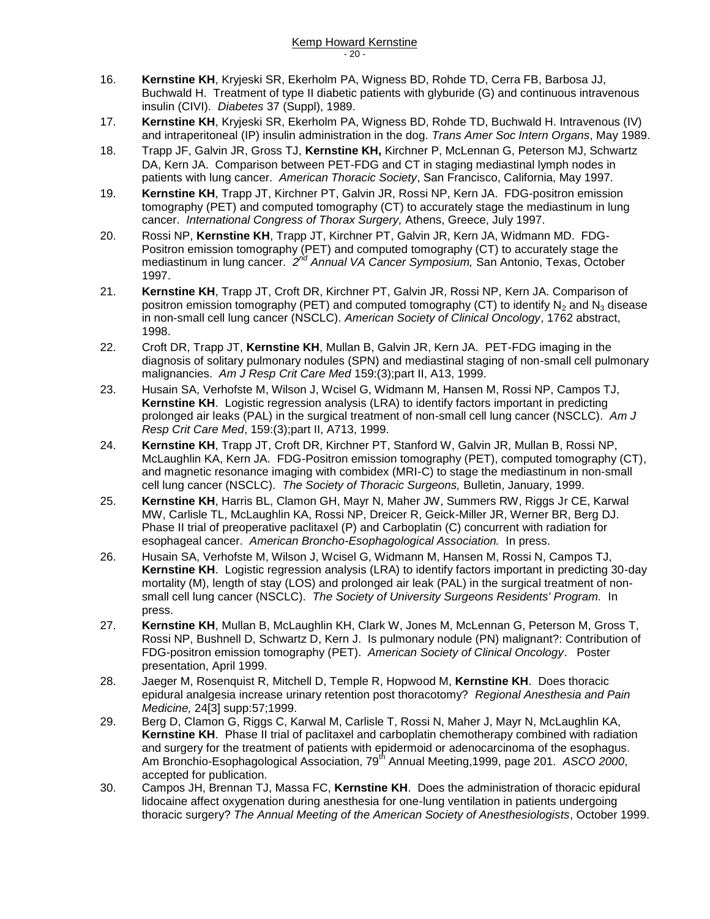- 16. **Kernstine KH**, Kryjeski SR, Ekerholm PA, Wigness BD, Rohde TD, Cerra FB, Barbosa JJ, Buchwald H. Treatment of type II diabetic patients with glyburide (G) and continuous intravenous insulin (CIVI). *Diabetes* 37 (Suppl), 1989.
- 17. **Kernstine KH**, Kryjeski SR, Ekerholm PA, Wigness BD, Rohde TD, Buchwald H. Intravenous (IV) and intraperitoneal (IP) insulin administration in the dog. *Trans Amer Soc Intern Organs*, May 1989.
- 18. Trapp JF, Galvin JR, Gross TJ, **Kernstine KH,** Kirchner P, McLennan G, Peterson MJ, Schwartz DA, Kern JA. Comparison between PET-FDG and CT in staging mediastinal lymph nodes in patients with lung cancer. *American Thoracic Society*, San Francisco, California, May 1997.
- 19. **Kernstine KH**, Trapp JT, Kirchner PT, Galvin JR, Rossi NP, Kern JA. FDG-positron emission tomography (PET) and computed tomography (CT) to accurately stage the mediastinum in lung cancer. *International Congress of Thorax Surgery,* Athens, Greece, July 1997.
- 20. Rossi NP, **Kernstine KH**, Trapp JT, Kirchner PT, Galvin JR, Kern JA, Widmann MD. FDG-Positron emission tomography (PET) and computed tomography (CT) to accurately stage the mediastinum in lung cancer. 2<sup>nd</sup> Annual VA Cancer Symposium, San Antonio, Texas, October 1997.
- 21. **Kernstine KH**, Trapp JT, Croft DR, Kirchner PT, Galvin JR, Rossi NP, Kern JA. Comparison of positron emission tomography (PET) and computed tomography (CT) to identify  $N_2$  and  $N_3$  disease in non-small cell lung cancer (NSCLC). *American Society of Clinical Oncology*, 1762 abstract, 1998.
- 22. Croft DR, Trapp JT, **Kernstine KH**, Mullan B, Galvin JR, Kern JA. PET-FDG imaging in the diagnosis of solitary pulmonary nodules (SPN) and mediastinal staging of non-small cell pulmonary malignancies. *Am J Resp Crit Care Med* 159:(3);part II, A13, 1999.
- 23. Husain SA, Verhofste M, Wilson J, Wcisel G, Widmann M, Hansen M, Rossi NP, Campos TJ, **Kernstine KH**. Logistic regression analysis (LRA) to identify factors important in predicting prolonged air leaks (PAL) in the surgical treatment of non-small cell lung cancer (NSCLC). *Am J Resp Crit Care Med*, 159:(3);part II, A713, 1999.
- 24. **Kernstine KH**, Trapp JT, Croft DR, Kirchner PT, Stanford W, Galvin JR, Mullan B, Rossi NP, McLaughlin KA, Kern JA. FDG-Positron emission tomography (PET), computed tomography (CT), and magnetic resonance imaging with combidex (MRI-C) to stage the mediastinum in non-small cell lung cancer (NSCLC). *The Society of Thoracic Surgeons,* Bulletin, January, 1999.
- 25. **Kernstine KH**, Harris BL, Clamon GH, Mayr N, Maher JW, Summers RW, Riggs Jr CE, Karwal MW, Carlisle TL, McLaughlin KA, Rossi NP, Dreicer R, Geick-Miller JR, Werner BR, Berg DJ. Phase II trial of preoperative paclitaxel (P) and Carboplatin (C) concurrent with radiation for esophageal cancer. *American Broncho-Esophagological Association.* In press.
- 26. Husain SA, Verhofste M, Wilson J, Wcisel G, Widmann M, Hansen M, Rossi N, Campos TJ, **Kernstine KH**. Logistic regression analysis (LRA) to identify factors important in predicting 30-day mortality (M), length of stay (LOS) and prolonged air leak (PAL) in the surgical treatment of nonsmall cell lung cancer (NSCLC). *The Society of University Surgeons Residents' Program.* In press.
- 27. **Kernstine KH**, Mullan B, McLaughlin KH, Clark W, Jones M, McLennan G, Peterson M, Gross T, Rossi NP, Bushnell D, Schwartz D, Kern J. Is pulmonary nodule (PN) malignant?: Contribution of FDG-positron emission tomography (PET). *American Society of Clinical Oncology*. Poster presentation, April 1999.
- 28. Jaeger M, Rosenquist R, Mitchell D, Temple R, Hopwood M, **Kernstine KH**. Does thoracic epidural analgesia increase urinary retention post thoracotomy? *Regional Anesthesia and Pain Medicine,* 24[3] supp:57;1999.
- 29. Berg D, Clamon G, Riggs C, Karwal M, Carlisle T, Rossi N, Maher J, Mayr N, McLaughlin KA, **Kernstine KH**. Phase II trial of paclitaxel and carboplatin chemotherapy combined with radiation and surgery for the treatment of patients with epidermoid or adenocarcinoma of the esophagus. Am Bronchio-Esophagological Association, 79<sup>th</sup> Annual Meeting,1999, page 201. ASCO 2000, accepted for publication.
- 30. Campos JH, Brennan TJ, Massa FC, **Kernstine KH**. Does the administration of thoracic epidural lidocaine affect oxygenation during anesthesia for one-lung ventilation in patients undergoing thoracic surgery? *The Annual Meeting of the American Society of Anesthesiologists*, October 1999.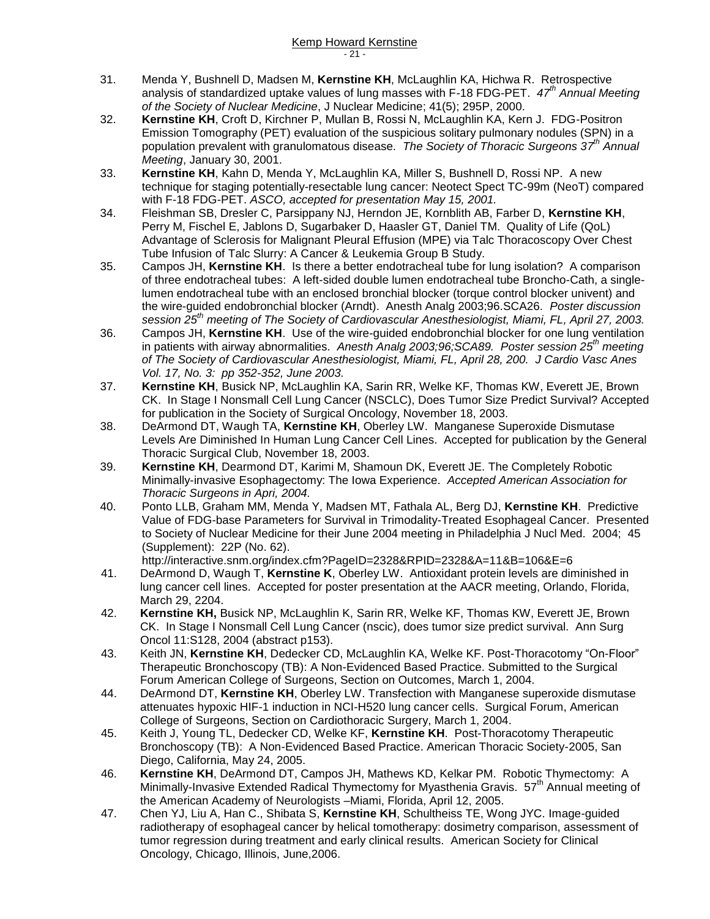- 31. Menda Y, Bushnell D, Madsen M, **Kernstine KH**, McLaughlin KA, Hichwa R. Retrospective analysis of standardized uptake values of lung masses with F-18 FDG-PET. *47th Annual Meeting of the Society of Nuclear Medicine*, J Nuclear Medicine; 41(5); 295P, 2000.
- 32. **Kernstine KH**, Croft D, Kirchner P, Mullan B, Rossi N, McLaughlin KA, Kern J. FDG-Positron Emission Tomography (PET) evaluation of the suspicious solitary pulmonary nodules (SPN) in a population prevalent with granulomatous disease. *The Society of Thoracic Surgeons 37 th Annual Meeting*, January 30, 2001.
- 33. **Kernstine KH**, Kahn D, Menda Y, McLaughlin KA, Miller S, Bushnell D, Rossi NP. A new technique for staging potentially-resectable lung cancer: Neotect Spect TC-99m (NeoT) compared with F-18 FDG-PET. *ASCO, accepted for presentation May 15, 2001.*
- 34. Fleishman SB, Dresler C, Parsippany NJ, Herndon JE, Kornblith AB, Farber D, **Kernstine KH**, Perry M, Fischel E, Jablons D, Sugarbaker D, Haasler GT, Daniel TM. Quality of Life (QoL) Advantage of Sclerosis for Malignant Pleural Effusion (MPE) via Talc Thoracoscopy Over Chest Tube Infusion of Talc Slurry: A Cancer & Leukemia Group B Study.
- 35. Campos JH, **Kernstine KH**. Is there a better endotracheal tube for lung isolation? A comparison of three endotracheal tubes: A left-sided double lumen endotracheal tube Broncho-Cath, a singlelumen endotracheal tube with an enclosed bronchial blocker (torque control blocker univent) and the wire-guided endobronchial blocker (Arndt). Anesth Analg 2003;96.SCA26. *Poster discussion session 25th meeting of The Society of Cardiovascular Anesthesiologist, Miami, FL, April 27, 2003.*
- 36. Campos JH, **Kernstine KH**. Use of the wire-guided endobronchial blocker for one lung ventilation in patients with airway abnormalities. *Anesth Analg 2003;96;SCA89. Poster session 25th meeting of The Society of Cardiovascular Anesthesiologist, Miami, FL, April 28, 200. J Cardio Vasc Anes Vol. 17, No. 3: pp 352-352, June 2003.*
- 37. **Kernstine KH**, Busick NP, McLaughlin KA, Sarin RR, Welke KF, Thomas KW, Everett JE, Brown CK. In Stage I Nonsmall Cell Lung Cancer (NSCLC), Does Tumor Size Predict Survival? Accepted for publication in the Society of Surgical Oncology, November 18, 2003.
- 38. DeArmond DT, Waugh TA, **Kernstine KH**, Oberley LW. Manganese Superoxide Dismutase Levels Are Diminished In Human Lung Cancer Cell Lines. Accepted for publication by the General Thoracic Surgical Club, November 18, 2003.
- 39. **Kernstine KH**, Dearmond DT, Karimi M, Shamoun DK, Everett JE. The Completely Robotic Minimally-invasive Esophagectomy: The Iowa Experience. *Accepted American Association for Thoracic Surgeons in Apri, 2004.*
- 40. Ponto LLB, Graham MM, Menda Y, Madsen MT, Fathala AL, Berg DJ, **Kernstine KH**. Predictive Value of FDG-base Parameters for Survival in Trimodality-Treated Esophageal Cancer. Presented to Society of Nuclear Medicine for their June 2004 meeting in Philadelphia J Nucl Med. 2004; 45 (Supplement): 22P (No. 62).

http://interactive.snm.org/index.cfm?PageID=2328&RPID=2328&A=11&B=106&E=6

- 41. DeArmond D, Waugh T, **Kernstine K**, Oberley LW. Antioxidant protein levels are diminished in lung cancer cell lines. Accepted for poster presentation at the AACR meeting, Orlando, Florida, March 29, 2204.
- 42. **Kernstine KH,** Busick NP, McLaughlin K, Sarin RR, Welke KF, Thomas KW, Everett JE, Brown CK. In Stage I Nonsmall Cell Lung Cancer (nscic), does tumor size predict survival. Ann Surg Oncol 11:S128, 2004 (abstract p153).
- 43. Keith JN, **Kernstine KH**, Dedecker CD, McLaughlin KA, Welke KF. Post-Thoracotomy "On-Floor" Therapeutic Bronchoscopy (TB): A Non-Evidenced Based Practice. Submitted to the Surgical Forum American College of Surgeons, Section on Outcomes, March 1, 2004.
- 44. DeArmond DT, **Kernstine KH**, Oberley LW. Transfection with Manganese superoxide dismutase attenuates hypoxic HIF-1 induction in NCI-H520 lung cancer cells. Surgical Forum, American College of Surgeons, Section on Cardiothoracic Surgery, March 1, 2004.
- 45. Keith J, Young TL, Dedecker CD, Welke KF, **Kernstine KH**. Post-Thoracotomy Therapeutic Bronchoscopy (TB): A Non-Evidenced Based Practice. American Thoracic Society-2005, San Diego, California, May 24, 2005.
- 46. **Kernstine KH**, DeArmond DT, Campos JH, Mathews KD, Kelkar PM. Robotic Thymectomy: A Minimally-Invasive Extended Radical Thymectomy for Myasthenia Gravis. 57<sup>th</sup> Annual meeting of the American Academy of Neurologists –Miami, Florida, April 12, 2005.
- 47. Chen YJ, Liu A, Han C., Shibata S, **Kernstine KH**, Schultheiss TE, Wong JYC. Image-guided radiotherapy of esophageal cancer by helical tomotherapy: dosimetry comparison, assessment of tumor regression during treatment and early clinical results. American Society for Clinical Oncology, Chicago, Illinois, June,2006.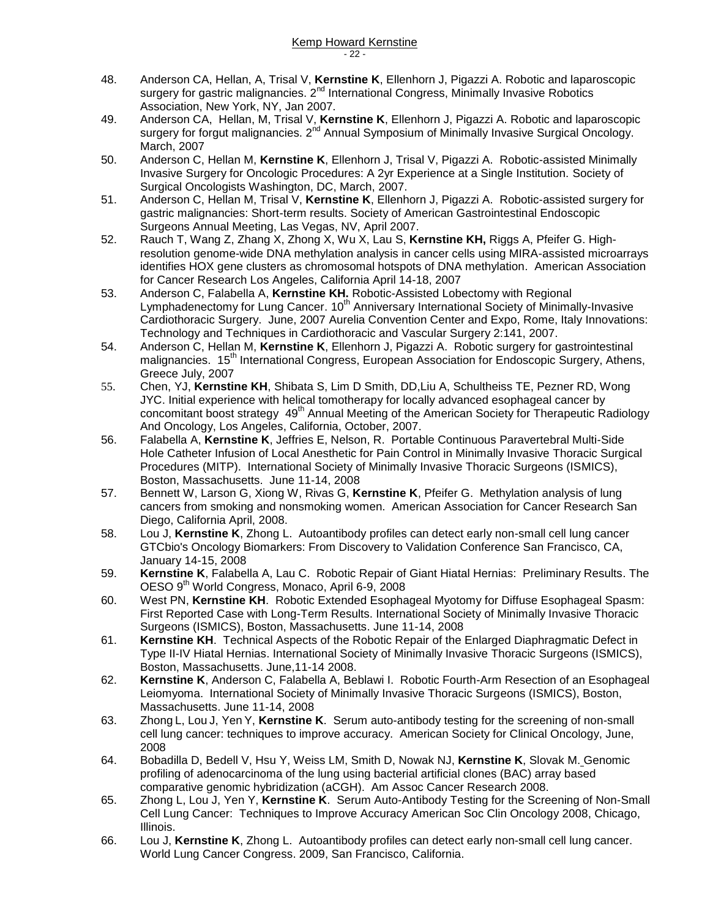- 48. Anderson CA, Hellan, A, Trisal V, **Kernstine K**, Ellenhorn J, Pigazzi A. Robotic and laparoscopic surgery for gastric malignancies.  $2<sup>nd</sup>$  International Congress, Minimally Invasive Robotics Association, New York, NY, Jan 2007.
- 49. Anderson CA, Hellan, M, Trisal V, **Kernstine K**, Ellenhorn J, Pigazzi A. Robotic and laparoscopic surgery for forgut malignancies. 2<sup>nd</sup> Annual Symposium of Minimally Invasive Surgical Oncology. March, 2007
- 50. Anderson C, Hellan M, **Kernstine K**, Ellenhorn J, Trisal V, Pigazzi A. Robotic-assisted Minimally Invasive Surgery for Oncologic Procedures: A 2yr Experience at a Single Institution. Society of Surgical Oncologists Washington, DC, March, 2007.
- 51. Anderson C, Hellan M, Trisal V, **Kernstine K**, Ellenhorn J, Pigazzi A. Robotic-assisted surgery for gastric malignancies: Short-term results. Society of American Gastrointestinal Endoscopic Surgeons Annual Meeting, Las Vegas, NV, April 2007.
- 52. Rauch T, Wang Z, Zhang X, Zhong X, Wu X, Lau S, **Kernstine KH,** Riggs A, Pfeifer G. Highresolution genome-wide DNA methylation analysis in cancer cells using MIRA-assisted microarrays identifies HOX gene clusters as chromosomal hotspots of DNA methylation. American Association for Cancer Research Los Angeles, California April 14-18, 2007
- 53. Anderson C, Falabella A, **Kernstine KH.** Robotic-Assisted Lobectomy with Regional Lymphadenectomy for Lung Cancer. 10<sup>th</sup> Anniversary International Society of Minimally-Invasive Cardiothoracic Surgery. June, 2007 Aurelia Convention Center and Expo, Rome, Italy Innovations: Technology and Techniques in Cardiothoracic and Vascular Surgery 2:141, 2007.
- 54. Anderson C, Hellan M, **Kernstine K**, Ellenhorn J, Pigazzi A. Robotic surgery for gastrointestinal malignancies. 15<sup>th</sup> International Congress, European Association for Endoscopic Surgery, Athens, Greece July, 2007
- 55. Chen, YJ, **Kernstine KH**, Shibata S, Lim D Smith, DD,Liu A, Schultheiss TE, Pezner RD, Wong JYC. Initial experience with helical tomotherapy for locally advanced esophageal cancer by concomitant boost strategy 49<sup>th</sup> Annual Meeting of the American Society for Therapeutic Radiology And Oncology, Los Angeles, California, October, 2007.
- 56. Falabella A, **Kernstine K**, Jeffries E, Nelson, R. Portable Continuous Paravertebral Multi-Side Hole Catheter Infusion of Local Anesthetic for Pain Control in Minimally Invasive Thoracic Surgical Procedures (MITP). International Society of Minimally Invasive Thoracic Surgeons (ISMICS), Boston, Massachusetts. June 11-14, 2008
- 57. Bennett W, Larson G, Xiong W, Rivas G, **Kernstine K**, Pfeifer G. Methylation analysis of lung cancers from smoking and nonsmoking women. American Association for Cancer Research San Diego, California April, 2008.
- 58. Lou J, **Kernstine K**, Zhong L. Autoantibody profiles can detect early non-small cell lung cancer GTCbio's Oncology Biomarkers: From Discovery to Validation Conference San Francisco, CA, January 14-15, 2008
- 59. **Kernstine K**, Falabella A, Lau C. Robotic Repair of Giant Hiatal Hernias: Preliminary Results. The OESO 9th World Congress, Monaco, April 6-9, 2008
- 60. West PN, **Kernstine KH**. Robotic Extended Esophageal Myotomy for Diffuse Esophageal Spasm: First Reported Case with Long-Term Results. International Society of Minimally Invasive Thoracic Surgeons (ISMICS), Boston, Massachusetts. June 11-14, 2008
- 61. **Kernstine KH**. Technical Aspects of the Robotic Repair of the Enlarged Diaphragmatic Defect in Type II-IV Hiatal Hernias. International Society of Minimally Invasive Thoracic Surgeons (ISMICS), Boston, Massachusetts. June,11-14 2008.
- 62. **Kernstine K**, Anderson C, Falabella A, Beblawi I. Robotic Fourth-Arm Resection of an Esophageal Leiomyoma. International Society of Minimally Invasive Thoracic Surgeons (ISMICS), Boston, Massachusetts. June 11-14, 2008
- 63. Zhong L, Lou J, Yen Y, **Kernstine K**. Serum auto-antibody testing for the screening of non-small cell lung cancer: techniques to improve accuracy. American Society for Clinical Oncology, June, 2008
- 64. Bobadilla D, Bedell V, Hsu Y, Weiss LM, Smith D, Nowak NJ, **Kernstine K**, Slovak M. Genomic profiling of adenocarcinoma of the lung using bacterial artificial clones (BAC) array based comparative genomic hybridization (aCGH). Am Assoc Cancer Research 2008.
- 65. Zhong L, Lou J, Yen Y, **Kernstine K**. Serum Auto-Antibody Testing for the Screening of Non-Small Cell Lung Cancer: Techniques to Improve Accuracy American Soc Clin Oncology 2008, Chicago, Illinois.
- 66. Lou J, **Kernstine K**, Zhong L. Autoantibody profiles can detect early non-small cell lung cancer. World Lung Cancer Congress. 2009, San Francisco, California.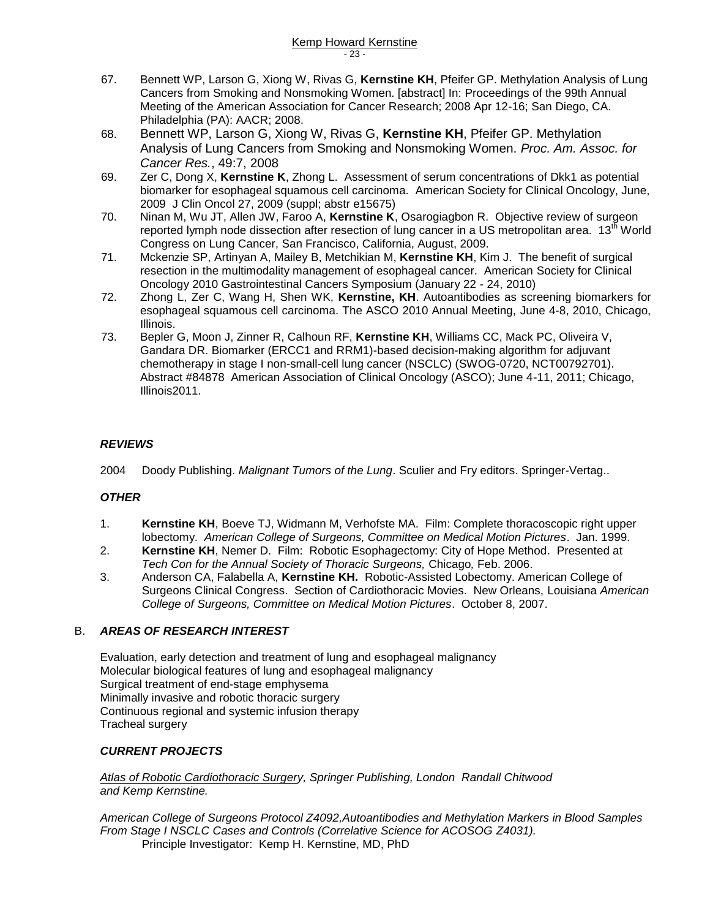- 67. Bennett WP, Larson G, Xiong W, Rivas G, **Kernstine KH**, Pfeifer GP. Methylation Analysis of Lung Cancers from Smoking and Nonsmoking Women. [abstract] In: Proceedings of the 99th Annual Meeting of the American Association for Cancer Research; 2008 Apr 12-16; San Diego, CA. Philadelphia (PA): AACR; 2008.
- 68. Bennett WP, Larson G, Xiong W, Rivas G, **Kernstine KH**, Pfeifer GP. Methylation Analysis of Lung Cancers from Smoking and Nonsmoking Women. *Proc. Am. Assoc. for Cancer Res.*, 49:7, 2008
- 69. Zer C, Dong X, **Kernstine K**, Zhong L. Assessment of serum concentrations of Dkk1 as potential biomarker for esophageal squamous cell carcinoma. American Society for Clinical Oncology, June, 2009 J Clin Oncol 27, 2009 (suppl; abstr e15675)
- 70. Ninan M, Wu JT, Allen JW, Faroo A, **Kernstine K**, Osarogiagbon R. Objective review of surgeon reported lymph node dissection after resection of lung cancer in a US metropolitan area. 13<sup>th</sup> World Congress on Lung Cancer, San Francisco, California, August, 2009.
- 71. Mckenzie SP, Artinyan A, Mailey B, Metchikian M, **Kernstine KH**, Kim J. The benefit of surgical resection in the multimodality management of esophageal cancer. American Society for Clinical Oncology 2010 Gastrointestinal Cancers Symposium (January 22 - 24, 2010)
- 72. Zhong L, Zer C, Wang H, Shen WK, **Kernstine, KH**. Autoantibodies as screening biomarkers for esophageal squamous cell carcinoma. The ASCO 2010 Annual Meeting, June 4-8, 2010, Chicago, Illinois.
- 73. Bepler G, Moon J, Zinner R, Calhoun RF, **Kernstine KH**, Williams CC, Mack PC, Oliveira V, Gandara DR. Biomarker (ERCC1 and RRM1)-based decision-making algorithm for adjuvant chemotherapy in stage I non-small-cell lung cancer (NSCLC) (SWOG-0720, NCT00792701). Abstract #84878 American Association of Clinical Oncology (ASCO); June 4-11, 2011; Chicago, Illinois2011.

### *REVIEWS*

2004 Doody Publishing. *Malignant Tumors of the Lung*. Sculier and Fry editors. Springer-Vertag..

### *OTHER*

- 1. **Kernstine KH**, Boeve TJ, Widmann M, Verhofste MA. Film: Complete thoracoscopic right upper lobectomy. *American College of Surgeons, Committee on Medical Motion Pictures*. Jan. 1999.
- 2. **Kernstine KH**, Nemer D. Film: Robotic Esophagectomy: City of Hope Method. Presented at *Tech Con for the Annual Society of Thoracic Surgeons,* Chicago*,* Feb. 2006.
- 3. Anderson CA, Falabella A, **Kernstine KH.** Robotic-Assisted Lobectomy. American College of Surgeons Clinical Congress. Section of Cardiothoracic Movies. New Orleans, Louisiana *American College of Surgeons, Committee on Medical Motion Pictures*. October 8, 2007.

### B. *AREAS OF RESEARCH INTEREST*

Evaluation, early detection and treatment of lung and esophageal malignancy Molecular biological features of lung and esophageal malignancy Surgical treatment of end-stage emphysema Minimally invasive and robotic thoracic surgery Continuous regional and systemic infusion therapy Tracheal surgery

#### *CURRENT PROJECTS*

*Atlas of Robotic Cardiothoracic Surgery, Springer Publishing, London Randall Chitwood and Kemp Kernstine.*

*American College of Surgeons Protocol Z4092,Autoantibodies and Methylation Markers in Blood Samples From Stage I NSCLC Cases and Controls (Correlative Science for ACOSOG Z4031).* Principle Investigator: Kemp H. Kernstine, MD, PhD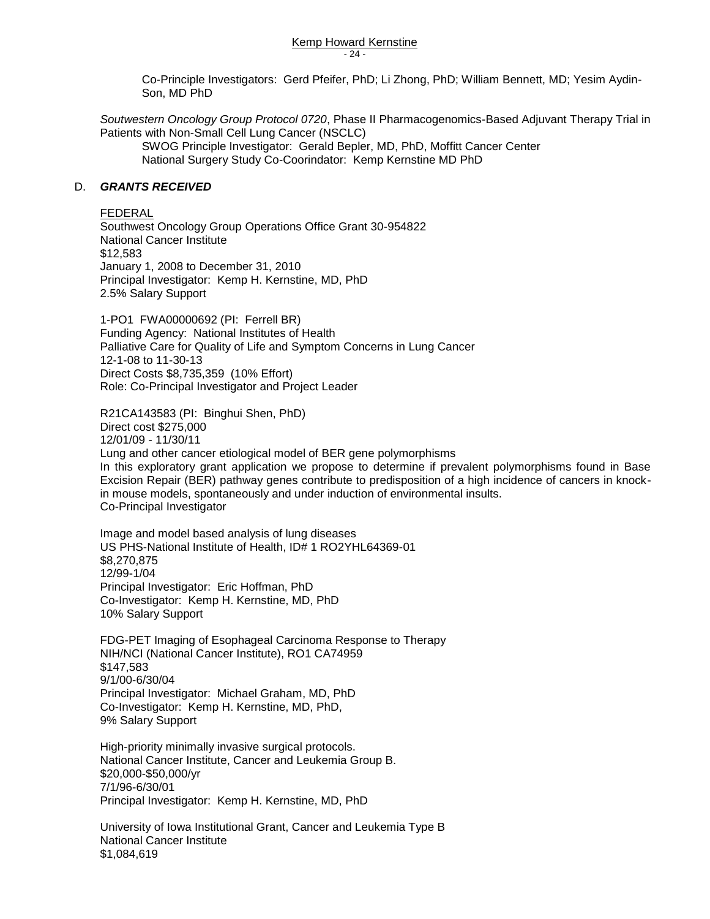Kemp Howard Kernstine - 24 -

Co-Principle Investigators: Gerd Pfeifer, PhD; Li Zhong, PhD; William Bennett, MD; Yesim Aydin-Son, MD PhD

*Soutwestern Oncology Group Protocol 0720*, Phase II Pharmacogenomics-Based Adjuvant Therapy Trial in Patients with Non-Small Cell Lung Cancer (NSCLC)

SWOG Principle Investigator: Gerald Bepler, MD, PhD, Moffitt Cancer Center National Surgery Study Co-Coorindator: Kemp Kernstine MD PhD

#### D. *GRANTS RECEIVED*

FEDERAL

Southwest Oncology Group Operations Office Grant 30-954822 National Cancer Institute \$12,583 January 1, 2008 to December 31, 2010 Principal Investigator: Kemp H. Kernstine, MD, PhD 2.5% Salary Support

1-PO1 FWA00000692 (PI: Ferrell BR) Funding Agency: National Institutes of Health Palliative Care for Quality of Life and Symptom Concerns in Lung Cancer 12-1-08 to 11-30-13 Direct Costs \$8,735,359 (10% Effort) Role: Co-Principal Investigator and Project Leader

R21CA143583 (PI: Binghui Shen, PhD) Direct cost \$275,000

12/01/09 - 11/30/11

Lung and other cancer etiological model of BER gene polymorphisms In this exploratory grant application we propose to determine if prevalent polymorphisms found in Base Excision Repair (BER) pathway genes contribute to predisposition of a high incidence of cancers in knockin mouse models, spontaneously and under induction of environmental insults.

Co-Principal Investigator

Image and model based analysis of lung diseases US PHS-National Institute of Health, ID# 1 RO2YHL64369-01 \$8,270,875 12/99-1/04 Principal Investigator: Eric Hoffman, PhD Co-Investigator: Kemp H. Kernstine, MD, PhD 10% Salary Support

FDG-PET Imaging of Esophageal Carcinoma Response to Therapy NIH/NCI (National Cancer Institute), RO1 CA74959 \$147,583 9/1/00-6/30/04 Principal Investigator: Michael Graham, MD, PhD Co-Investigator: Kemp H. Kernstine, MD, PhD, 9% Salary Support

High-priority minimally invasive surgical protocols. National Cancer Institute, Cancer and Leukemia Group B. \$20,000-\$50,000/yr 7/1/96-6/30/01 Principal Investigator: Kemp H. Kernstine, MD, PhD

University of Iowa Institutional Grant, Cancer and Leukemia Type B National Cancer Institute \$1,084,619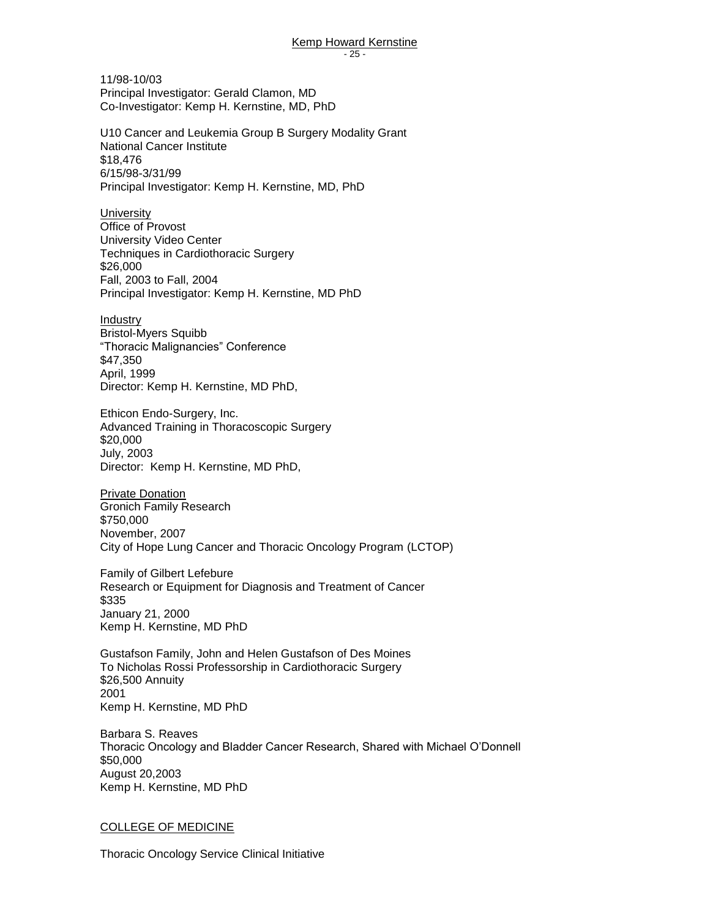11/98-10/03 Principal Investigator: Gerald Clamon, MD Co-Investigator: Kemp H. Kernstine, MD, PhD

U10 Cancer and Leukemia Group B Surgery Modality Grant National Cancer Institute \$18,476 6/15/98-3/31/99 Principal Investigator: Kemp H. Kernstine, MD, PhD

**University** Office of Provost University Video Center Techniques in Cardiothoracic Surgery \$26,000 Fall, 2003 to Fall, 2004 Principal Investigator: Kemp H. Kernstine, MD PhD

Industry Bristol-Myers Squibb "Thoracic Malignancies" Conference \$47,350 April, 1999 Director: Kemp H. Kernstine, MD PhD,

Ethicon Endo-Surgery, Inc. Advanced Training in Thoracoscopic Surgery \$20,000 July, 2003 Director: Kemp H. Kernstine, MD PhD,

Private Donation Gronich Family Research \$750,000 November, 2007 City of Hope Lung Cancer and Thoracic Oncology Program (LCTOP)

Family of Gilbert Lefebure Research or Equipment for Diagnosis and Treatment of Cancer \$335 January 21, 2000 Kemp H. Kernstine, MD PhD

Gustafson Family, John and Helen Gustafson of Des Moines To Nicholas Rossi Professorship in Cardiothoracic Surgery \$26,500 Annuity 2001 Kemp H. Kernstine, MD PhD

Barbara S. Reaves Thoracic Oncology and Bladder Cancer Research, Shared with Michael O'Donnell \$50,000 August 20,2003 Kemp H. Kernstine, MD PhD

#### COLLEGE OF MEDICINE

Thoracic Oncology Service Clinical Initiative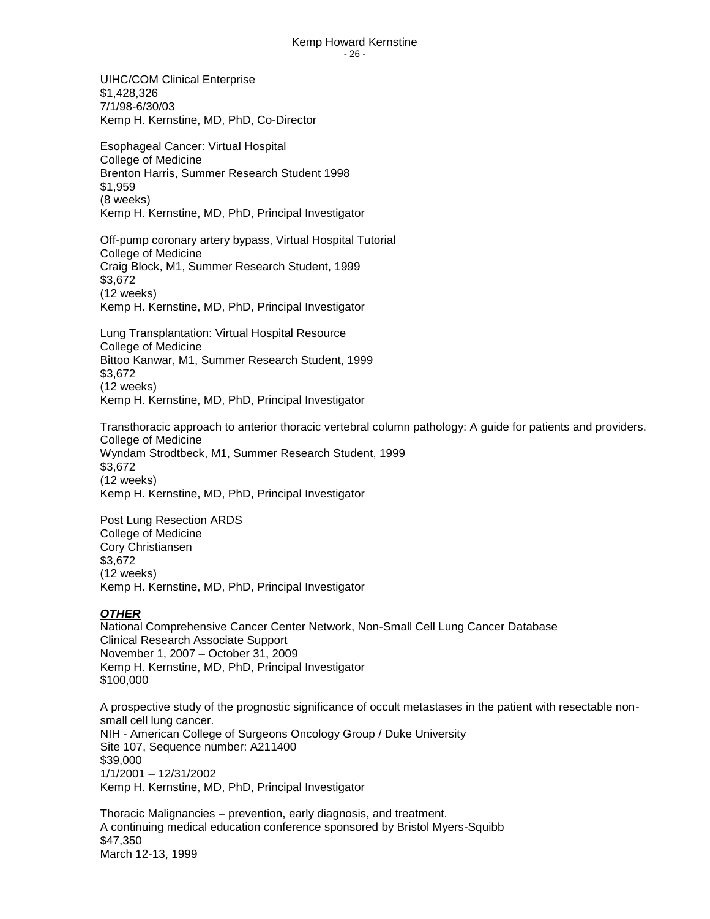UIHC/COM Clinical Enterprise \$1,428,326 7/1/98-6/30/03 Kemp H. Kernstine, MD, PhD, Co-Director

Esophageal Cancer: Virtual Hospital College of Medicine Brenton Harris, Summer Research Student 1998 \$1,959 (8 weeks) Kemp H. Kernstine, MD, PhD, Principal Investigator

 Off-pump coronary artery bypass, Virtual Hospital Tutorial College of Medicine Craig Block, M1, Summer Research Student, 1999 \$3,672 (12 weeks) Kemp H. Kernstine, MD, PhD, Principal Investigator

Lung Transplantation: Virtual Hospital Resource College of Medicine Bittoo Kanwar, M1, Summer Research Student, 1999 \$3,672 (12 weeks) Kemp H. Kernstine, MD, PhD, Principal Investigator

Transthoracic approach to anterior thoracic vertebral column pathology: A guide for patients and providers. College of Medicine Wyndam Strodtbeck, M1, Summer Research Student, 1999 \$3,672 (12 weeks) Kemp H. Kernstine, MD, PhD, Principal Investigator

Post Lung Resection ARDS College of Medicine Cory Christiansen \$3,672 (12 weeks) Kemp H. Kernstine, MD, PhD, Principal Investigator

#### *OTHER*

National Comprehensive Cancer Center Network, Non-Small Cell Lung Cancer Database Clinical Research Associate Support November 1, 2007 – October 31, 2009 Kemp H. Kernstine, MD, PhD, Principal Investigator \$100,000

A prospective study of the prognostic significance of occult metastases in the patient with resectable nonsmall cell lung cancer. NIH - American College of Surgeons Oncology Group / Duke University Site 107, Sequence number: A211400 \$39,000 1/1/2001 – 12/31/2002 Kemp H. Kernstine, MD, PhD, Principal Investigator

Thoracic Malignancies – prevention, early diagnosis, and treatment. A continuing medical education conference sponsored by Bristol Myers-Squibb \$47,350 March 12-13, 1999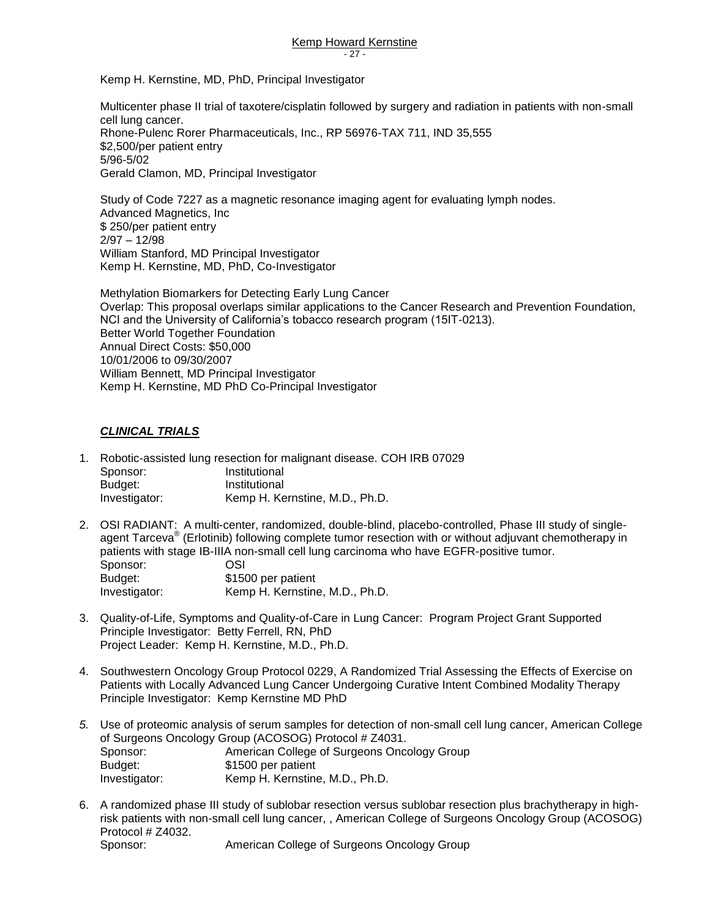Kemp H. Kernstine, MD, PhD, Principal Investigator

Multicenter phase II trial of taxotere/cisplatin followed by surgery and radiation in patients with non-small cell lung cancer. Rhone-Pulenc Rorer Pharmaceuticals, Inc., RP 56976-TAX 711, IND 35,555 \$2,500/per patient entry 5/96-5/02 Gerald Clamon, MD, Principal Investigator

Study of Code 7227 as a magnetic resonance imaging agent for evaluating lymph nodes. Advanced Magnetics, Inc \$ 250/per patient entry 2/97 – 12/98 William Stanford, MD Principal Investigator Kemp H. Kernstine, MD, PhD, Co-Investigator

Methylation Biomarkers for Detecting Early Lung Cancer Overlap: This proposal overlaps similar applications to the Cancer Research and Prevention Foundation, NCI and the University of California's tobacco research program (15IT-0213). Better World Together Foundation Annual Direct Costs: \$50,000 10/01/2006 to 09/30/2007 William Bennett, MD Principal Investigator Kemp H. Kernstine, MD PhD Co-Principal Investigator

#### *CLINICAL TRIALS*

- 1. Robotic-assisted lung resection for malignant disease. COH IRB 07029 Sponsor: Institutional Budget: Institutional Investigator: Kemp H. Kernstine, M.D., Ph.D.
- 2. OSI RADIANT: A multi-center, randomized, double-blind, placebo-controlled, Phase III study of singleagent Tarceva® (Erlotinib) following complete tumor resection with or without adjuvant chemotherapy in patients with stage IB-IIIA non-small cell lung carcinoma who have EGFR-positive tumor. Sponsor: OSI Budget: \$1500 per patient Investigator: Kemp H. Kernstine, M.D., Ph.D.
- 3. Quality-of-Life, Symptoms and Quality-of-Care in Lung Cancer: Program Project Grant Supported Principle Investigator: Betty Ferrell, RN, PhD Project Leader: Kemp H. Kernstine, M.D., Ph.D.
- 4. Southwestern Oncology Group Protocol 0229, A Randomized Trial Assessing the Effects of Exercise on Patients with Locally Advanced Lung Cancer Undergoing Curative Intent Combined Modality Therapy Principle Investigator: Kemp Kernstine MD PhD
- *5.* Use of proteomic analysis of serum samples for detection of non-small cell lung cancer, American College of Surgeons Oncology Group (ACOSOG) Protocol # Z4031. Sponsor: American College of Surgeons Oncology Group Budget: \$1500 per patient Investigator: Kemp H. Kernstine, M.D., Ph.D.
- 6. A randomized phase III study of sublobar resection versus sublobar resection plus brachytherapy in highrisk patients with non-small cell lung cancer, , American College of Surgeons Oncology Group (ACOSOG) Protocol # Z4032.

Sponsor: American College of Surgeons Oncology Group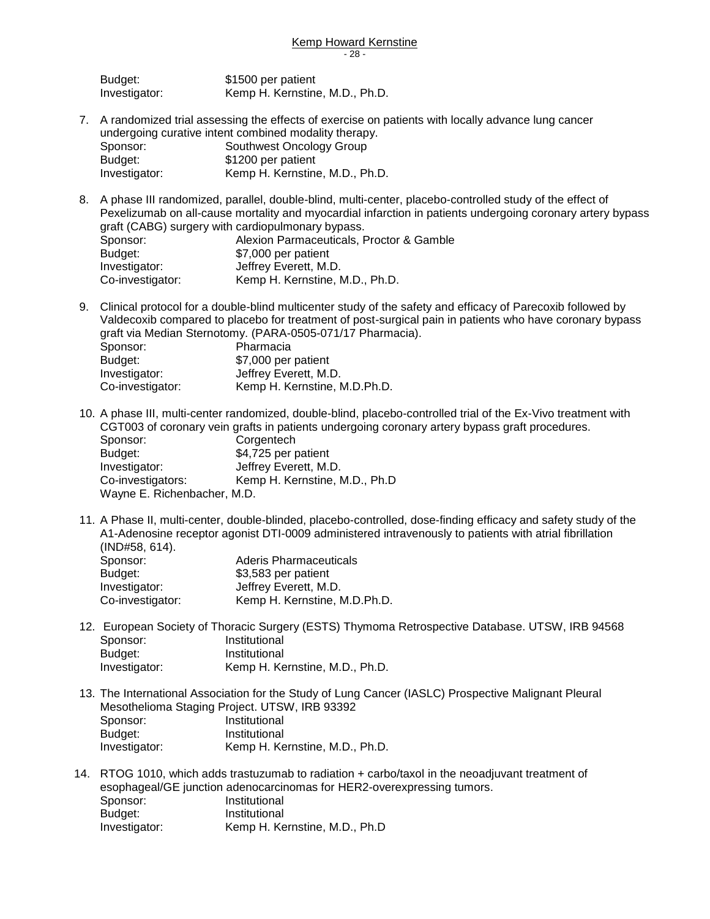| Budget:       | \$1500 per patient             |
|---------------|--------------------------------|
| Investigator: | Kemp H. Kernstine, M.D., Ph.D. |

- 7. A randomized trial assessing the effects of exercise on patients with locally advance lung cancer undergoing curative intent combined modality therapy.<br>Sponsor: Southwest Oncology Group Southwest Oncology Group Budget: \$1200 per patient Investigator: Kemp H. Kernstine, M.D., Ph.D.
- 8. A phase III randomized, parallel, double-blind, multi-center, placebo-controlled study of the effect of Pexelizumab on all-cause mortality and myocardial infarction in patients undergoing coronary artery bypass graft (CABG) surgery with cardiopulmonary bypass. Sponsor: Alexion Parmaceuticals, Proctor & Gamble Budget: \$7,000 per patient Investigator: **Jeffrey Everett, M.D.** Co-investigator: Kemp H. Kernstine, M.D., Ph.D.
- 9. Clinical protocol for a double-blind multicenter study of the safety and efficacy of Parecoxib followed by Valdecoxib compared to placebo for treatment of post-surgical pain in patients who have coronary bypass graft via Median Sternotomy. (PARA-0505-071/17 Pharmacia). Sponsor: Pharmacia<br>Budget: \$7,000 per \$7,000 per patient Investigator: Jeffrey Everett, M.D. Co-investigator: Kemp H. Kernstine, M.D.Ph.D.

10. A phase III, multi-center randomized, double-blind, placebo-controlled trial of the Ex-Vivo treatment with CGT003 of coronary vein grafts in patients undergoing coronary artery bypass graft procedures. Sponsor: Corgentech Budget: \$4,725 per patient Investigator: **Jeffrey Everett, M.D.** Co-investigators: Kemp H. Kernstine, M.D., Ph.D Wayne E. Richenbacher, M.D.

11. A Phase II, multi-center, double-blinded, placebo-controlled, dose-finding efficacy and safety study of the A1-Adenosine receptor agonist DTI-0009 administered intravenously to patients with atrial fibrillation (IND#58, 614).

| Sponsor:         | Aderis Pharmaceuticals       |
|------------------|------------------------------|
| Budget:          | \$3,583 per patient          |
| Investigator:    | Jeffrey Everett, M.D.        |
| Co-investigator: | Kemp H. Kernstine, M.D.Ph.D. |

- 12. European Society of Thoracic Surgery (ESTS) Thymoma Retrospective Database. UTSW, IRB 94568 Sponsor: Institutional Budget: Institutional Investigator: Kemp H. Kernstine, M.D., Ph.D.
- 13. The International Association for the Study of Lung Cancer (IASLC) Prospective Malignant Pleural Mesothelioma Staging Project. UTSW, IRB 93392 Sponsor: Institutional Budget: Institutional Investigator: Kemp H. Kernstine, M.D., Ph.D.
- 14. RTOG 1010, which adds trastuzumab to radiation + carbo/taxol in the neoadjuvant treatment of esophageal/GE junction adenocarcinomas for HER2-overexpressing tumors. Sponsor: Institutional Budget: Institutional Investigator: Kemp H. Kernstine, M.D., Ph.D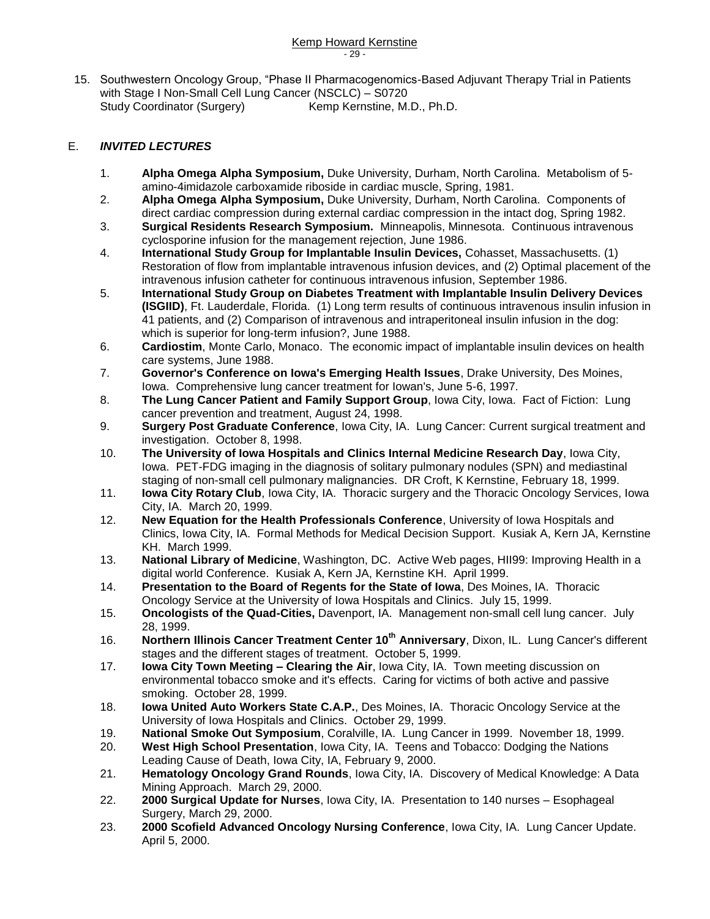15. Southwestern Oncology Group, "Phase II Pharmacogenomics-Based Adjuvant Therapy Trial in Patients with Stage I Non-Small Cell Lung Cancer (NSCLC) – S0720 Study Coordinator (Surgery) Kemp Kernstine, M.D., Ph.D.

### E. *INVITED LECTURES*

- 1. **Alpha Omega Alpha Symposium,** Duke University, Durham, North Carolina. Metabolism of 5 amino-4imidazole carboxamide riboside in cardiac muscle, Spring, 1981.
- 2. **Alpha Omega Alpha Symposium,** Duke University, Durham, North Carolina. Components of direct cardiac compression during external cardiac compression in the intact dog, Spring 1982.
- 3. **Surgical Residents Research Symposium.** Minneapolis, Minnesota. Continuous intravenous cyclosporine infusion for the management rejection, June 1986.
- 4. **International Study Group for Implantable Insulin Devices,** Cohasset, Massachusetts. (1) Restoration of flow from implantable intravenous infusion devices, and (2) Optimal placement of the intravenous infusion catheter for continuous intravenous infusion, September 1986.
- 5. **International Study Group on Diabetes Treatment with Implantable Insulin Delivery Devices (ISGIID)**, Ft. Lauderdale, Florida. (1) Long term results of continuous intravenous insulin infusion in 41 patients, and (2) Comparison of intravenous and intraperitoneal insulin infusion in the dog: which is superior for long-term infusion?, June 1988.
- 6. **Cardiostim**, Monte Carlo, Monaco. The economic impact of implantable insulin devices on health care systems, June 1988.
- 7. **Governor's Conference on Iowa's Emerging Health Issues**, Drake University, Des Moines, Iowa. Comprehensive lung cancer treatment for Iowan's, June 5-6, 1997.
- 8. **The Lung Cancer Patient and Family Support Group**, Iowa City, Iowa. Fact of Fiction: Lung cancer prevention and treatment, August 24, 1998.
- 9. **Surgery Post Graduate Conference**, Iowa City, IA. Lung Cancer: Current surgical treatment and investigation. October 8, 1998.
- 10. **The University of Iowa Hospitals and Clinics Internal Medicine Research Day**, Iowa City, Iowa. PET-FDG imaging in the diagnosis of solitary pulmonary nodules (SPN) and mediastinal staging of non-small cell pulmonary malignancies. DR Croft, K Kernstine, February 18, 1999.
- 11. **Iowa City Rotary Club**, Iowa City, IA. Thoracic surgery and the Thoracic Oncology Services, Iowa City, IA. March 20, 1999.
- 12. **New Equation for the Health Professionals Conference**, University of Iowa Hospitals and Clinics, Iowa City, IA. Formal Methods for Medical Decision Support. Kusiak A, Kern JA, Kernstine KH. March 1999.
- 13. **National Library of Medicine**, Washington, DC. Active Web pages, HII99: Improving Health in a digital world Conference. Kusiak A, Kern JA, Kernstine KH. April 1999.
- 14. **Presentation to the Board of Regents for the State of Iowa**, Des Moines, IA. Thoracic Oncology Service at the University of Iowa Hospitals and Clinics. July 15, 1999.
- 15. **Oncologists of the Quad-Cities,** Davenport, IA. Management non-small cell lung cancer. July 28, 1999.
- 16. **Northern Illinois Cancer Treatment Center 10th Anniversary**, Dixon, IL. Lung Cancer's different stages and the different stages of treatment. October 5, 1999.
- 17. **Iowa City Town Meeting – Clearing the Air**, Iowa City, IA. Town meeting discussion on environmental tobacco smoke and it's effects. Caring for victims of both active and passive smoking. October 28, 1999.
- 18. **Iowa United Auto Workers State C.A.P.**, Des Moines, IA. Thoracic Oncology Service at the University of Iowa Hospitals and Clinics. October 29, 1999.
- 19. **National Smoke Out Symposium**, Coralville, IA. Lung Cancer in 1999. November 18, 1999.
- 20. **West High School Presentation**, Iowa City, IA. Teens and Tobacco: Dodging the Nations Leading Cause of Death, Iowa City, IA, February 9, 2000.
- 21. **Hematology Oncology Grand Rounds**, Iowa City, IA. Discovery of Medical Knowledge: A Data Mining Approach. March 29, 2000.
- 22. **2000 Surgical Update for Nurses**, Iowa City, IA. Presentation to 140 nurses Esophageal Surgery, March 29, 2000.
- 23. **2000 Scofield Advanced Oncology Nursing Conference**, Iowa City, IA. Lung Cancer Update. April 5, 2000.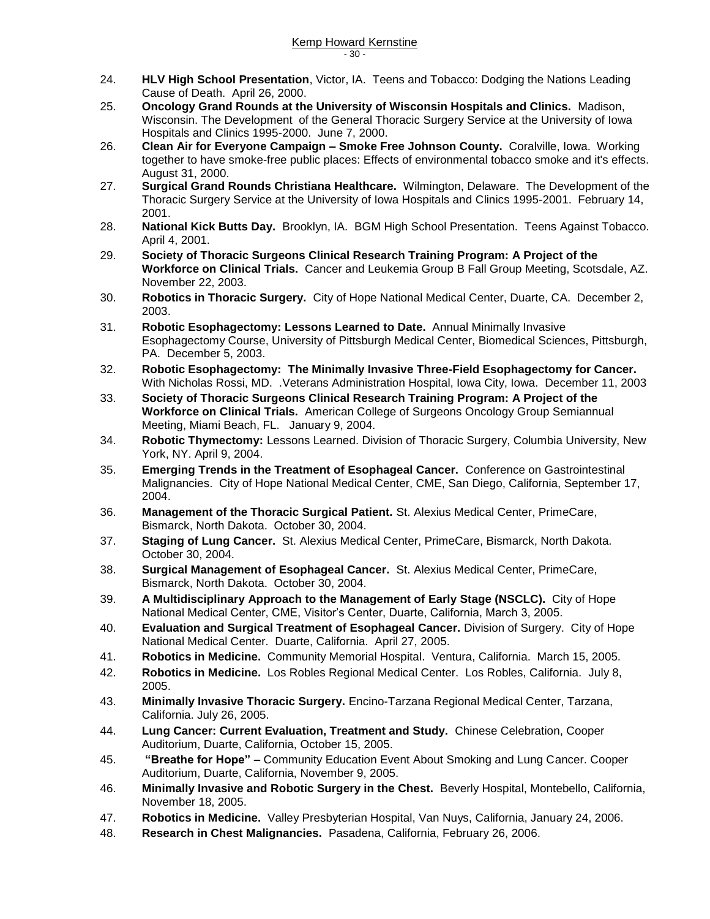- 24. **HLV High School Presentation**, Victor, IA. Teens and Tobacco: Dodging the Nations Leading Cause of Death. April 26, 2000.
- 25. **Oncology Grand Rounds at the University of Wisconsin Hospitals and Clinics.** Madison, Wisconsin. The Development of the General Thoracic Surgery Service at the University of Iowa Hospitals and Clinics 1995-2000. June 7, 2000.
- 26. **Clean Air for Everyone Campaign – Smoke Free Johnson County.** Coralville, Iowa. Working together to have smoke-free public places: Effects of environmental tobacco smoke and it's effects. August 31, 2000.
- 27. **Surgical Grand Rounds Christiana Healthcare.** Wilmington, Delaware. The Development of the Thoracic Surgery Service at the University of Iowa Hospitals and Clinics 1995-2001. February 14, 2001.
- 28. **National Kick Butts Day.** Brooklyn, IA. BGM High School Presentation. Teens Against Tobacco. April 4, 2001.
- 29. **Society of Thoracic Surgeons Clinical Research Training Program: A Project of the Workforce on Clinical Trials.** Cancer and Leukemia Group B Fall Group Meeting, Scotsdale, AZ. November 22, 2003.
- 30. **Robotics in Thoracic Surgery.** City of Hope National Medical Center, Duarte, CA. December 2, 2003.
- 31. **Robotic Esophagectomy: Lessons Learned to Date.** Annual Minimally Invasive Esophagectomy Course, University of Pittsburgh Medical Center, Biomedical Sciences, Pittsburgh, PA. December 5, 2003.
- 32. **Robotic Esophagectomy: The Minimally Invasive Three-Field Esophagectomy for Cancer.** With Nicholas Rossi, MD. .Veterans Administration Hospital, Iowa City, Iowa. December 11, 2003
- 33. **Society of Thoracic Surgeons Clinical Research Training Program: A Project of the Workforce on Clinical Trials.** American College of Surgeons Oncology Group Semiannual Meeting, Miami Beach, FL. January 9, 2004.
- 34. **Robotic Thymectomy:** Lessons Learned. Division of Thoracic Surgery, Columbia University, New York, NY. April 9, 2004.
- 35. **Emerging Trends in the Treatment of Esophageal Cancer.** Conference on Gastrointestinal Malignancies. City of Hope National Medical Center, CME, San Diego, California, September 17, 2004.
- 36. **Management of the Thoracic Surgical Patient.** St. Alexius Medical Center, PrimeCare, Bismarck, North Dakota. October 30, 2004.
- 37. **Staging of Lung Cancer.** St. Alexius Medical Center, PrimeCare, Bismarck, North Dakota. October 30, 2004.
- 38. **Surgical Management of Esophageal Cancer.** St. Alexius Medical Center, PrimeCare, Bismarck, North Dakota. October 30, 2004.
- 39. **A Multidisciplinary Approach to the Management of Early Stage (NSCLC).** City of Hope National Medical Center, CME, Visitor's Center, Duarte, California, March 3, 2005.
- 40. **Evaluation and Surgical Treatment of Esophageal Cancer.** Division of Surgery. City of Hope National Medical Center. Duarte, California. April 27, 2005.
- 41. **Robotics in Medicine.** Community Memorial Hospital. Ventura, California. March 15, 2005.
- 42. **Robotics in Medicine.** Los Robles Regional Medical Center. Los Robles, California. July 8, 2005.
- 43. **Minimally Invasive Thoracic Surgery.** Encino-Tarzana Regional Medical Center, Tarzana, California. July 26, 2005.
- 44. **Lung Cancer: Current Evaluation, Treatment and Study.** Chinese Celebration, Cooper Auditorium, Duarte, California, October 15, 2005.
- 45. **"Breathe for Hope" –** Community Education Event About Smoking and Lung Cancer. Cooper Auditorium, Duarte, California, November 9, 2005.
- 46. **Minimally Invasive and Robotic Surgery in the Chest.** Beverly Hospital, Montebello, California, November 18, 2005.
- 47. **Robotics in Medicine.** Valley Presbyterian Hospital, Van Nuys, California, January 24, 2006.
- 48. **Research in Chest Malignancies.** Pasadena, California, February 26, 2006.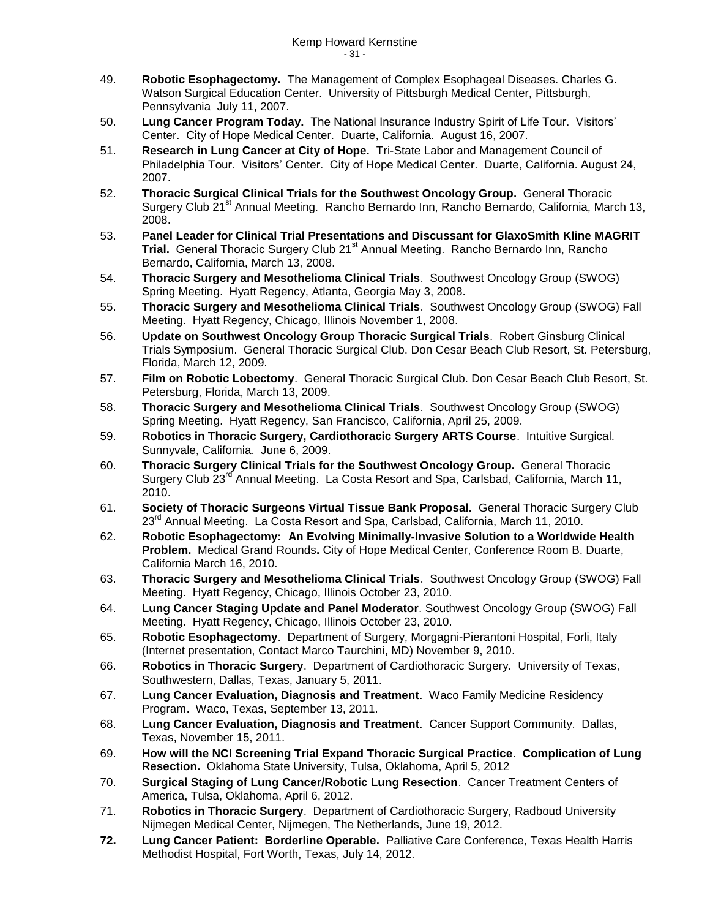- 49. **Robotic Esophagectomy.** The Management of Complex Esophageal Diseases. Charles G. Watson Surgical Education Center. University of Pittsburgh Medical Center, Pittsburgh, Pennsylvania July 11, 2007.
- 50. **Lung Cancer Program Today.** The National Insurance Industry Spirit of Life Tour. Visitors' Center. City of Hope Medical Center. Duarte, California. August 16, 2007.
- 51. **Research in Lung Cancer at City of Hope.** Tri-State Labor and Management Council of Philadelphia Tour. Visitors' Center. City of Hope Medical Center. Duarte, California. August 24, 2007.
- 52. **Thoracic Surgical Clinical Trials for the Southwest Oncology Group.** General Thoracic Surgery Club 21<sup>st</sup> Annual Meeting. Rancho Bernardo Inn, Rancho Bernardo, California, March 13, 2008.
- 53. **Panel Leader for Clinical Trial Presentations and Discussant for GlaxoSmith Kline MAGRIT Trial.** General Thoracic Surgery Club 21<sup>st</sup> Annual Meeting. Rancho Bernardo Inn, Rancho Bernardo, California, March 13, 2008.
- 54. **Thoracic Surgery and Mesothelioma Clinical Trials**. Southwest Oncology Group (SWOG) Spring Meeting. Hyatt Regency, Atlanta, Georgia May 3, 2008.
- 55. **Thoracic Surgery and Mesothelioma Clinical Trials**. Southwest Oncology Group (SWOG) Fall Meeting. Hyatt Regency, Chicago, Illinois November 1, 2008.
- 56. **Update on Southwest Oncology Group Thoracic Surgical Trials**. Robert Ginsburg Clinical Trials Symposium. General Thoracic Surgical Club. Don Cesar Beach Club Resort, St. Petersburg, Florida, March 12, 2009.
- 57. **Film on Robotic Lobectomy**. General Thoracic Surgical Club. Don Cesar Beach Club Resort, St. Petersburg, Florida, March 13, 2009.
- 58. **Thoracic Surgery and Mesothelioma Clinical Trials**. Southwest Oncology Group (SWOG) Spring Meeting. Hyatt Regency, San Francisco, California, April 25, 2009.
- 59. **Robotics in Thoracic Surgery, Cardiothoracic Surgery ARTS Course**. Intuitive Surgical. Sunnyvale, California. June 6, 2009.
- 60. **Thoracic Surgery Clinical Trials for the Southwest Oncology Group.** General Thoracic Surgery Club 23<sup>rd</sup> Annual Meeting. La Costa Resort and Spa, Carlsbad, California, March 11, 2010.
- 61. **Society of Thoracic Surgeons Virtual Tissue Bank Proposal.** General Thoracic Surgery Club 23<sup>rd</sup> Annual Meeting. La Costa Resort and Spa, Carlsbad, California, March 11, 2010.
- 62. **Robotic Esophagectomy: An Evolving Minimally-Invasive Solution to a Worldwide Health Problem.** Medical Grand Rounds**.** City of Hope Medical Center, Conference Room B. Duarte, California March 16, 2010.
- 63. **Thoracic Surgery and Mesothelioma Clinical Trials**. Southwest Oncology Group (SWOG) Fall Meeting. Hyatt Regency, Chicago, Illinois October 23, 2010.
- 64. **Lung Cancer Staging Update and Panel Moderator**. Southwest Oncology Group (SWOG) Fall Meeting. Hyatt Regency, Chicago, Illinois October 23, 2010.
- 65. **Robotic Esophagectomy**. Department of Surgery, Morgagni-Pierantoni Hospital, Forli, Italy (Internet presentation, Contact Marco Taurchini, MD) November 9, 2010.
- 66. **Robotics in Thoracic Surgery**. Department of Cardiothoracic Surgery. University of Texas, Southwestern, Dallas, Texas, January 5, 2011.
- 67. **Lung Cancer Evaluation, Diagnosis and Treatment**. Waco Family Medicine Residency Program. Waco, Texas, September 13, 2011.
- 68. **Lung Cancer Evaluation, Diagnosis and Treatment**. Cancer Support Community. Dallas, Texas, November 15, 2011.
- 69. **How will the NCI Screening Trial Expand Thoracic Surgical Practice**. **Complication of Lung Resection.** Oklahoma State University, Tulsa, Oklahoma, April 5, 2012
- 70. **Surgical Staging of Lung Cancer/Robotic Lung Resection**. Cancer Treatment Centers of America, Tulsa, Oklahoma, April 6, 2012.
- 71. **Robotics in Thoracic Surgery**. Department of Cardiothoracic Surgery, Radboud University Nijmegen Medical Center, Nijmegen, The Netherlands, June 19, 2012.
- **72. Lung Cancer Patient: Borderline Operable.** Palliative Care Conference, Texas Health Harris Methodist Hospital, Fort Worth, Texas, July 14, 2012.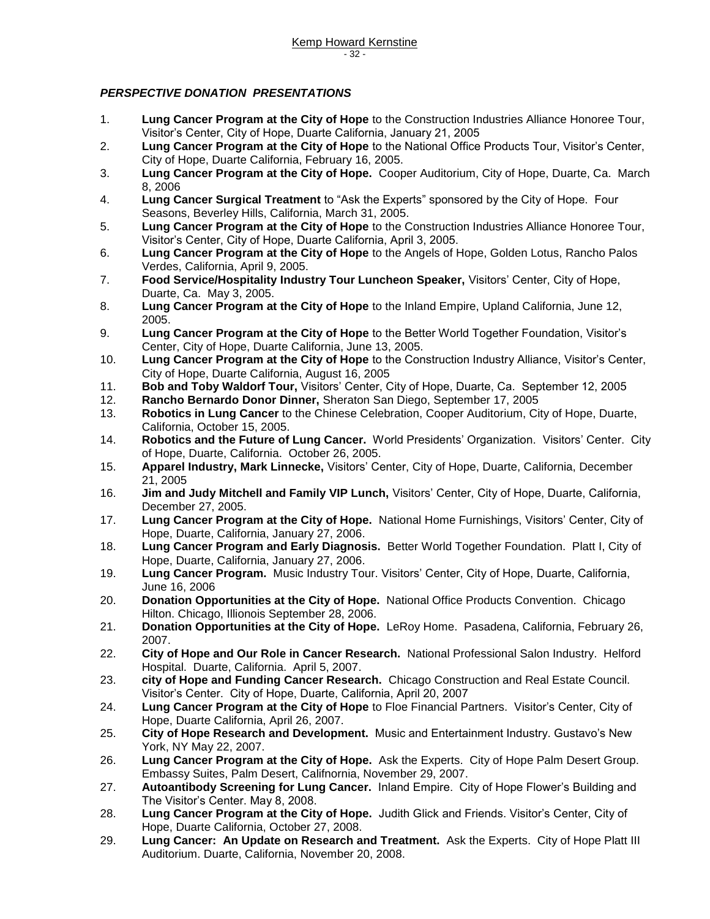#### *PERSPECTIVE DONATION PRESENTATIONS*

- 1. **Lung Cancer Program at the City of Hope** to the Construction Industries Alliance Honoree Tour, Visitor's Center, City of Hope, Duarte California, January 21, 2005
- 2. **Lung Cancer Program at the City of Hope** to the National Office Products Tour, Visitor's Center, City of Hope, Duarte California, February 16, 2005.
- 3. **Lung Cancer Program at the City of Hope.** Cooper Auditorium, City of Hope, Duarte, Ca. March 8, 2006
- 4. **Lung Cancer Surgical Treatment** to "Ask the Experts" sponsored by the City of Hope. Four Seasons, Beverley Hills, California, March 31, 2005.
- 5. **Lung Cancer Program at the City of Hope** to the Construction Industries Alliance Honoree Tour, Visitor's Center, City of Hope, Duarte California, April 3, 2005.
- 6. **Lung Cancer Program at the City of Hope** to the Angels of Hope, Golden Lotus, Rancho Palos Verdes, California, April 9, 2005.
- 7. **Food Service/Hospitality Industry Tour Luncheon Speaker,** Visitors' Center, City of Hope, Duarte, Ca. May 3, 2005.
- 8. **Lung Cancer Program at the City of Hope** to the Inland Empire, Upland California, June 12, 2005.
- 9. **Lung Cancer Program at the City of Hope** to the Better World Together Foundation, Visitor's Center, City of Hope, Duarte California, June 13, 2005.
- 10. **Lung Cancer Program at the City of Hope** to the Construction Industry Alliance, Visitor's Center, City of Hope, Duarte California, August 16, 2005
- 11. **Bob and Toby Waldorf Tour,** Visitors' Center, City of Hope, Duarte, Ca. September 12, 2005
- 12. **Rancho Bernardo Donor Dinner,** Sheraton San Diego, September 17, 2005
- 13. **Robotics in Lung Cancer** to the Chinese Celebration, Cooper Auditorium, City of Hope, Duarte, California, October 15, 2005.
- 14. **Robotics and the Future of Lung Cancer.** World Presidents' Organization.Visitors' Center. City of Hope, Duarte, California. October 26, 2005.
- 15. **Apparel Industry, Mark Linnecke,** Visitors' Center, City of Hope, Duarte, California, December 21, 2005
- 16. **Jim and Judy Mitchell and Family VIP Lunch,** Visitors' Center, City of Hope, Duarte, California, December 27, 2005.
- 17. **Lung Cancer Program at the City of Hope.** National Home Furnishings, Visitors' Center, City of Hope, Duarte, California, January 27, 2006.
- 18. **Lung Cancer Program and Early Diagnosis.** Better World Together Foundation. Platt I, City of Hope, Duarte, California, January 27, 2006.
- 19. **Lung Cancer Program.** Music Industry Tour. Visitors' Center, City of Hope, Duarte, California, June 16, 2006
- 20. **Donation Opportunities at the City of Hope.** National Office Products Convention. Chicago Hilton. Chicago, Illionois September 28, 2006.
- 21. **Donation Opportunities at the City of Hope.** LeRoy Home. Pasadena, California, February 26, 2007.
- 22. **City of Hope and Our Role in Cancer Research.** National Professional Salon Industry. Helford Hospital. Duarte, California. April 5, 2007.
- 23. **city of Hope and Funding Cancer Research.** Chicago Construction and Real Estate Council. Visitor's Center. City of Hope, Duarte, California, April 20, 2007
- 24. **Lung Cancer Program at the City of Hope** to Floe Financial Partners. Visitor's Center, City of Hope, Duarte California, April 26, 2007.
- 25. **City of Hope Research and Development.** Music and Entertainment Industry. Gustavo's New York, NY May 22, 2007.
- 26. **Lung Cancer Program at the City of Hope.** Ask the Experts. City of Hope Palm Desert Group. Embassy Suites, Palm Desert, Califnornia, November 29, 2007.
- 27. **Autoantibody Screening for Lung Cancer.** Inland Empire. City of Hope Flower's Building and The Visitor's Center. May 8, 2008.
- 28. **Lung Cancer Program at the City of Hope.** Judith Glick and Friends. Visitor's Center, City of Hope, Duarte California, October 27, 2008.
- 29. **Lung Cancer: An Update on Research and Treatment.** Ask the Experts. City of Hope Platt III Auditorium. Duarte, California, November 20, 2008.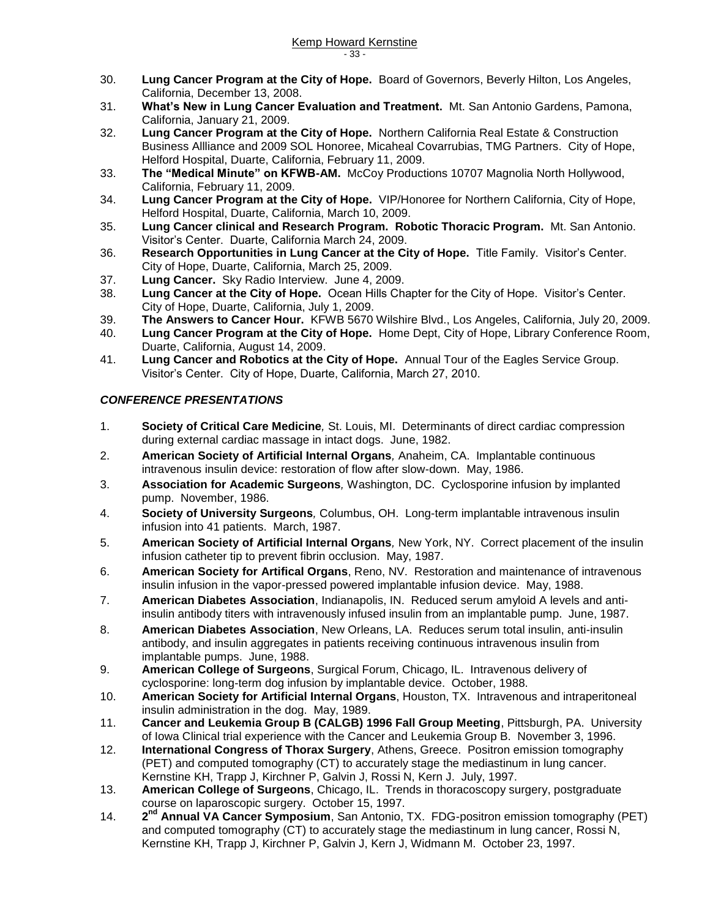- 30. **Lung Cancer Program at the City of Hope.** Board of Governors, Beverly Hilton, Los Angeles, California, December 13, 2008.
- 31. **What's New in Lung Cancer Evaluation and Treatment.** Mt. San Antonio Gardens, Pamona, California, January 21, 2009.
- 32. **Lung Cancer Program at the City of Hope.** Northern California Real Estate & Construction Business Allliance and 2009 SOL Honoree, Micaheal Covarrubias, TMG Partners. City of Hope, Helford Hospital, Duarte, California, February 11, 2009.
- 33. **The "Medical Minute" on KFWB-AM.** McCoy Productions 10707 Magnolia North Hollywood, California, February 11, 2009.
- 34. **Lung Cancer Program at the City of Hope.** VIP/Honoree for Northern California, City of Hope, Helford Hospital, Duarte, California, March 10, 2009.
- 35. **Lung Cancer clinical and Research Program. Robotic Thoracic Program.** Mt. San Antonio. Visitor's Center. Duarte, California March 24, 2009.
- 36. **Research Opportunities in Lung Cancer at the City of Hope.** Title Family. Visitor's Center. City of Hope, Duarte, California, March 25, 2009.
- 37. **Lung Cancer.** Sky Radio Interview. June 4, 2009.
- 38. **Lung Cancer at the City of Hope.** Ocean Hills Chapter for the City of Hope. Visitor's Center. City of Hope, Duarte, California, July 1, 2009.
- 39. **The Answers to Cancer Hour.** KFWB 5670 Wilshire Blvd., Los Angeles, California, July 20, 2009.
- 40. **Lung Cancer Program at the City of Hope.** Home Dept, City of Hope, Library Conference Room, Duarte, California, August 14, 2009.
- 41. **Lung Cancer and Robotics at the City of Hope.** Annual Tour of the Eagles Service Group. Visitor's Center. City of Hope, Duarte, California, March 27, 2010.

### *CONFERENCE PRESENTATIONS*

- 1. **Society of Critical Care Medicine***,* St. Louis, MI. Determinants of direct cardiac compression during external cardiac massage in intact dogs. June, 1982.
- 2. **American Society of Artificial Internal Organs***,* Anaheim, CA. Implantable continuous intravenous insulin device: restoration of flow after slow-down. May, 1986.
- 3. **Association for Academic Surgeons***,* Washington, DC. Cyclosporine infusion by implanted pump. November, 1986.
- 4. **Society of University Surgeons***,* Columbus, OH. Long-term implantable intravenous insulin infusion into 41 patients. March, 1987.
- 5. **American Society of Artificial Internal Organs***,* New York, NY. Correct placement of the insulin infusion catheter tip to prevent fibrin occlusion. May, 1987.
- 6. **American Society for Artifical Organs**, Reno, NV. Restoration and maintenance of intravenous insulin infusion in the vapor-pressed powered implantable infusion device. May, 1988.
- 7. **American Diabetes Association**, Indianapolis, IN. Reduced serum amyloid A levels and antiinsulin antibody titers with intravenously infused insulin from an implantable pump. June, 1987.
- 8. **American Diabetes Association**, New Orleans, LA. Reduces serum total insulin, anti-insulin antibody, and insulin aggregates in patients receiving continuous intravenous insulin from implantable pumps. June, 1988.
- 9. **American College of Surgeons**, Surgical Forum, Chicago, IL. Intravenous delivery of cyclosporine: long-term dog infusion by implantable device. October, 1988.
- 10. **American Society for Artificial Internal Organs**, Houston, TX. Intravenous and intraperitoneal insulin administration in the dog. May, 1989.
- 11. **Cancer and Leukemia Group B (CALGB) 1996 Fall Group Meeting**, Pittsburgh, PA. University of Iowa Clinical trial experience with the Cancer and Leukemia Group B. November 3, 1996.
- 12. **International Congress of Thorax Surgery**, Athens, Greece. Positron emission tomography (PET) and computed tomography (CT) to accurately stage the mediastinum in lung cancer. Kernstine KH, Trapp J, Kirchner P, Galvin J, Rossi N, Kern J. July, 1997.
- 13. **American College of Surgeons**, Chicago, IL. Trends in thoracoscopy surgery, postgraduate course on laparoscopic surgery. October 15, 1997.
- 14. **2** 2<sup>nd</sup> Annual VA Cancer Symposium, San Antonio, TX. FDG-positron emission tomography (PET) and computed tomography (CT) to accurately stage the mediastinum in lung cancer, Rossi N, Kernstine KH, Trapp J, Kirchner P, Galvin J, Kern J, Widmann M. October 23, 1997.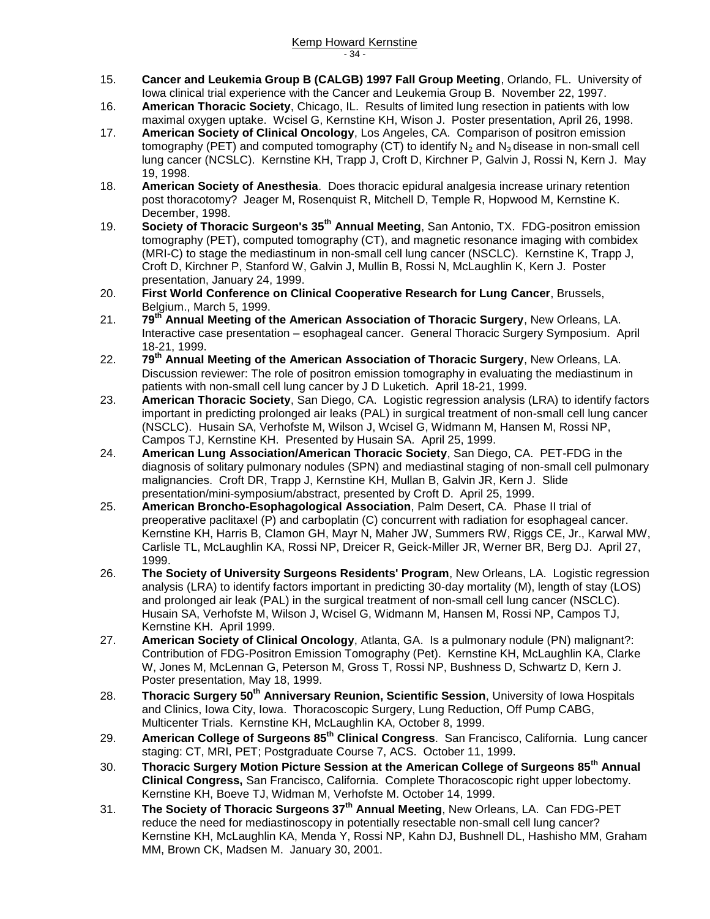- 15. **Cancer and Leukemia Group B (CALGB) 1997 Fall Group Meeting**, Orlando, FL. University of Iowa clinical trial experience with the Cancer and Leukemia Group B. November 22, 1997.
- 16. **American Thoracic Society**, Chicago, IL. Results of limited lung resection in patients with low maximal oxygen uptake. Wcisel G, Kernstine KH, Wison J. Poster presentation, April 26, 1998.
- 17. **American Society of Clinical Oncology**, Los Angeles, CA. Comparison of positron emission tomography (PET) and computed tomography (CT) to identify  $N_2$  and  $N_3$  disease in non-small cell lung cancer (NCSLC). Kernstine KH, Trapp J, Croft D, Kirchner P, Galvin J, Rossi N, Kern J. May 19, 1998.
- 18. **American Society of Anesthesia**. Does thoracic epidural analgesia increase urinary retention post thoracotomy? Jeager M, Rosenquist R, Mitchell D, Temple R, Hopwood M, Kernstine K. December, 1998.
- 19. **Society of Thoracic Surgeon's 35th Annual Meeting**, San Antonio, TX. FDG-positron emission tomography (PET), computed tomography (CT), and magnetic resonance imaging with combidex (MRI-C) to stage the mediastinum in non-small cell lung cancer (NSCLC). Kernstine K, Trapp J, Croft D, Kirchner P, Stanford W, Galvin J, Mullin B, Rossi N, McLaughlin K, Kern J. Poster presentation, January 24, 1999.
- 20. **First World Conference on Clinical Cooperative Research for Lung Cancer**, Brussels, Belgium., March 5, 1999.
- 21. **79th Annual Meeting of the American Association of Thoracic Surgery**, New Orleans, LA. Interactive case presentation – esophageal cancer. General Thoracic Surgery Symposium. April 18-21, 1999.
- 22. **79th Annual Meeting of the American Association of Thoracic Surgery**, New Orleans, LA. Discussion reviewer: The role of positron emission tomography in evaluating the mediastinum in patients with non-small cell lung cancer by J D Luketich. April 18-21, 1999.
- 23. **American Thoracic Society**, San Diego, CA. Logistic regression analysis (LRA) to identify factors important in predicting prolonged air leaks (PAL) in surgical treatment of non-small cell lung cancer (NSCLC). Husain SA, Verhofste M, Wilson J, Wcisel G, Widmann M, Hansen M, Rossi NP, Campos TJ, Kernstine KH. Presented by Husain SA. April 25, 1999.
- 24. **American Lung Association/American Thoracic Society**, San Diego, CA. PET-FDG in the diagnosis of solitary pulmonary nodules (SPN) and mediastinal staging of non-small cell pulmonary malignancies. Croft DR, Trapp J, Kernstine KH, Mullan B, Galvin JR, Kern J. Slide presentation/mini-symposium/abstract, presented by Croft D. April 25, 1999.
- 25. **American Broncho-Esophagological Association**, Palm Desert, CA. Phase II trial of preoperative paclitaxel (P) and carboplatin (C) concurrent with radiation for esophageal cancer. Kernstine KH, Harris B, Clamon GH, Mayr N, Maher JW, Summers RW, Riggs CE, Jr., Karwal MW, Carlisle TL, McLaughlin KA, Rossi NP, Dreicer R, Geick-Miller JR, Werner BR, Berg DJ. April 27, 1999.
- 26. **The Society of University Surgeons Residents' Program**, New Orleans, LA. Logistic regression analysis (LRA) to identify factors important in predicting 30-day mortality (M), length of stay (LOS) and prolonged air leak (PAL) in the surgical treatment of non-small cell lung cancer (NSCLC). Husain SA, Verhofste M, Wilson J, Wcisel G, Widmann M, Hansen M, Rossi NP, Campos TJ, Kernstine KH. April 1999.
- 27. **American Society of Clinical Oncology**, Atlanta, GA. Is a pulmonary nodule (PN) malignant?: Contribution of FDG-Positron Emission Tomography (Pet). Kernstine KH, McLaughlin KA, Clarke W, Jones M, McLennan G, Peterson M, Gross T, Rossi NP, Bushness D, Schwartz D, Kern J. Poster presentation, May 18, 1999.
- 28. **Thoracic Surgery 50th Anniversary Reunion, Scientific Session**, University of Iowa Hospitals and Clinics, Iowa City, Iowa. Thoracoscopic Surgery, Lung Reduction, Off Pump CABG, Multicenter Trials. Kernstine KH, McLaughlin KA, October 8, 1999.
- 29. **American College of Surgeons 85th Clinical Congress**. San Francisco, California. Lung cancer staging: CT, MRI, PET; Postgraduate Course 7, ACS. October 11, 1999.
- 30. **Thoracic Surgery Motion Picture Session at the American College of Surgeons 85th Annual Clinical Congress,** San Francisco, California. Complete Thoracoscopic right upper lobectomy. Kernstine KH, Boeve TJ, Widman M, Verhofste M. October 14, 1999.
- 31. **The Society of Thoracic Surgeons 37th Annual Meeting**, New Orleans, LA. Can FDG-PET reduce the need for mediastinoscopy in potentially resectable non-small cell lung cancer? Kernstine KH, McLaughlin KA, Menda Y, Rossi NP, Kahn DJ, Bushnell DL, Hashisho MM, Graham MM, Brown CK, Madsen M. January 30, 2001.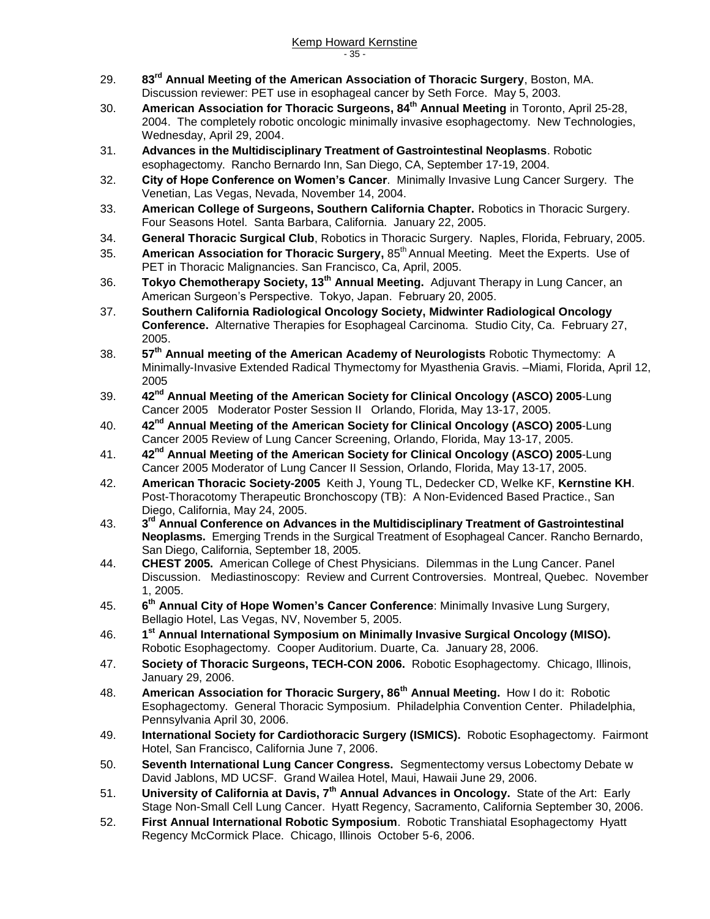- 29. **83rd Annual Meeting of the American Association of Thoracic Surgery**, Boston, MA. Discussion reviewer: PET use in esophageal cancer by Seth Force. May 5, 2003.
- 30. **American Association for Thoracic Surgeons, 84th Annual Meeting** in Toronto, April 25-28, 2004. The completely robotic oncologic minimally invasive esophagectomy. New Technologies, Wednesday, April 29, 2004.
- 31. **Advances in the Multidisciplinary Treatment of Gastrointestinal Neoplasms**. Robotic esophagectomy. Rancho Bernardo Inn, San Diego, CA, September 17-19, 2004.
- 32. **City of Hope Conference on Women's Cancer**. Minimally Invasive Lung Cancer Surgery. The Venetian, Las Vegas, Nevada, November 14, 2004.
- 33. **American College of Surgeons, Southern California Chapter.** Robotics in Thoracic Surgery. Four Seasons Hotel. Santa Barbara, California. January 22, 2005.
- 34. **General Thoracic Surgical Club**, Robotics in Thoracic Surgery. Naples, Florida, February, 2005.
- 35. **American Association for Thoracic Surgery, 85<sup>th</sup> Annual Meeting. Meet the Experts. Use of** PET in Thoracic Malignancies. San Francisco, Ca, April, 2005.
- 36. **Tokyo Chemotherapy Society, 13th Annual Meeting.** Adjuvant Therapy in Lung Cancer, an American Surgeon's Perspective. Tokyo, Japan. February 20, 2005.
- 37. **Southern California Radiological Oncology Society, Midwinter Radiological Oncology Conference.** Alternative Therapies for Esophageal Carcinoma. Studio City, Ca. February 27, 2005.
- 38. **57th Annual meeting of the American Academy of Neurologists** Robotic Thymectomy: A Minimally-Invasive Extended Radical Thymectomy for Myasthenia Gravis. –Miami, Florida, April 12, 2005
- 39. **42nd Annual Meeting of the American Society for Clinical Oncology (ASCO) 2005**-Lung Cancer 2005 Moderator Poster Session II Orlando, Florida, May 13-17, 2005.
- 40. **42nd Annual Meeting of the American Society for Clinical Oncology (ASCO) 2005**-Lung Cancer 2005 Review of Lung Cancer Screening, Orlando, Florida, May 13-17, 2005.
- 41. **42nd Annual Meeting of the American Society for Clinical Oncology (ASCO) 2005**-Lung Cancer 2005 Moderator of Lung Cancer II Session, Orlando, Florida, May 13-17, 2005.
- 42. **American Thoracic Society-2005** Keith J, Young TL, Dedecker CD, Welke KF, **Kernstine KH**. Post-Thoracotomy Therapeutic Bronchoscopy (TB): A Non-Evidenced Based Practice., San Diego, California, May 24, 2005.
- 43. **3**  $3<sup>rd</sup>$  Annual Conference on Advances in the Multidisciplinary Treatment of Gastrointestinal **Neoplasms.** Emerging Trends in the Surgical Treatment of Esophageal Cancer. Rancho Bernardo, San Diego, California, September 18, 2005.
- 44. **CHEST 2005.** American College of Chest Physicians. Dilemmas in the Lung Cancer. Panel Discussion. Mediastinoscopy: Review and Current Controversies. Montreal, Quebec. November 1, 2005.
- 45. **6 th Annual City of Hope Women's Cancer Conference**: Minimally Invasive Lung Surgery, Bellagio Hotel, Las Vegas, NV, November 5, 2005.
- 46. **1 st Annual International Symposium on Minimally Invasive Surgical Oncology (MISO).** Robotic Esophagectomy. Cooper Auditorium. Duarte, Ca. January 28, 2006.
- 47. **Society of Thoracic Surgeons, TECH-CON 2006.** Robotic Esophagectomy. Chicago, Illinois, January 29, 2006.
- 48. **American Association for Thoracic Surgery, 86th Annual Meeting.** How I do it: Robotic Esophagectomy. General Thoracic Symposium. Philadelphia Convention Center. Philadelphia, Pennsylvania April 30, 2006.
- 49. **International Society for Cardiothoracic Surgery (ISMICS).** Robotic Esophagectomy. Fairmont Hotel, San Francisco, California June 7, 2006.
- 50. **Seventh International Lung Cancer Congress.** Segmentectomy versus Lobectomy Debate w David Jablons, MD UCSF. Grand Wailea Hotel, Maui, Hawaii June 29, 2006.
- 51. **University of California at Davis, 7th Annual Advances in Oncology.** State of the Art: Early Stage Non-Small Cell Lung Cancer. Hyatt Regency, Sacramento, California September 30, 2006.
- 52. **First Annual International Robotic Symposium**. Robotic Transhiatal Esophagectomy Hyatt Regency McCormick Place. Chicago, Illinois October 5-6, 2006.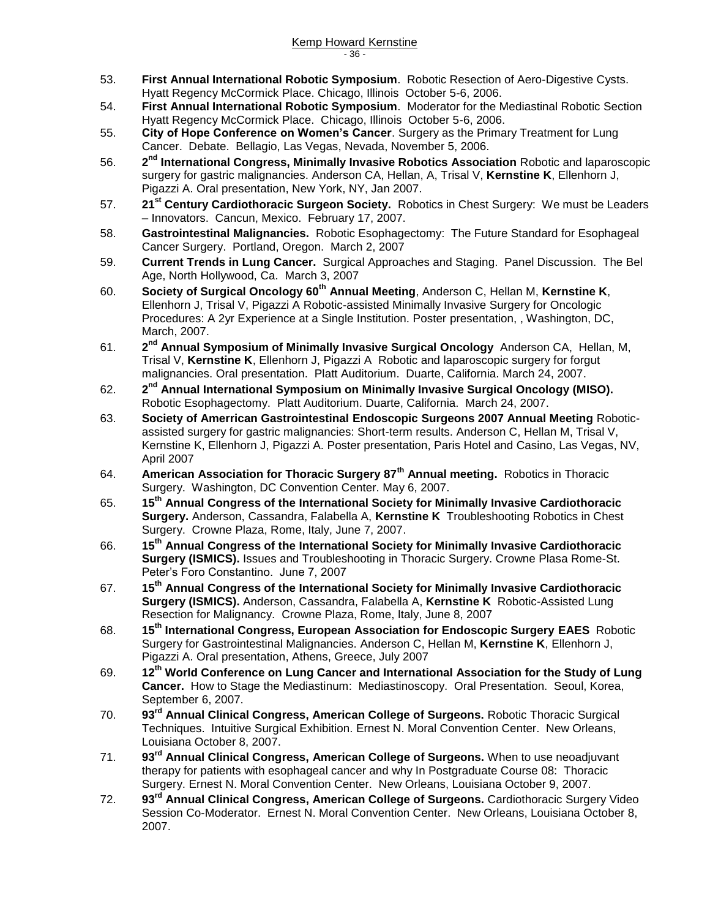- 53. **First Annual International Robotic Symposium**. Robotic Resection of Aero-Digestive Cysts. Hyatt Regency McCormick Place. Chicago, Illinois October 5-6, 2006.
- 54. **First Annual International Robotic Symposium**. Moderator for the Mediastinal Robotic Section Hyatt Regency McCormick Place. Chicago, Illinois October 5-6, 2006.
- 55. **City of Hope Conference on Women's Cancer**. Surgery as the Primary Treatment for Lung Cancer. Debate. Bellagio, Las Vegas, Nevada, November 5, 2006.
- 56. **2** 2<sup>nd</sup> International Congress, Minimally Invasive Robotics Association Robotic and laparoscopic surgery for gastric malignancies. Anderson CA, Hellan, A, Trisal V, **Kernstine K**, Ellenhorn J, Pigazzi A. Oral presentation, New York, NY, Jan 2007.
- 57. **21st Century Cardiothoracic Surgeon Society.** Robotics in Chest Surgery: We must be Leaders – Innovators. Cancun, Mexico. February 17, 2007.
- 58. **Gastrointestinal Malignancies.** Robotic Esophagectomy: The Future Standard for Esophageal Cancer Surgery. Portland, Oregon. March 2, 2007
- 59. **Current Trends in Lung Cancer.** Surgical Approaches and Staging. Panel Discussion. The Bel Age, North Hollywood, Ca. March 3, 2007
- 60. **Society of Surgical Oncology 60th Annual Meeting**, Anderson C, Hellan M, **Kernstine K**, Ellenhorn J, Trisal V, Pigazzi A Robotic-assisted Minimally Invasive Surgery for Oncologic Procedures: A 2yr Experience at a Single Institution. Poster presentation, , Washington, DC, March, 2007.
- 61. **2** 2<sup>nd</sup> Annual Symposium of Minimally Invasive Surgical Oncology Anderson CA, Hellan, M, Trisal V, **Kernstine K**, Ellenhorn J, Pigazzi A Robotic and laparoscopic surgery for forgut malignancies. Oral presentation. Platt Auditorium. Duarte, California. March 24, 2007.
- 62. **2** 2<sup>nd</sup> Annual International Symposium on Minimally Invasive Surgical Oncology (MISO). Robotic Esophagectomy. Platt Auditorium. Duarte, California. March 24, 2007.
- 63. **Society of Amerrican Gastrointestinal Endoscopic Surgeons 2007 Annual Meeting** Roboticassisted surgery for gastric malignancies: Short-term results. Anderson C, Hellan M, Trisal V, Kernstine K, Ellenhorn J, Pigazzi A. Poster presentation, Paris Hotel and Casino, Las Vegas, NV, April 2007
- 64. **American Association for Thoracic Surgery 87th Annual meeting.** Robotics in Thoracic Surgery. Washington, DC Convention Center. May 6, 2007.
- 65. **15th Annual Congress of the International Society for Minimally Invasive Cardiothoracic Surgery.** Anderson, Cassandra, Falabella A, **Kernstine K** Troubleshooting Robotics in Chest Surgery. Crowne Plaza, Rome, Italy, June 7, 2007.
- 66. **15th Annual Congress of the International Society for Minimally Invasive Cardiothoracic Surgery (ISMICS).** Issues and Troubleshooting in Thoracic Surgery. Crowne Plasa Rome-St. Peter's Foro Constantino. June 7, 2007
- 67. **15th Annual Congress of the International Society for Minimally Invasive Cardiothoracic Surgery (ISMICS).** Anderson, Cassandra, Falabella A, **Kernstine K** Robotic-Assisted Lung Resection for Malignancy. Crowne Plaza, Rome, Italy, June 8, 2007
- 68. **15th International Congress, European Association for Endoscopic Surgery EAES** Robotic Surgery for Gastrointestinal Malignancies. Anderson C, Hellan M, **Kernstine K**, Ellenhorn J, Pigazzi A. Oral presentation, Athens, Greece, July 2007
- 69. **12th World Conference on Lung Cancer and International Association for the Study of Lung Cancer.** How to Stage the Mediastinum: Mediastinoscopy. Oral Presentation. Seoul, Korea, September 6, 2007.
- 70. **93rd Annual Clinical Congress, American College of Surgeons.** Robotic Thoracic Surgical Techniques. Intuitive Surgical Exhibition. Ernest N. Moral Convention Center. New Orleans, Louisiana October 8, 2007.
- 71. **93rd Annual Clinical Congress, American College of Surgeons.** When to use neoadjuvant therapy for patients with esophageal cancer and why In Postgraduate Course 08: Thoracic Surgery. Ernest N. Moral Convention Center. New Orleans, Louisiana October 9, 2007.
- 72. **93rd Annual Clinical Congress, American College of Surgeons.** Cardiothoracic Surgery Video Session Co-Moderator. Ernest N. Moral Convention Center. New Orleans, Louisiana October 8, 2007.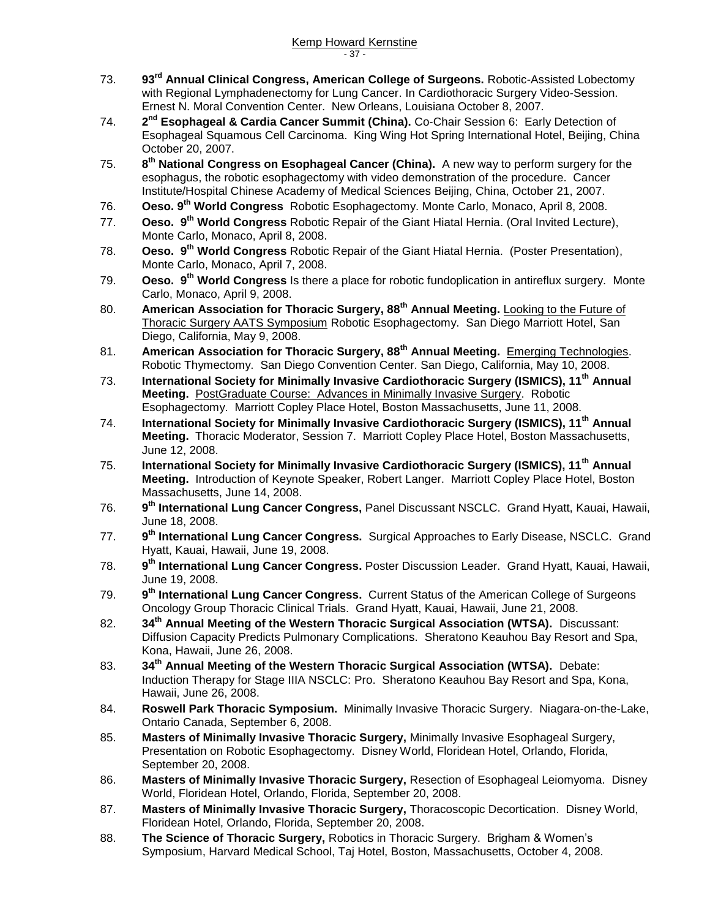- 73. **93rd Annual Clinical Congress, American College of Surgeons.** Robotic-Assisted Lobectomy with Regional Lymphadenectomy for Lung Cancer. In Cardiothoracic Surgery Video-Session. Ernest N. Moral Convention Center. New Orleans, Louisiana October 8, 2007.
- 74. **2 nd Esophageal & Cardia Cancer Summit (China).** Co-Chair Session 6: Early Detection of Esophageal Squamous Cell Carcinoma. King Wing Hot Spring International Hotel, Beijing, China October 20, 2007.
- 75. **8 th National Congress on Esophageal Cancer (China).** A new way to perform surgery for the esophagus, the robotic esophagectomy with video demonstration of the procedure. Cancer Institute/Hospital Chinese Academy of Medical Sciences Beijing, China, October 21, 2007.
- 76. **Oeso. 9 th World Congress** Robotic Esophagectomy. Monte Carlo, Monaco, April 8, 2008.
- 77. **Oeso. 9 th World Congress** Robotic Repair of the Giant Hiatal Hernia. (Oral Invited Lecture), Monte Carlo, Monaco, April 8, 2008.
- 78. **Oeso. 9 th World Congress** Robotic Repair of the Giant Hiatal Hernia. (Poster Presentation), Monte Carlo, Monaco, April 7, 2008.
- 79. **Oeso. 9 th World Congress** Is there a place for robotic fundoplication in antireflux surgery. Monte Carlo, Monaco, April 9, 2008.
- 80. **American Association for Thoracic Surgery, 88th Annual Meeting.** Looking to the Future of Thoracic Surgery AATS Symposium Robotic Esophagectomy. San Diego Marriott Hotel, San Diego, California, May 9, 2008.
- 81. **American Association for Thoracic Surgery, 88th Annual Meeting.** Emerging Technologies. Robotic Thymectomy. San Diego Convention Center. San Diego, California, May 10, 2008.
- 73. **International Society for Minimally Invasive Cardiothoracic Surgery (ISMICS), 11th Annual Meeting.** PostGraduate Course: Advances in Minimally Invasive Surgery. Robotic Esophagectomy. Marriott Copley Place Hotel, Boston Massachusetts, June 11, 2008.
- 74. **International Society for Minimally Invasive Cardiothoracic Surgery (ISMICS), 11th Annual Meeting.** Thoracic Moderator, Session 7. Marriott Copley Place Hotel, Boston Massachusetts, June 12, 2008.
- 75. **International Society for Minimally Invasive Cardiothoracic Surgery (ISMICS), 11th Annual Meeting.** Introduction of Keynote Speaker, Robert Langer. Marriott Copley Place Hotel, Boston Massachusetts, June 14, 2008.
- 76. **9 th International Lung Cancer Congress,** Panel Discussant NSCLC. Grand Hyatt, Kauai, Hawaii, June 18, 2008.
- 77. **9** 9<sup>th</sup> International Lung Cancer Congress. Surgical Approaches to Early Disease, NSCLC. Grand Hyatt, Kauai, Hawaii, June 19, 2008.
- 78. **9 th International Lung Cancer Congress.** Poster Discussion Leader. Grand Hyatt, Kauai, Hawaii, June 19, 2008.
- 79. **9 th International Lung Cancer Congress.** Current Status of the American College of Surgeons Oncology Group Thoracic Clinical Trials. Grand Hyatt, Kauai, Hawaii, June 21, 2008.
- 82. **34th Annual Meeting of the Western Thoracic Surgical Association (WTSA).** Discussant: Diffusion Capacity Predicts Pulmonary Complications. Sheratono Keauhou Bay Resort and Spa, Kona, Hawaii, June 26, 2008.
- 83. **34th Annual Meeting of the Western Thoracic Surgical Association (WTSA).** Debate: Induction Therapy for Stage IIIA NSCLC: Pro. Sheratono Keauhou Bay Resort and Spa, Kona, Hawaii, June 26, 2008.
- 84. **Roswell Park Thoracic Symposium.** Minimally Invasive Thoracic Surgery. Niagara-on-the-Lake, Ontario Canada, September 6, 2008.
- 85. **Masters of Minimally Invasive Thoracic Surgery,** Minimally Invasive Esophageal Surgery, Presentation on Robotic Esophagectomy. Disney World, Floridean Hotel, Orlando, Florida, September 20, 2008.
- 86. **Masters of Minimally Invasive Thoracic Surgery,** Resection of Esophageal Leiomyoma. Disney World, Floridean Hotel, Orlando, Florida, September 20, 2008.
- 87. **Masters of Minimally Invasive Thoracic Surgery,** Thoracoscopic Decortication. Disney World, Floridean Hotel, Orlando, Florida, September 20, 2008.
- 88. **The Science of Thoracic Surgery,** Robotics in Thoracic Surgery. Brigham & Women's Symposium, Harvard Medical School, Taj Hotel, Boston, Massachusetts, October 4, 2008.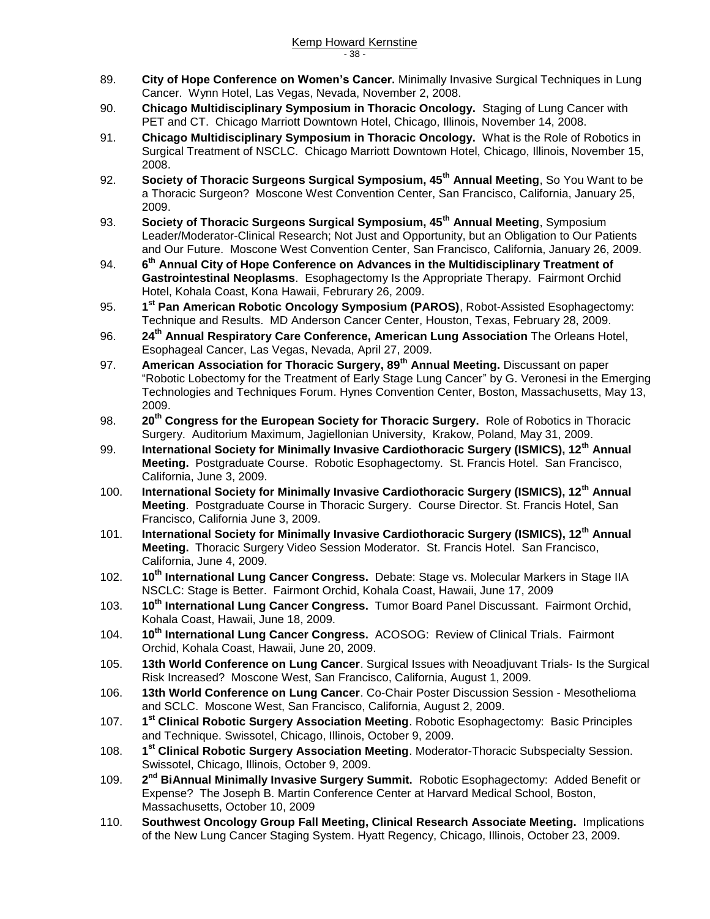- 89. **City of Hope Conference on Women's Cancer.** Minimally Invasive Surgical Techniques in Lung Cancer. Wynn Hotel, Las Vegas, Nevada, November 2, 2008.
- 90. **Chicago Multidisciplinary Symposium in Thoracic Oncology.** Staging of Lung Cancer with PET and CT. Chicago Marriott Downtown Hotel, Chicago, Illinois, November 14, 2008.
- 91. **Chicago Multidisciplinary Symposium in Thoracic Oncology.** What is the Role of Robotics in Surgical Treatment of NSCLC. Chicago Marriott Downtown Hotel, Chicago, Illinois, November 15, 2008.
- 92. **Society of Thoracic Surgeons Surgical Symposium, 45th Annual Meeting**, So You Want to be a Thoracic Surgeon? Moscone West Convention Center, San Francisco, California, January 25, 2009.
- 93. **Society of Thoracic Surgeons Surgical Symposium, 45th Annual Meeting**, Symposium Leader/Moderator-Clinical Research; Not Just and Opportunity, but an Obligation to Our Patients and Our Future. Moscone West Convention Center, San Francisco, California, January 26, 2009.
- 94. **6 th Annual City of Hope Conference on Advances in the Multidisciplinary Treatment of Gastrointestinal Neoplasms**. Esophagectomy Is the Appropriate Therapy. Fairmont Orchid Hotel, Kohala Coast, Kona Hawaii, Februrary 26, 2009.
- 95. **1 st Pan American Robotic Oncology Symposium (PAROS)**, Robot-Assisted Esophagectomy: Technique and Results. MD Anderson Cancer Center, Houston, Texas, February 28, 2009.
- 96. **24th Annual Respiratory Care Conference, American Lung Association** The Orleans Hotel, Esophageal Cancer, Las Vegas, Nevada, April 27, 2009.
- 97. **American Association for Thoracic Surgery, 89th Annual Meeting.** Discussant on paper "Robotic Lobectomy for the Treatment of Early Stage Lung Cancer" by G. Veronesi in the Emerging Technologies and Techniques Forum. Hynes Convention Center, Boston, Massachusetts, May 13, 2009.
- 98. **20th Congress for the European Society for Thoracic Surgery.** Role of Robotics in Thoracic Surgery. Auditorium Maximum, Jagiellonian University, Krakow, Poland, May 31, 2009.
- 99. **International Society for Minimally Invasive Cardiothoracic Surgery (ISMICS), 12th Annual Meeting.** Postgraduate Course. Robotic Esophagectomy. St. Francis Hotel. San Francisco, California, June 3, 2009.
- 100. **International Society for Minimally Invasive Cardiothoracic Surgery (ISMICS), 12th Annual Meeting**. Postgraduate Course in Thoracic Surgery. Course Director. St. Francis Hotel, San Francisco, California June 3, 2009.
- 101. **International Society for Minimally Invasive Cardiothoracic Surgery (ISMICS), 12th Annual Meeting.** Thoracic Surgery Video Session Moderator. St. Francis Hotel. San Francisco, California, June 4, 2009.
- 102. **10th International Lung Cancer Congress.** Debate: Stage vs. Molecular Markers in Stage IIA NSCLC: Stage is Better. Fairmont Orchid, Kohala Coast, Hawaii, June 17, 2009
- 103. **10th International Lung Cancer Congress.** Tumor Board Panel Discussant. Fairmont Orchid, Kohala Coast, Hawaii, June 18, 2009.
- 104. **10th International Lung Cancer Congress.** ACOSOG: Review of Clinical Trials. Fairmont Orchid, Kohala Coast, Hawaii, June 20, 2009.
- 105. **13th World Conference on Lung Cancer**. Surgical Issues with Neoadjuvant Trials- Is the Surgical Risk Increased? Moscone West, San Francisco, California, August 1, 2009.
- 106. **13th World Conference on Lung Cancer**. Co-Chair Poster Discussion Session Mesothelioma and SCLC. Moscone West, San Francisco, California, August 2, 2009.
- 107. **1 st Clinical Robotic Surgery Association Meeting**. Robotic Esophagectomy: Basic Principles and Technique. Swissotel, Chicago, Illinois, October 9, 2009.
- 108. **1 st Clinical Robotic Surgery Association Meeting**. Moderator-Thoracic Subspecialty Session. Swissotel, Chicago, Illinois, October 9, 2009.
- 109. **2** 2<sup>nd</sup> BiAnnual Minimally Invasive Surgery Summit. Robotic Esophagectomy: Added Benefit or Expense? The Joseph B. Martin Conference Center at Harvard Medical School, Boston, Massachusetts, October 10, 2009
- 110. **Southwest Oncology Group Fall Meeting, Clinical Research Associate Meeting.** Implications of the New Lung Cancer Staging System. Hyatt Regency, Chicago, Illinois, October 23, 2009.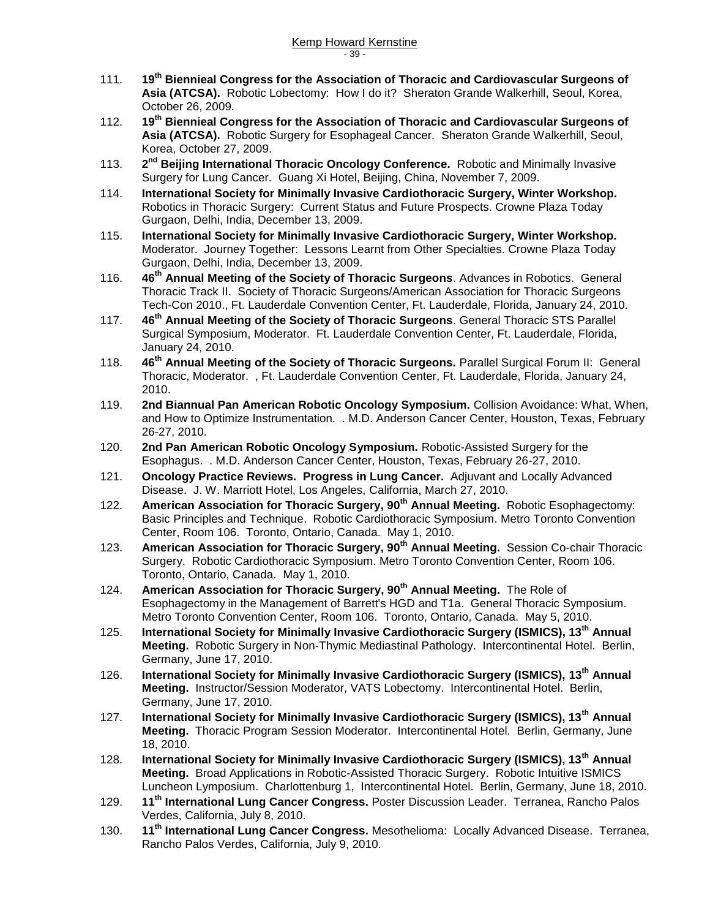- 111. **19th Biennieal Congress for the Association of Thoracic and Cardiovascular Surgeons of Asia (ATCSA).** Robotic Lobectomy: How I do it? Sheraton Grande Walkerhill, Seoul, Korea, October 26, 2009.
- 112. **19th Biennieal Congress for the Association of Thoracic and Cardiovascular Surgeons of Asia (ATCSA).** Robotic Surgery for Esophageal Cancer. Sheraton Grande Walkerhill, Seoul, Korea, October 27, 2009.
- 113. **2** 2<sup>nd</sup> Beijing International Thoracic Oncology Conference. Robotic and Minimally Invasive Surgery for Lung Cancer. Guang Xi Hotel, Beijing, China, November 7, 2009.
- 114. **International Society for Minimally Invasive Cardiothoracic Surgery, Winter Workshop.** Robotics in Thoracic Surgery: Current Status and Future Prospects. Crowne Plaza Today Gurgaon, Delhi, India, December 13, 2009.
- 115. **International Society for Minimally Invasive Cardiothoracic Surgery, Winter Workshop.**  Moderator. Journey Together: Lessons Learnt from Other Specialties. Crowne Plaza Today Gurgaon, Delhi, India, December 13, 2009.
- 116. **46th Annual Meeting of the Society of Thoracic Surgeons**. Advances in Robotics. General Thoracic Track II. Society of Thoracic Surgeons/American Association for Thoracic Surgeons Tech-Con 2010., Ft. Lauderdale Convention Center, Ft. Lauderdale, Florida, January 24, 2010.
- 117. **46th Annual Meeting of the Society of Thoracic Surgeons**. General Thoracic STS Parallel Surgical Symposium, Moderator. Ft. Lauderdale Convention Center, Ft. Lauderdale, Florida, January 24, 2010.
- 118. **46th Annual Meeting of the Society of Thoracic Surgeons.** Parallel Surgical Forum II: General Thoracic, Moderator. , Ft. Lauderdale Convention Center, Ft. Lauderdale, Florida, January 24, 2010.
- 119. **2nd Biannual Pan American Robotic Oncology Symposium.** Collision Avoidance: What, When, and How to Optimize Instrumentation. . M.D. Anderson Cancer Center, Houston, Texas, February 26-27, 2010.
- 120. **2nd Pan American Robotic Oncology Symposium.** Robotic-Assisted Surgery for the Esophagus. . M.D. Anderson Cancer Center, Houston, Texas, February 26-27, 2010.
- 121. **Oncology Practice Reviews. Progress in Lung Cancer.** Adjuvant and Locally Advanced Disease. J. W. Marriott Hotel, Los Angeles, California, March 27, 2010.
- 122. **American Association for Thoracic Surgery, 90th Annual Meeting.** Robotic Esophagectomy: Basic Principles and Technique. Robotic Cardiothoracic Symposium. Metro Toronto Convention Center, Room 106. Toronto, Ontario, Canada. May 1, 2010.
- 123. **American Association for Thoracic Surgery, 90th Annual Meeting.** Session Co-chair Thoracic Surgery. Robotic Cardiothoracic Symposium. Metro Toronto Convention Center, Room 106. Toronto, Ontario, Canada. May 1, 2010.
- 124. **American Association for Thoracic Surgery, 90th Annual Meeting.** The Role of Esophagectomy in the Management of Barrett's HGD and T1a. General Thoracic Symposium. Metro Toronto Convention Center, Room 106. Toronto, Ontario, Canada. May 5, 2010.
- 125. **International Society for Minimally Invasive Cardiothoracic Surgery (ISMICS), 13th Annual Meeting.** Robotic Surgery in Non-Thymic Mediastinal Pathology. Intercontinental Hotel. Berlin, Germany, June 17, 2010.
- 126. **International Society for Minimally Invasive Cardiothoracic Surgery (ISMICS), 13th Annual Meeting.** Instructor/Session Moderator, VATS Lobectomy. Intercontinental Hotel. Berlin, Germany, June 17, 2010.
- 127. **International Society for Minimally Invasive Cardiothoracic Surgery (ISMICS), 13th Annual Meeting.** Thoracic Program Session Moderator. Intercontinental Hotel. Berlin, Germany, June 18, 2010.
- 128. **International Society for Minimally Invasive Cardiothoracic Surgery (ISMICS), 13th Annual Meeting.** Broad Applications in Robotic-Assisted Thoracic Surgery. Robotic Intuitive ISMICS Luncheon Lymposium. Charlottenburg 1, Intercontinental Hotel. Berlin, Germany, June 18, 2010.
- 129. **11th International Lung Cancer Congress.** Poster Discussion Leader. Terranea, Rancho Palos Verdes, California, July 8, 2010.
- 130. **11th International Lung Cancer Congress.** Mesothelioma: Locally Advanced Disease. Terranea, Rancho Palos Verdes, California, July 9, 2010.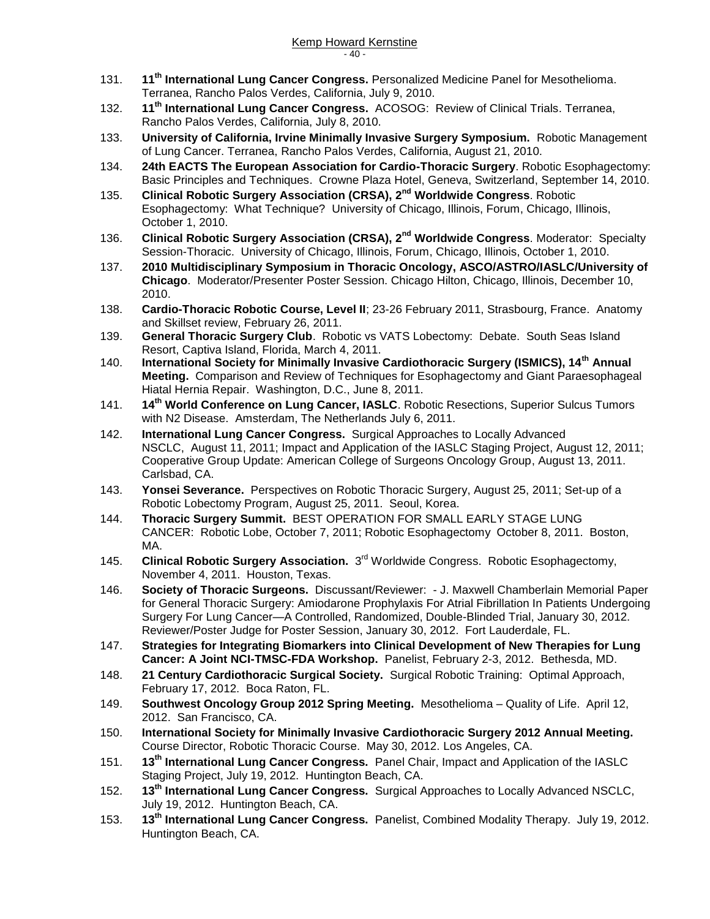- 131. **11th International Lung Cancer Congress.** Personalized Medicine Panel for Mesothelioma. Terranea, Rancho Palos Verdes, California, July 9, 2010.
- 132. **11th International Lung Cancer Congress.** ACOSOG: Review of Clinical Trials. Terranea, Rancho Palos Verdes, California, July 8, 2010.
- 133. **University of California, Irvine Minimally Invasive Surgery Symposium.** Robotic Management of Lung Cancer. Terranea, Rancho Palos Verdes, California, August 21, 2010.
- 134. **24th EACTS The European Association for Cardio-Thoracic Surgery**. Robotic Esophagectomy: Basic Principles and Techniques. Crowne Plaza Hotel, Geneva, Switzerland, September 14, 2010.
- 135. **Clinical Robotic Surgery Association (CRSA), 2nd Worldwide Congress**. Robotic Esophagectomy: What Technique? University of Chicago, Illinois, Forum, Chicago, Illinois, October 1, 2010.
- 136. **Clinical Robotic Surgery Association (CRSA), 2nd Worldwide Congress**. Moderator: Specialty Session-Thoracic. University of Chicago, Illinois, Forum, Chicago, Illinois, October 1, 2010.
- 137. **2010 Multidisciplinary Symposium in Thoracic Oncology, ASCO/ASTRO/IASLC/University of Chicago**. Moderator/Presenter Poster Session. Chicago Hilton, Chicago, Illinois, December 10, 2010.
- 138. **Cardio-Thoracic Robotic Course, Level II**; 23-26 February 2011, Strasbourg, France. Anatomy and Skillset review, February 26, 2011.
- 139. **General Thoracic Surgery Club**. Robotic vs VATS Lobectomy: Debate. South Seas Island Resort, Captiva Island, Florida, March 4, 2011.
- 140. **International Society for Minimally Invasive Cardiothoracic Surgery (ISMICS), 14th Annual Meeting.** Comparison and Review of Techniques for Esophagectomy and Giant Paraesophageal Hiatal Hernia Repair. Washington, D.C., June 8, 2011.
- 141. **14th World Conference on Lung Cancer, IASLC**. Robotic Resections, Superior Sulcus Tumors with N2 Disease. Amsterdam, The Netherlands July 6, 2011.
- 142. **International Lung Cancer Congress.** Surgical Approaches to Locally Advanced NSCLC, August 11, 2011; Impact and Application of the IASLC Staging Project, August 12, 2011; Cooperative Group Update: American College of Surgeons Oncology Group, August 13, 2011. Carlsbad, CA.
- 143. **Yonsei Severance.** Perspectives on Robotic Thoracic Surgery, August 25, 2011; Set-up of a Robotic Lobectomy Program, August 25, 2011. Seoul, Korea.
- 144. **Thoracic Surgery Summit.** BEST OPERATION FOR SMALL EARLY STAGE LUNG CANCER: Robotic Lobe, October 7, 2011; Robotic Esophagectomy October 8, 2011. Boston, MA.
- 145. Clinical Robotic Surgery Association. 3<sup>rd</sup> Worldwide Congress. Robotic Esophagectomy, November 4, 2011. Houston, Texas.
- 146. **Society of Thoracic Surgeons.** Discussant/Reviewer: J. Maxwell Chamberlain Memorial Paper for General Thoracic Surgery: Amiodarone Prophylaxis For Atrial Fibrillation In Patients Undergoing Surgery For Lung Cancer—A Controlled, Randomized, Double-Blinded Trial, January 30, 2012. Reviewer/Poster Judge for Poster Session, January 30, 2012. Fort Lauderdale, FL.
- 147. **Strategies for Integrating Biomarkers into Clinical Development of New Therapies for Lung Cancer: A Joint NCI-TMSC-FDA Workshop.** Panelist, February 2-3, 2012. Bethesda, MD.
- 148. **21 Century Cardiothoracic Surgical Society.** Surgical Robotic Training: Optimal Approach, February 17, 2012. Boca Raton, FL.
- 149. **Southwest Oncology Group 2012 Spring Meeting.** Mesothelioma Quality of Life. April 12, 2012. San Francisco, CA.
- 150. **International Society for Minimally Invasive Cardiothoracic Surgery 2012 Annual Meeting.** Course Director, Robotic Thoracic Course. May 30, 2012. Los Angeles, CA.
- 151. **13th International Lung Cancer Congress.** Panel Chair, Impact and Application of the IASLC Staging Project, July 19, 2012. Huntington Beach, CA.
- 152. **13th International Lung Cancer Congress.** Surgical Approaches to Locally Advanced NSCLC, July 19, 2012. Huntington Beach, CA.
- 153. **13th International Lung Cancer Congress.** Panelist, Combined Modality Therapy. July 19, 2012. Huntington Beach, CA.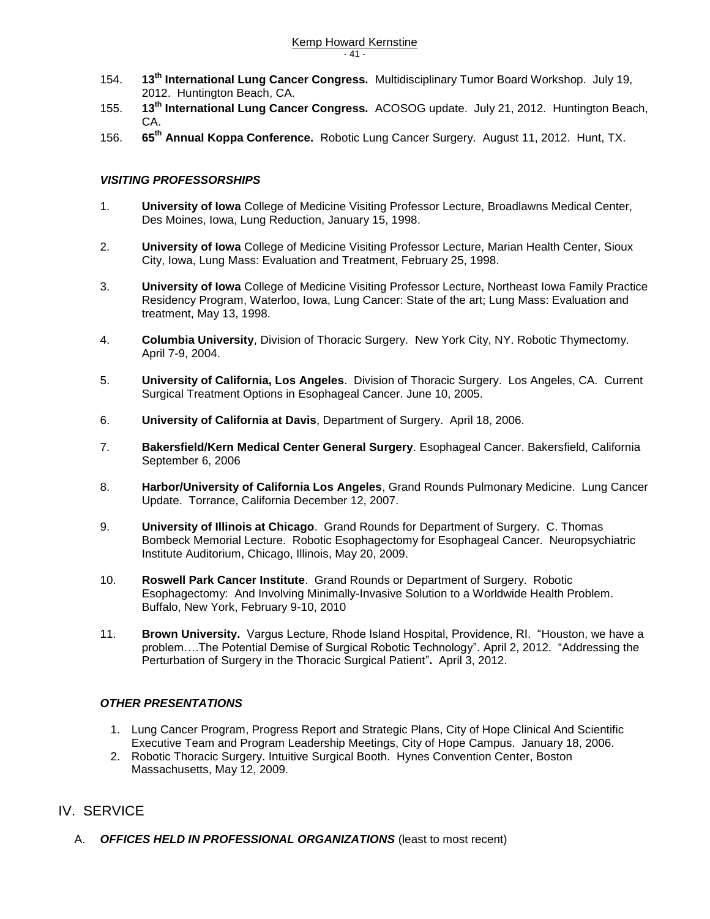- 154. **13th International Lung Cancer Congress.** Multidisciplinary Tumor Board Workshop. July 19, 2012. Huntington Beach, CA.
- 155. **13th International Lung Cancer Congress.** ACOSOG update. July 21, 2012. Huntington Beach, CA.
- 156. **65th Annual Koppa Conference.** Robotic Lung Cancer Surgery. August 11, 2012. Hunt, TX.

#### *VISITING PROFESSORSHIPS*

- 1. **University of Iowa** College of Medicine Visiting Professor Lecture, Broadlawns Medical Center, Des Moines, Iowa, Lung Reduction, January 15, 1998.
- 2. **University of Iowa** College of Medicine Visiting Professor Lecture, Marian Health Center, Sioux City, Iowa, Lung Mass: Evaluation and Treatment, February 25, 1998.
- 3. **University of Iowa** College of Medicine Visiting Professor Lecture, Northeast Iowa Family Practice Residency Program, Waterloo, Iowa, Lung Cancer: State of the art; Lung Mass: Evaluation and treatment, May 13, 1998.
- 4. **Columbia University**, Division of Thoracic Surgery. New York City, NY. Robotic Thymectomy. April 7-9, 2004.
- 5. **University of California, Los Angeles**. Division of Thoracic Surgery. Los Angeles, CA. Current Surgical Treatment Options in Esophageal Cancer. June 10, 2005.
- 6. **University of California at Davis**, Department of Surgery. April 18, 2006.
- 7. **Bakersfield/Kern Medical Center General Surgery**. Esophageal Cancer. Bakersfield, California September 6, 2006
- 8. **Harbor/University of California Los Angeles**, Grand Rounds Pulmonary Medicine. Lung Cancer Update. Torrance, California December 12, 2007.
- 9. **University of Illinois at Chicago**. Grand Rounds for Department of Surgery. C. Thomas Bombeck Memorial Lecture. Robotic Esophagectomy for Esophageal Cancer. Neuropsychiatric Institute Auditorium, Chicago, Illinois, May 20, 2009.
- 10. **Roswell Park Cancer Institute**. Grand Rounds or Department of Surgery. Robotic Esophagectomy: And Involving Minimally-Invasive Solution to a Worldwide Health Problem. Buffalo, New York, February 9-10, 2010
- 11. **Brown University.** Vargus Lecture, Rhode Island Hospital, Providence, RI. "Houston, we have a problem….The Potential Demise of Surgical Robotic Technology". April 2, 2012. "Addressing the Perturbation of Surgery in the Thoracic Surgical Patient"**.** April 3, 2012.

#### *OTHER PRESENTATIONS*

- 1. Lung Cancer Program, Progress Report and Strategic Plans, City of Hope Clinical And Scientific Executive Team and Program Leadership Meetings, City of Hope Campus. January 18, 2006.
- 2. Robotic Thoracic Surgery. Intuitive Surgical Booth. Hynes Convention Center, Boston Massachusetts, May 12, 2009.

### IV. SERVICE

A. *OFFICES HELD IN PROFESSIONAL ORGANIZATIONS* (least to most recent)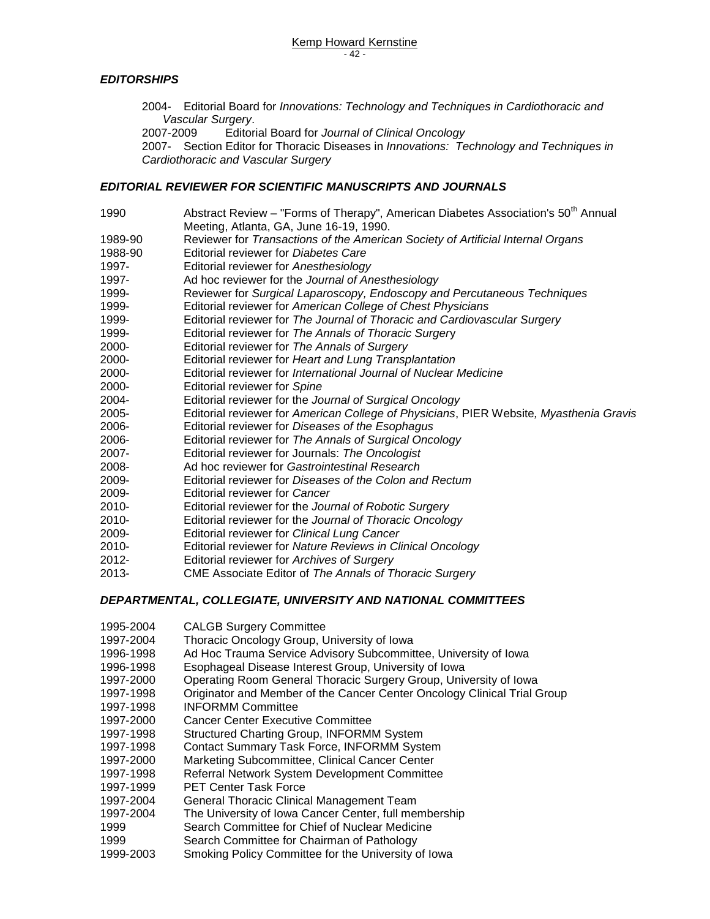#### *EDITORSHIPS*

- 2004- Editorial Board for *Innovations: Technology and Techniques in Cardiothoracic and Vascular Surgery*.
- 2007-2009 Editorial Board for *Journal of Clinical Oncology*

2007- Section Editor for Thoracic Diseases in *Innovations: Technology and Techniques in Cardiothoracic and Vascular Surgery*

#### *EDITORIAL REVIEWER FOR SCIENTIFIC MANUSCRIPTS AND JOURNALS*

- 1990 Abstract Review "Forms of Therapy", American Diabetes Association's 50<sup>th</sup> Annual Meeting, Atlanta, GA, June 16-19, 1990. 1989-90 Reviewer for *Transactions of the American Society of Artificial Internal Organs* 1988-90 Editorial reviewer for *Diabetes Care* 1997- Editorial reviewer for *Anesthesiology* 1997- Ad hoc reviewer for the *Journal of Anesthesiology* 1999- Reviewer for *Surgical Laparoscopy, Endoscopy and Percutaneous Techniques* 1999- Editorial reviewer for *American College of Chest Physicians* 1999- Editorial reviewer for *The Journal of Thoracic and Cardiovascular Surgery* 1999- Editorial reviewer for *The Annals of Thoracic Surger*y 2000- Editorial reviewer for *The Annals of Surgery*  2000- Editorial reviewer for *Heart and Lung Transplantation* 2000- Editorial reviewer for *International Journal of Nuclear Medicine* 2000- Editorial reviewer for *Spine* 2004- Editorial reviewer for the *Journal of Surgical Oncology* 2005- Editorial reviewer for *American College of Physicians*, PIER Website*, Myasthenia Gravis* 2006- Editorial reviewer for *Diseases of the Esophagus* 2006- Editorial reviewer for *The Annals of Surgical Oncology* 2007- Editorial reviewer for Journals: *The Oncologist* 2008- Ad hoc reviewer for *Gastrointestinal Research* 2009- Editorial reviewer for *Diseases of the Colon and Rectum*
- 2009- Editorial reviewer for *Cancer*
- 2010- Editorial reviewer for the *Journal of Robotic Surgery*
- 2010- Editorial reviewer for the *Journal of Thoracic Oncology*
- 2009- Editorial reviewer for *Clinical Lung Cancer*
- 2010- Editorial reviewer for *Nature Reviews in Clinical Oncology*
- 2012- Editorial reviewer for *Archives of Surgery*
- 2013- CME Associate Editor of *The Annals of Thoracic Surgery*

#### *DEPARTMENTAL, COLLEGIATE, UNIVERSITY AND NATIONAL COMMITTEES*

- 1995-2004 CALGB Surgery Committee
- 1997-2004 Thoracic Oncology Group, University of Iowa
- 1996-1998 Ad Hoc Trauma Service Advisory Subcommittee, University of Iowa
- 1996-1998 Esophageal Disease Interest Group, University of Iowa
- 1997-2000 Operating Room General Thoracic Surgery Group, University of Iowa
- 1997-1998 Originator and Member of the Cancer Center Oncology Clinical Trial Group
- 1997-1998 INFORMM Committee
- 1997-2000 Cancer Center Executive Committee
- 1997-1998 Structured Charting Group, INFORMM System
- 1997-1998 Contact Summary Task Force, INFORMM System
- 1997-2000 Marketing Subcommittee, Clinical Cancer Center
- 1997-1998 Referral Network System Development Committee
- 1997-1999 PET Center Task Force
- 1997-2004 General Thoracic Clinical Management Team
- 1997-2004 The University of Iowa Cancer Center, full membership
- 1999 Search Committee for Chief of Nuclear Medicine
- 1999 Search Committee for Chairman of Pathology
- 1999-2003 Smoking Policy Committee for the University of Iowa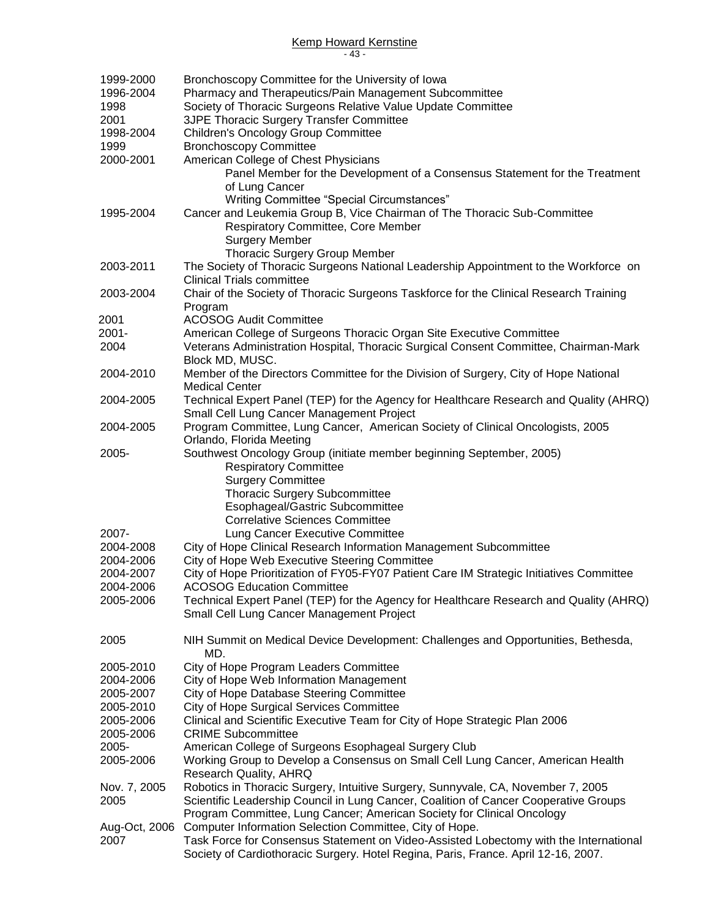## Kemp Howard Kernstine

- 43 -

| 1999-2000     | Bronchoscopy Committee for the University of Iowa                                        |
|---------------|------------------------------------------------------------------------------------------|
| 1996-2004     | Pharmacy and Therapeutics/Pain Management Subcommittee                                   |
| 1998          | Society of Thoracic Surgeons Relative Value Update Committee                             |
| 2001          | 3JPE Thoracic Surgery Transfer Committee                                                 |
| 1998-2004     | <b>Children's Oncology Group Committee</b>                                               |
| 1999          | <b>Bronchoscopy Committee</b>                                                            |
| 2000-2001     | American College of Chest Physicians                                                     |
|               | Panel Member for the Development of a Consensus Statement for the Treatment              |
|               | of Lung Cancer                                                                           |
|               | Writing Committee "Special Circumstances"                                                |
| 1995-2004     | Cancer and Leukemia Group B, Vice Chairman of The Thoracic Sub-Committee                 |
|               | Respiratory Committee, Core Member                                                       |
|               | <b>Surgery Member</b>                                                                    |
|               | Thoracic Surgery Group Member                                                            |
| 2003-2011     | The Society of Thoracic Surgeons National Leadership Appointment to the Workforce on     |
|               | <b>Clinical Trials committee</b>                                                         |
|               |                                                                                          |
| 2003-2004     | Chair of the Society of Thoracic Surgeons Taskforce for the Clinical Research Training   |
|               | Program                                                                                  |
| 2001          | <b>ACOSOG Audit Committee</b>                                                            |
| $2001 -$      | American College of Surgeons Thoracic Organ Site Executive Committee                     |
| 2004          | Veterans Administration Hospital, Thoracic Surgical Consent Committee, Chairman-Mark     |
|               | Block MD, MUSC.                                                                          |
| 2004-2010     | Member of the Directors Committee for the Division of Surgery, City of Hope National     |
|               | <b>Medical Center</b>                                                                    |
| 2004-2005     | Technical Expert Panel (TEP) for the Agency for Healthcare Research and Quality (AHRQ)   |
|               | Small Cell Lung Cancer Management Project                                                |
| 2004-2005     | Program Committee, Lung Cancer, American Society of Clinical Oncologists, 2005           |
|               | Orlando, Florida Meeting                                                                 |
| 2005-         | Southwest Oncology Group (initiate member beginning September, 2005)                     |
|               | <b>Respiratory Committee</b>                                                             |
|               | <b>Surgery Committee</b>                                                                 |
|               | <b>Thoracic Surgery Subcommittee</b>                                                     |
|               | Esophageal/Gastric Subcommittee                                                          |
|               | <b>Correlative Sciences Committee</b>                                                    |
| 2007-         | Lung Cancer Executive Committee                                                          |
| 2004-2008     | City of Hope Clinical Research Information Management Subcommittee                       |
| 2004-2006     | City of Hope Web Executive Steering Committee                                            |
| 2004-2007     | City of Hope Prioritization of FY05-FY07 Patient Care IM Strategic Initiatives Committee |
| 2004-2006     | <b>ACOSOG Education Committee</b>                                                        |
| 2005-2006     | Technical Expert Panel (TEP) for the Agency for Healthcare Research and Quality (AHRQ)   |
|               | Small Cell Lung Cancer Management Project                                                |
|               |                                                                                          |
| 2005          |                                                                                          |
|               | NIH Summit on Medical Device Development: Challenges and Opportunities, Bethesda,<br>MD. |
|               |                                                                                          |
| 2005-2010     | City of Hope Program Leaders Committee                                                   |
| 2004-2006     | City of Hope Web Information Management                                                  |
| 2005-2007     | City of Hope Database Steering Committee                                                 |
| 2005-2010     | City of Hope Surgical Services Committee                                                 |
| 2005-2006     | Clinical and Scientific Executive Team for City of Hope Strategic Plan 2006              |
| 2005-2006     | <b>CRIME Subcommittee</b>                                                                |
| 2005-         | American College of Surgeons Esophageal Surgery Club                                     |
| 2005-2006     | Working Group to Develop a Consensus on Small Cell Lung Cancer, American Health          |
|               | Research Quality, AHRQ                                                                   |
| Nov. 7, 2005  | Robotics in Thoracic Surgery, Intuitive Surgery, Sunnyvale, CA, November 7, 2005         |
| 2005          | Scientific Leadership Council in Lung Cancer, Coalition of Cancer Cooperative Groups     |
|               | Program Committee, Lung Cancer; American Society for Clinical Oncology                   |
| Aug-Oct, 2006 | Computer Information Selection Committee, City of Hope.                                  |
| 2007          | Task Force for Consensus Statement on Video-Assisted Lobectomy with the International    |
|               | Society of Cardiothoracic Surgery. Hotel Regina, Paris, France. April 12-16, 2007.       |
|               |                                                                                          |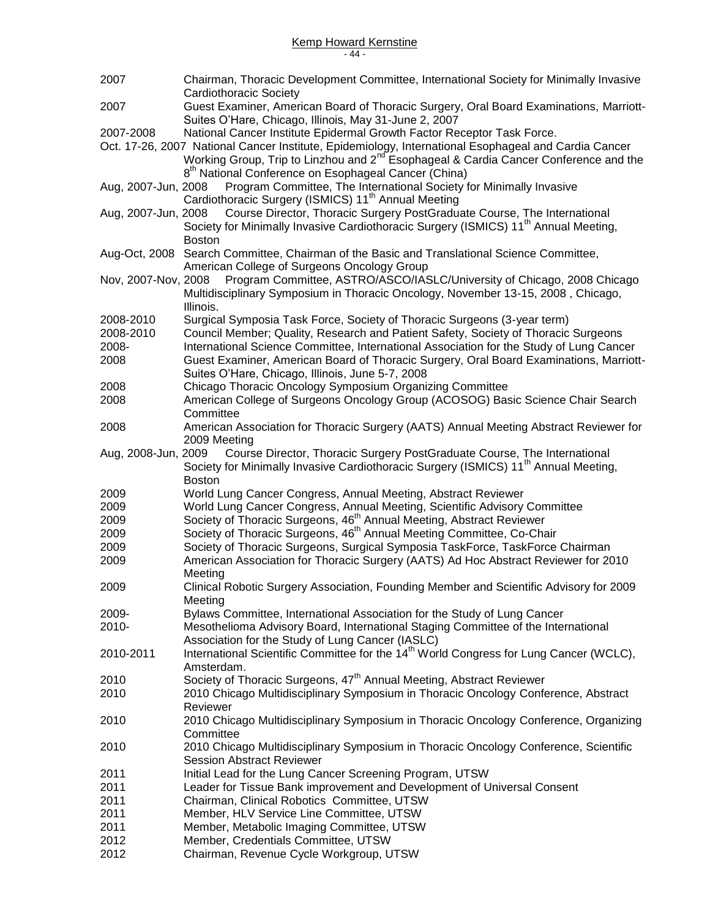| 2007                | Chairman, Thoracic Development Committee, International Society for Minimally Invasive<br>Cardiothoracic Society                                                                                                                                                                 |
|---------------------|----------------------------------------------------------------------------------------------------------------------------------------------------------------------------------------------------------------------------------------------------------------------------------|
| 2007                | Guest Examiner, American Board of Thoracic Surgery, Oral Board Examinations, Marriott-<br>Suites O'Hare, Chicago, Illinois, May 31-June 2, 2007                                                                                                                                  |
| 2007-2008           | National Cancer Institute Epidermal Growth Factor Receptor Task Force.                                                                                                                                                                                                           |
|                     | Oct. 17-26, 2007 National Cancer Institute, Epidemiology, International Esophageal and Cardia Cancer<br>Working Group, Trip to Linzhou and 2 <sup>nd Esophageal &amp; Cardia Cancer Conference and the</sup><br>8 <sup>th</sup> National Conference on Esophageal Cancer (China) |
| Aug, 2007-Jun, 2008 | Program Committee, The International Society for Minimally Invasive<br>Cardiothoracic Surgery (ISMICS) 11 <sup>th</sup> Annual Meeting                                                                                                                                           |
| Aug, 2007-Jun, 2008 | Course Director, Thoracic Surgery PostGraduate Course, The International<br>Society for Minimally Invasive Cardiothoracic Surgery (ISMICS) 11 <sup>th</sup> Annual Meeting,<br><b>Boston</b>                                                                                     |
| Aug-Oct, 2008       | Search Committee, Chairman of the Basic and Translational Science Committee,<br>American College of Surgeons Oncology Group                                                                                                                                                      |
| Nov, 2007-Nov, 2008 | Program Committee, ASTRO/ASCO/IASLC/University of Chicago, 2008 Chicago<br>Multidisciplinary Symposium in Thoracic Oncology, November 13-15, 2008, Chicago,                                                                                                                      |
| 2008-2010           | Illinois.<br>Surgical Symposia Task Force, Society of Thoracic Surgeons (3-year term)                                                                                                                                                                                            |
| 2008-2010           | Council Member; Quality, Research and Patient Safety, Society of Thoracic Surgeons                                                                                                                                                                                               |
| 2008-               | International Science Committee, International Association for the Study of Lung Cancer                                                                                                                                                                                          |
| 2008                | Guest Examiner, American Board of Thoracic Surgery, Oral Board Examinations, Marriott-<br>Suites O'Hare, Chicago, Illinois, June 5-7, 2008                                                                                                                                       |
| 2008                | Chicago Thoracic Oncology Symposium Organizing Committee                                                                                                                                                                                                                         |
| 2008                | American College of Surgeons Oncology Group (ACOSOG) Basic Science Chair Search<br>Committee                                                                                                                                                                                     |
| 2008                | American Association for Thoracic Surgery (AATS) Annual Meeting Abstract Reviewer for<br>2009 Meeting                                                                                                                                                                            |
| Aug, 2008-Jun, 2009 | Course Director, Thoracic Surgery PostGraduate Course, The International<br>Society for Minimally Invasive Cardiothoracic Surgery (ISMICS) 11 <sup>th</sup> Annual Meeting,<br><b>Boston</b>                                                                                     |
| 2009                | World Lung Cancer Congress, Annual Meeting, Abstract Reviewer                                                                                                                                                                                                                    |
| 2009                | World Lung Cancer Congress, Annual Meeting, Scientific Advisory Committee                                                                                                                                                                                                        |
| 2009                | Society of Thoracic Surgeons, 46 <sup>th</sup> Annual Meeting, Abstract Reviewer                                                                                                                                                                                                 |
| 2009                | Society of Thoracic Surgeons, 46 <sup>th</sup> Annual Meeting Committee, Co-Chair                                                                                                                                                                                                |
| 2009                | Society of Thoracic Surgeons, Surgical Symposia TaskForce, TaskForce Chairman                                                                                                                                                                                                    |
| 2009                | American Association for Thoracic Surgery (AATS) Ad Hoc Abstract Reviewer for 2010<br>Meeting                                                                                                                                                                                    |
| 2009                | Clinical Robotic Surgery Association, Founding Member and Scientific Advisory for 2009<br>Meeting                                                                                                                                                                                |
| 2009-               | Bylaws Committee, International Association for the Study of Lung Cancer                                                                                                                                                                                                         |
| 2010-               | Mesothelioma Advisory Board, International Staging Committee of the International                                                                                                                                                                                                |
|                     | Association for the Study of Lung Cancer (IASLC)                                                                                                                                                                                                                                 |
| 2010-2011           | International Scientific Committee for the 14 <sup>th</sup> World Congress for Lung Cancer (WCLC),<br>Amsterdam.                                                                                                                                                                 |
| 2010                | Society of Thoracic Surgeons, 47 <sup>th</sup> Annual Meeting, Abstract Reviewer                                                                                                                                                                                                 |
| 2010                | 2010 Chicago Multidisciplinary Symposium in Thoracic Oncology Conference, Abstract<br>Reviewer                                                                                                                                                                                   |
| 2010                | 2010 Chicago Multidisciplinary Symposium in Thoracic Oncology Conference, Organizing<br>Committee                                                                                                                                                                                |
| 2010                | 2010 Chicago Multidisciplinary Symposium in Thoracic Oncology Conference, Scientific<br><b>Session Abstract Reviewer</b>                                                                                                                                                         |
| 2011                | Initial Lead for the Lung Cancer Screening Program, UTSW                                                                                                                                                                                                                         |
| 2011                | Leader for Tissue Bank improvement and Development of Universal Consent                                                                                                                                                                                                          |
| 2011                | Chairman, Clinical Robotics Committee, UTSW                                                                                                                                                                                                                                      |
| 2011                | Member, HLV Service Line Committee, UTSW                                                                                                                                                                                                                                         |
| 2011                | Member, Metabolic Imaging Committee, UTSW                                                                                                                                                                                                                                        |
| 2012                | Member, Credentials Committee, UTSW                                                                                                                                                                                                                                              |
| 2012                | Chairman, Revenue Cycle Workgroup, UTSW                                                                                                                                                                                                                                          |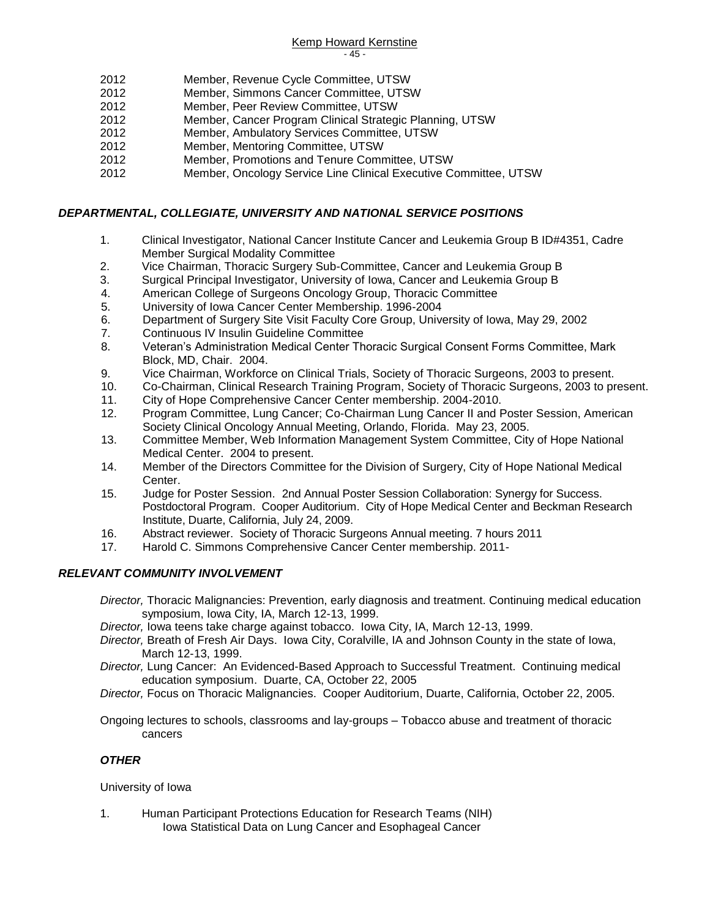#### Kemp Howard Kernstine - 45 -

- 2012 Member, Revenue Cycle Committee, UTSW
- 2012 Member, Simmons Cancer Committee, UTSW
- 2012 Member, Peer Review Committee, UTSW
- 2012 Member, Cancer Program Clinical Strategic Planning, UTSW
- 2012 Member, Ambulatory Services Committee, UTSW
- 2012 Member, Mentoring Committee, UTSW
- 2012 Member, Promotions and Tenure Committee, UTSW
- 2012 Member, Oncology Service Line Clinical Executive Committee, UTSW

#### *DEPARTMENTAL, COLLEGIATE, UNIVERSITY AND NATIONAL SERVICE POSITIONS*

- 1. Clinical Investigator, National Cancer Institute Cancer and Leukemia Group B ID#4351, Cadre Member Surgical Modality Committee
- 2. Vice Chairman, Thoracic Surgery Sub-Committee, Cancer and Leukemia Group B
- 3. Surgical Principal Investigator, University of Iowa, Cancer and Leukemia Group B
- 4. American College of Surgeons Oncology Group, Thoracic Committee
- 5. University of Iowa Cancer Center Membership. 1996-2004
- 6. Department of Surgery Site Visit Faculty Core Group, University of Iowa, May 29, 2002
- 7. Continuous IV Insulin Guideline Committee
- 8. Veteran's Administration Medical Center Thoracic Surgical Consent Forms Committee, Mark Block, MD, Chair. 2004.
- 9. Vice Chairman, Workforce on Clinical Trials, Society of Thoracic Surgeons, 2003 to present.
- 10. Co-Chairman, Clinical Research Training Program, Society of Thoracic Surgeons, 2003 to present.
- 11. City of Hope Comprehensive Cancer Center membership. 2004-2010.
- 12. Program Committee, Lung Cancer; Co-Chairman Lung Cancer II and Poster Session, American Society Clinical Oncology Annual Meeting, Orlando, Florida. May 23, 2005.
- 13. Committee Member, Web Information Management System Committee, City of Hope National Medical Center. 2004 to present.
- 14. Member of the Directors Committee for the Division of Surgery, City of Hope National Medical Center.
- 15. Judge for Poster Session. 2nd Annual Poster Session Collaboration: Synergy for Success. Postdoctoral Program. Cooper Auditorium. City of Hope Medical Center and Beckman Research Institute, Duarte, California, July 24, 2009.
- 16. Abstract reviewer. Society of Thoracic Surgeons Annual meeting. 7 hours 2011
- 17. Harold C. Simmons Comprehensive Cancer Center membership. 2011-

### *RELEVANT COMMUNITY INVOLVEMENT*

- *Director,* Thoracic Malignancies: Prevention, early diagnosis and treatment. Continuing medical education symposium, Iowa City, IA, March 12-13, 1999.
- *Director,* Iowa teens take charge against tobacco. Iowa City, IA, March 12-13, 1999.
- *Director,* Breath of Fresh Air Days. Iowa City, Coralville, IA and Johnson County in the state of Iowa, March 12-13, 1999.

*Director,* Lung Cancer: An Evidenced-Based Approach to Successful Treatment. Continuing medical education symposium. Duarte, CA, October 22, 2005

*Director,* Focus on Thoracic Malignancies. Cooper Auditorium, Duarte, California, October 22, 2005.

Ongoing lectures to schools, classrooms and lay-groups – Tobacco abuse and treatment of thoracic cancers

#### *OTHER*

#### University of Iowa

1. Human Participant Protections Education for Research Teams (NIH) Iowa Statistical Data on Lung Cancer and Esophageal Cancer